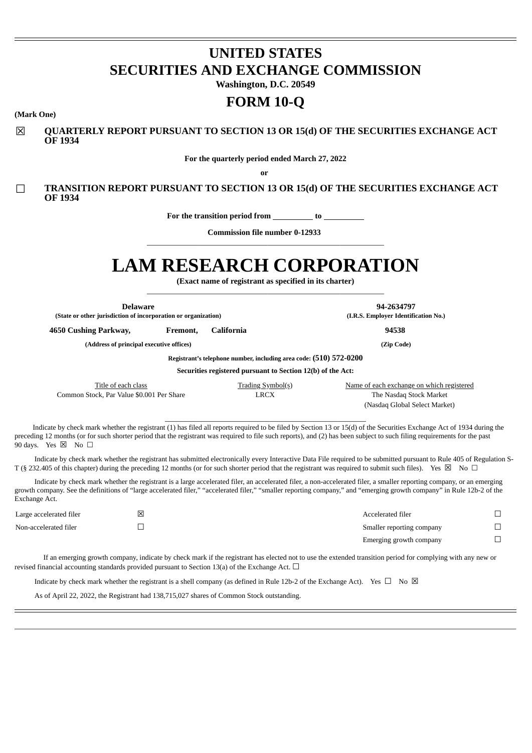# **UNITED STATES SECURITIES AND EXCHANGE COMMISSION**

**Washington, D.C. 20549**

## **FORM 10-Q**

#### **(Mark One)**

☒ **QUARTERLY REPORT PURSUANT TO SECTION 13 OR 15(d) OF THE SECURITIES EXCHANGE ACT OF 1934**

**For the quarterly period ended March 27, 2022**

**or**

☐ **TRANSITION REPORT PURSUANT TO SECTION 13 OR 15(d) OF THE SECURITIES EXCHANGE ACT OF 1934**

**For the transition period from to**

**Commission file number 0-12933** \_\_\_\_\_\_\_\_\_\_\_\_\_\_\_\_\_\_\_\_\_\_\_\_\_\_\_\_\_\_\_\_\_\_\_\_\_\_\_\_\_\_\_\_\_\_\_\_\_\_\_\_\_\_\_\_\_\_\_

# **LAM RESEARCH CORPORATION**

**(Exact name of registrant as specified in its charter)** \_\_\_\_\_\_\_\_\_\_\_\_\_\_\_\_\_\_\_\_\_\_\_\_\_\_\_\_\_\_\_\_\_\_\_\_\_\_\_\_\_\_\_\_\_\_\_\_\_\_\_\_\_\_\_\_\_\_\_

| Delaware<br>(State or other jurisdiction of incorporation or organization) |          |                                                                    | 94-2634797<br>(I.R.S. Employer Identification No.)                                                                                                                                                                                                                                                                                                 |
|----------------------------------------------------------------------------|----------|--------------------------------------------------------------------|----------------------------------------------------------------------------------------------------------------------------------------------------------------------------------------------------------------------------------------------------------------------------------------------------------------------------------------------------|
| 4650 Cushing Parkway,                                                      | Fremont, | California                                                         | 94538                                                                                                                                                                                                                                                                                                                                              |
| (Address of principal executive offices)                                   |          |                                                                    | (Zip Code)                                                                                                                                                                                                                                                                                                                                         |
|                                                                            |          | Registrant's telephone number, including area code: (510) 572-0200 |                                                                                                                                                                                                                                                                                                                                                    |
|                                                                            |          | Securities registered pursuant to Section 12(b) of the Act:        |                                                                                                                                                                                                                                                                                                                                                    |
| Title of each class<br>Common Stock, Par Value \$0.001 Per Share           |          | Trading Symbol(s)<br><b>LRCX</b>                                   | Name of each exchange on which registered<br>The Nasdaq Stock Market<br>(Nasdaq Global Select Market)                                                                                                                                                                                                                                              |
| 90 days. Yes $\boxtimes$ No $\Box$                                         |          |                                                                    | Indicate by check mark whether the registrant (1) has filed all reports required to be filed by Section 13 or 15(d) of the Securities Exchange Act of 1934 during the<br>preceding 12 months (or for such shorter period that the registrant was required to file such reports), and (2) has been subject to such filing requirements for the past |
| _ . _ _ _ _ .                                                              |          |                                                                    | Indicate by check mark whether the registrant has submitted electronically every Interactive Data File required to be submitted pursuant to Rule 405 of Regulation S-                                                                                                                                                                              |

T (§ 232.405 of this chapter) during the preceding 12 months (or for such shorter period that the registrant was required to submit such files). Yes ⊠ No □ Indicate by check mark whether the registrant is a large accelerated filer, an accelerated filer, a non-accelerated filer, a smaller reporting company, or an emerging

growth company. See the definitions of "large accelerated filer," "accelerated filer," "smaller reporting company," and "emerging growth company" in Rule 12b-2 of the Exchange Act.

| Large accelerated filer | ⊠ | Accelerated filer         |  |
|-------------------------|---|---------------------------|--|
| Non-accelerated filer   |   | Smaller reporting company |  |
|                         |   | Emerging growth company   |  |

If an emerging growth company, indicate by check mark if the registrant has elected not to use the extended transition period for complying with any new or revised financial accounting standards provided pursuant to Section 13(a) of the Exchange Act.  $\Box$ 

Indicate by check mark whether the registrant is a shell company (as defined in Rule 12b-2 of the Exchange Act). Yes  $\Box$  No  $\boxtimes$ 

<span id="page-0-0"></span>As of April 22, 2022, the Registrant had 138,715,027 shares of Common Stock outstanding.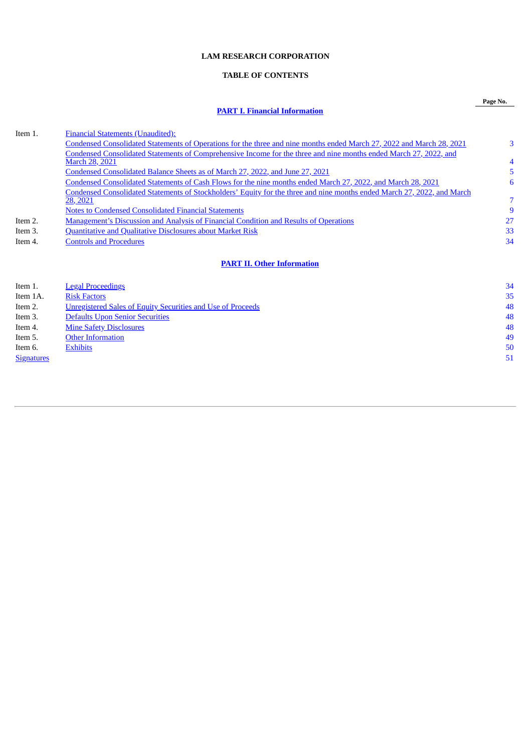## **LAM RESEARCH CORPORATION**

## **TABLE OF CONTENTS**

## **PART I. Financial [Information](#page-1-0)**

**Page No.**

| Item 1.  | <b>Financial Statements (Unaudited):</b>                                                                                |    |
|----------|-------------------------------------------------------------------------------------------------------------------------|----|
|          | Condensed Consolidated Statements of Operations for the three and nine months ended March 27, 2022 and March 28, 2021   | 3  |
|          | Condensed Consolidated Statements of Comprehensive Income for the three and nine months ended March 27, 2022, and       |    |
|          | <b>March 28, 2021</b>                                                                                                   | 4  |
|          | Condensed Consolidated Balance Sheets as of March 27, 2022, and June 27, 2021                                           | 5  |
|          | Condensed Consolidated Statements of Cash Flows for the nine months ended March 27, 2022, and March 28, 2021            | 6  |
|          | Condensed Consolidated Statements of Stockholders' Equity for the three and nine months ended March 27, 2022, and March |    |
|          | 28, 2021                                                                                                                |    |
|          | <b>Notes to Condensed Consolidated Financial Statements</b>                                                             | 9  |
| Item 2.  | <b>Management's Discussion and Analysis of Financial Condition and Results of Operations</b>                            | 27 |
| Item 3.  | <b>Quantitative and Qualitative Disclosures about Market Risk</b>                                                       | 33 |
| Item 4.  | <b>Controls and Procedures</b>                                                                                          | 34 |
|          |                                                                                                                         |    |
|          | <b>PART II. Other Information</b>                                                                                       |    |
| Item 1.  | <b>Legal Proceedings</b>                                                                                                | 34 |
| Item 1A. | <b>Risk Factors</b>                                                                                                     | 35 |
| Item 2.  | <b>Unregistered Sales of Equity Securities and Use of Proceeds</b>                                                      | 48 |
| Item 3.  | <b>Defaults Upon Senior Securities</b>                                                                                  | 48 |
| Item 4.  | <b>Mine Safety Disclosures</b>                                                                                          | 48 |
| Item 5.  | <b>Other Information</b>                                                                                                | 49 |

- Item 6. Annual [Exhibits](#page-48-0) [50](#page-48-0) annual Exhibits 50 annual Exhibits 50 annual Exhibits 50 annual Exhibits 50 annual Exhibits 50 annual Exhibits 50 annual Exhibits 50 annual Exhibits 50 annual Exhibits 50 annual Exhibits 50 annua
- <span id="page-1-0"></span>**[Signatures](#page-49-0)** [51](#page-49-0)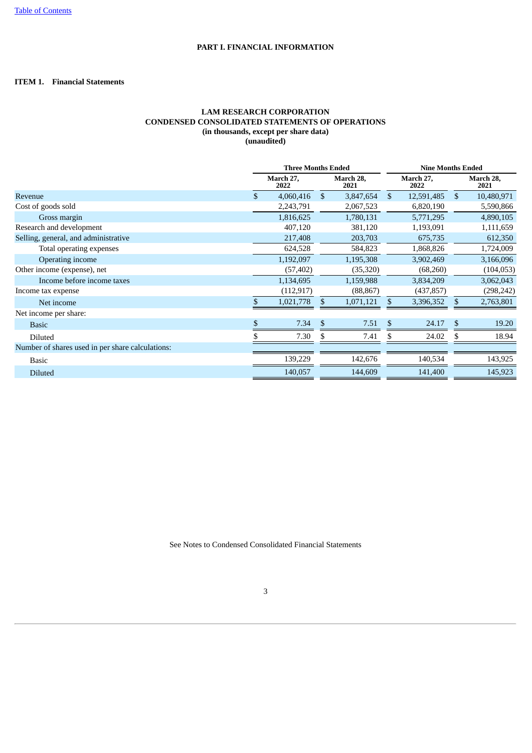## **PART I. FINANCIAL INFORMATION**

## <span id="page-2-1"></span><span id="page-2-0"></span>**ITEM 1. Financial Statements**

## **LAM RESEARCH CORPORATION CONDENSED CONSOLIDATED STATEMENTS OF OPERATIONS (in thousands, except per share data) (unaudited)**

|                                                  |    | <b>Three Months Ended</b> |              |                   |     | <b>Nine Months Ended</b> |               |                   |  |  |  |
|--------------------------------------------------|----|---------------------------|--------------|-------------------|-----|--------------------------|---------------|-------------------|--|--|--|
|                                                  |    | March 27,<br>2022         |              | March 28,<br>2021 |     | March 27,<br>2022        |               | March 28,<br>2021 |  |  |  |
| Revenue                                          | \$ | 4,060,416                 | $\mathbb{S}$ | 3,847,654         | \$  | 12,591,485               | <sup>\$</sup> | 10,480,971        |  |  |  |
| Cost of goods sold                               |    | 2,243,791                 |              | 2,067,523         |     | 6,820,190                |               | 5,590,866         |  |  |  |
| Gross margin                                     |    | 1,816,625                 |              | 1,780,131         |     | 5,771,295                |               | 4,890,105         |  |  |  |
| Research and development                         |    | 407,120                   |              | 381,120           |     | 1,193,091                |               | 1,111,659         |  |  |  |
| Selling, general, and administrative             |    | 217,408                   |              | 203,703           |     | 675,735                  |               | 612,350           |  |  |  |
| Total operating expenses                         |    | 624,528                   |              | 584,823           |     | 1,868,826                |               | 1,724,009         |  |  |  |
| Operating income                                 |    | 1,192,097                 |              | 1,195,308         |     | 3,902,469                |               | 3,166,096         |  |  |  |
| Other income (expense), net                      |    | (57, 402)                 |              | (35, 320)         |     | (68,260)                 |               | (104, 053)        |  |  |  |
| Income before income taxes                       |    | 1,134,695                 |              | 1,159,988         |     | 3,834,209                |               | 3,062,043         |  |  |  |
| Income tax expense                               |    | (112, 917)                |              | (88, 867)         |     | (437, 857)               |               | (298, 242)        |  |  |  |
| Net income                                       | S. | 1,021,778                 | \$           | 1,071,121         | \$. | 3,396,352                | \$            | 2,763,801         |  |  |  |
| Net income per share:                            |    |                           |              |                   |     |                          |               |                   |  |  |  |
| <b>Basic</b>                                     | \$ | 7.34                      | \$           | 7.51              | S   | 24.17                    | \$            | 19.20             |  |  |  |
| Diluted                                          |    | 7.30                      |              | 7.41              |     | 24.02                    |               | 18.94             |  |  |  |
| Number of shares used in per share calculations: |    |                           |              |                   |     |                          |               |                   |  |  |  |
| <b>Basic</b>                                     |    | 139,229                   |              | 142,676           |     | 140,534                  |               | 143,925           |  |  |  |
| <b>Diluted</b>                                   |    | 140,057                   |              | 144,609           |     | 141,400                  |               | 145,923           |  |  |  |

<span id="page-2-2"></span>See Notes to Condensed Consolidated Financial Statements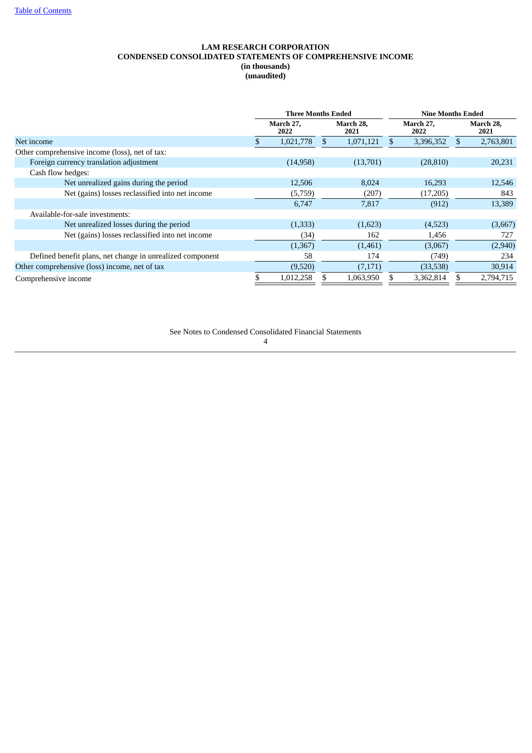## **LAM RESEARCH CORPORATION CONDENSED CONSOLIDATED STATEMENTS OF COMPREHENSIVE INCOME (in thousands) (unaudited)**

|                                                           | <b>Three Months Ended</b> |                   | <b>Nine Months Ended</b> |  |                   |
|-----------------------------------------------------------|---------------------------|-------------------|--------------------------|--|-------------------|
|                                                           | March 27,<br>2022         | March 28,<br>2021 | March 27,<br>2022        |  | March 28,<br>2021 |
| Net income                                                | 1,021,778                 | 1,071,121         | 3,396,352                |  | 2,763,801         |
| Other comprehensive income (loss), net of tax:            |                           |                   |                          |  |                   |
| Foreign currency translation adjustment                   | (14,958)                  | (13,701)          | (28, 810)                |  | 20,231            |
| Cash flow hedges:                                         |                           |                   |                          |  |                   |
| Net unrealized gains during the period                    | 12,506                    | 8,024             | 16,293                   |  | 12,546            |
| Net (gains) losses reclassified into net income           | (5,759)                   | (207)             | (17,205)                 |  | 843               |
|                                                           | 6,747                     | 7,817             | (912)                    |  | 13,389            |
| Available-for-sale investments:                           |                           |                   |                          |  |                   |
| Net unrealized losses during the period                   | (1,333)                   | (1,623)           | (4,523)                  |  | (3,667)           |
| Net (gains) losses reclassified into net income           | (34)                      | 162               | 1,456                    |  | 727               |
|                                                           | (1,367)                   | (1,461)           | (3,067)                  |  | (2,940)           |
| Defined benefit plans, net change in unrealized component | 58                        | 174               | (749)                    |  | 234               |
| Other comprehensive (loss) income, net of tax             | (9,520)                   | (7,171)           | (33,538)                 |  | 30,914            |
| Comprehensive income                                      | 1,012,258                 | 1,063,950         | 3,362,814                |  | 2.794.715         |

<span id="page-3-0"></span>See Notes to Condensed Consolidated Financial Statements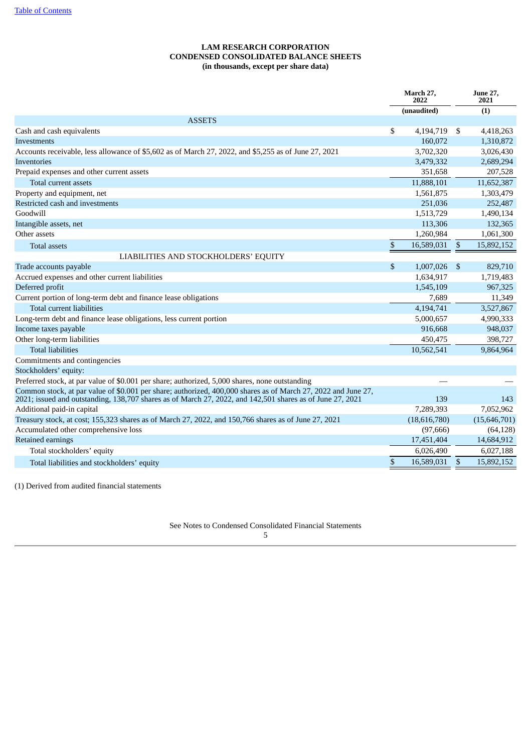## **LAM RESEARCH CORPORATION CONDENSED CONSOLIDATED BALANCE SHEETS (in thousands, except per share data)**

|                                                                                                                                                                                                                            |              | March 27.<br>2022 |              | <b>June 27,</b><br>2021 |
|----------------------------------------------------------------------------------------------------------------------------------------------------------------------------------------------------------------------------|--------------|-------------------|--------------|-------------------------|
|                                                                                                                                                                                                                            |              | (unaudited)       |              | (1)                     |
| <b>ASSETS</b>                                                                                                                                                                                                              |              |                   |              |                         |
| Cash and cash equivalents                                                                                                                                                                                                  | \$           | 4,194,719         | \$           | 4,418,263               |
| Investments                                                                                                                                                                                                                |              | 160,072           |              | 1,310,872               |
| Accounts receivable, less allowance of \$5,602 as of March 27, 2022, and \$5,255 as of June 27, 2021                                                                                                                       |              | 3,702,320         |              | 3,026,430               |
| Inventories                                                                                                                                                                                                                |              | 3,479,332         |              | 2,689,294               |
| Prepaid expenses and other current assets                                                                                                                                                                                  |              | 351,658           |              | 207,528                 |
| Total current assets                                                                                                                                                                                                       |              | 11,888,101        |              | 11,652,387              |
| Property and equipment, net                                                                                                                                                                                                |              | 1,561,875         |              | 1,303,479               |
| Restricted cash and investments                                                                                                                                                                                            |              | 251,036           |              | 252,487                 |
| Goodwill                                                                                                                                                                                                                   |              | 1,513,729         |              | 1,490,134               |
| Intangible assets, net                                                                                                                                                                                                     |              | 113,306           |              | 132,365                 |
| Other assets                                                                                                                                                                                                               |              | 1,260,984         |              | 1,061,300               |
| <b>Total assets</b>                                                                                                                                                                                                        | \$           | 16,589,031        | $\mathbb{S}$ | 15,892,152              |
| LIABILITIES AND STOCKHOLDERS' EQUITY                                                                                                                                                                                       |              |                   |              |                         |
| Trade accounts payable                                                                                                                                                                                                     | \$           | 1,007,026         | \$           | 829,710                 |
| Accrued expenses and other current liabilities                                                                                                                                                                             |              | 1,634,917         |              | 1,719,483               |
| Deferred profit                                                                                                                                                                                                            |              | 1,545,109         |              | 967,325                 |
| Current portion of long-term debt and finance lease obligations                                                                                                                                                            |              | 7,689             |              | 11,349                  |
| <b>Total current liabilities</b>                                                                                                                                                                                           |              | 4,194,741         |              | 3,527,867               |
| Long-term debt and finance lease obligations, less current portion                                                                                                                                                         |              | 5,000,657         |              | 4,990,333               |
| Income taxes payable                                                                                                                                                                                                       |              | 916,668           |              | 948,037                 |
| Other long-term liabilities                                                                                                                                                                                                |              | 450,475           |              | 398,727                 |
| <b>Total liabilities</b>                                                                                                                                                                                                   |              | 10,562,541        |              | 9,864,964               |
| Commitments and contingencies                                                                                                                                                                                              |              |                   |              |                         |
| Stockholders' equity:                                                                                                                                                                                                      |              |                   |              |                         |
| Preferred stock, at par value of \$0.001 per share; authorized, 5,000 shares, none outstanding                                                                                                                             |              |                   |              |                         |
| Common stock, at par value of \$0.001 per share; authorized, 400,000 shares as of March 27, 2022 and June 27,<br>2021; issued and outstanding, 138,707 shares as of March 27, 2022, and 142,501 shares as of June 27, 2021 |              | 139               |              | 143                     |
| Additional paid-in capital                                                                                                                                                                                                 |              | 7,289,393         |              | 7,052,962               |
| Treasury stock, at cost; 155,323 shares as of March 27, 2022, and 150,766 shares as of June 27, 2021                                                                                                                       |              | (18,616,780)      |              | (15,646,701)            |
| Accumulated other comprehensive loss                                                                                                                                                                                       |              | (97, 666)         |              | (64, 128)               |
| Retained earnings                                                                                                                                                                                                          |              | 17,451,404        |              | 14,684,912              |
| Total stockholders' equity                                                                                                                                                                                                 |              | 6,026,490         |              | 6,027,188               |
| Total liabilities and stockholders' equity                                                                                                                                                                                 | $\mathbb{S}$ | 16,589,031        | $\mathbb{S}$ | 15,892,152              |

<span id="page-4-0"></span>(1) Derived from audited financial statements

See Notes to Condensed Consolidated Financial Statements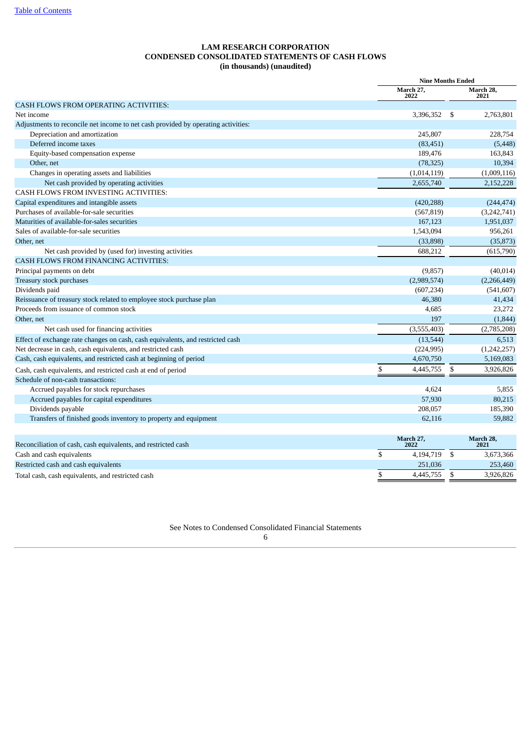## **LAM RESEARCH CORPORATION CONDENSED CONSOLIDATED STATEMENTS OF CASH FLOWS (in thousands) (unaudited)**

|                                                                                   | <b>Nine Months Ended</b> |                   |
|-----------------------------------------------------------------------------------|--------------------------|-------------------|
|                                                                                   | March 27,<br>2022        | March 28,<br>2021 |
| CASH FLOWS FROM OPERATING ACTIVITIES:                                             |                          |                   |
| Net income                                                                        | 3,396,352                | \$<br>2,763,801   |
| Adjustments to reconcile net income to net cash provided by operating activities: |                          |                   |
| Depreciation and amortization                                                     | 245,807                  | 228,754           |
| Deferred income taxes                                                             | (83, 451)                | (5, 448)          |
| Equity-based compensation expense                                                 | 189,476                  | 163,843           |
| Other, net                                                                        | (78, 325)                | 10,394            |
| Changes in operating assets and liabilities                                       | (1,014,119)              | (1,009,116)       |
| Net cash provided by operating activities                                         | 2,655,740                | 2,152,228         |
| CASH FLOWS FROM INVESTING ACTIVITIES:                                             |                          |                   |
| Capital expenditures and intangible assets                                        | (420, 288)               | (244, 474)        |
| Purchases of available-for-sale securities                                        | (567, 819)               | (3,242,741)       |
| Maturities of available-for-sales securities                                      | 167,123                  | 1,951,037         |
| Sales of available-for-sale securities                                            | 1,543,094                | 956,261           |
| Other, net                                                                        | (33,898)                 | (35, 873)         |
| Net cash provided by (used for) investing activities                              | 688,212                  | (615,790)         |
| <b>CASH FLOWS FROM FINANCING ACTIVITIES:</b>                                      |                          |                   |
| Principal payments on debt                                                        | (9, 857)                 | (40, 014)         |
| Treasury stock purchases                                                          | (2,989,574)              | (2,266,449)       |
| Dividends paid                                                                    | (607, 234)               | (541, 607)        |
| Reissuance of treasury stock related to employee stock purchase plan              | 46,380                   | 41,434            |
| Proceeds from issuance of common stock                                            | 4,685                    | 23,272            |
| Other, net                                                                        | 197                      | (1,844)           |
| Net cash used for financing activities                                            | (3,555,403)              | (2,785,208)       |
| Effect of exchange rate changes on cash, cash equivalents, and restricted cash    | (13, 544)                | 6,513             |
| Net decrease in cash, cash equivalents, and restricted cash                       | (224, 995)               | (1,242,257)       |
| Cash, cash equivalents, and restricted cash at beginning of period                | 4,670,750                | 5,169,083         |
| Cash, cash equivalents, and restricted cash at end of period                      | \$<br>4,445,755          | \$<br>3,926,826   |
| Schedule of non-cash transactions:                                                |                          |                   |
| Accrued payables for stock repurchases                                            | 4,624                    | 5,855             |
| Accrued payables for capital expenditures                                         | 57,930                   | 80,215            |
| Dividends payable                                                                 | 208,057                  | 185,390           |
| Transfers of finished goods inventory to property and equipment                   | 62,116                   | 59,882            |
|                                                                                   |                          |                   |
| Reconciliation of cash, cash equivalents, and restricted cash                     | March 27,<br>2022        | March 28,<br>2021 |
| Cash and cash equivalents                                                         | \$<br>4,194,719          | \$<br>3,673,366   |
| Restricted cash and cash equivalents                                              | 251,036                  | 253,460           |
| Total cash, cash equivalents, and restricted cash                                 | \$<br>4,445,755          | \$<br>3,926,826   |
|                                                                                   |                          |                   |

<span id="page-5-0"></span>See Notes to Condensed Consolidated Financial Statements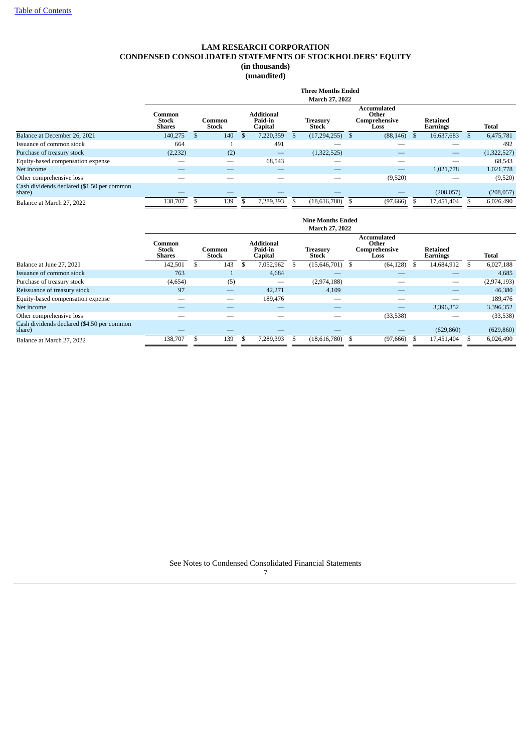## **LAM RESEARCH CORPORATION CONDENSED CONSOLIDATED STATEMENTS OF STOCKHOLDERS' EQUITY (in thousands)**

**(unaudited)**

|                                                      |                                         |                        |                                         |    | <b>Three Months Ended</b><br>March 27, 2022 |                                                      |                             |              |
|------------------------------------------------------|-----------------------------------------|------------------------|-----------------------------------------|----|---------------------------------------------|------------------------------------------------------|-----------------------------|--------------|
|                                                      | Common<br><b>Stock</b><br><b>Shares</b> | Common<br><b>Stock</b> | <b>Additional</b><br>Paid-in<br>Capital |    | <b>Treasury</b><br>Stock                    | <b>Accumulated</b><br>Other<br>Comprehensive<br>Loss | <b>Retained</b><br>Earnings | <b>Total</b> |
| Balance at December 26, 2021                         | 140,275                                 | 140                    | 7,220,359                               | .S | (17, 294, 255)                              | (88, 146)                                            | 16,637,683                  | 6,475,781    |
| Issuance of common stock                             | 664                                     |                        | 491                                     |    |                                             |                                                      |                             | 492          |
| Purchase of treasury stock                           | (2,232)                                 | (2)                    | —                                       |    | (1,322,525)                                 |                                                      |                             | (1,322,527)  |
| Equity-based compensation expense                    |                                         |                        | 68,543                                  |    |                                             |                                                      |                             | 68,543       |
| Net income                                           |                                         |                        |                                         |    |                                             |                                                      | 1.021.778                   | 1,021,778    |
| Other comprehensive loss                             |                                         |                        |                                         |    |                                             | (9,520)                                              |                             | (9,520)      |
| Cash dividends declared (\$1.50 per common<br>share) |                                         |                        |                                         |    |                                             |                                                      | (208, 057)                  | (208, 057)   |
| Balance at March 27, 2022                            | 138,707                                 | 139                    | 7,289,393                               |    | (18,616,780)                                | (97, 666)                                            | 17,451,404                  | 6,026,490    |

|                                                      |                                         |                        |     |    |                                         | <b>Nine Months Ended</b> |                                                      |                             |              |
|------------------------------------------------------|-----------------------------------------|------------------------|-----|----|-----------------------------------------|--------------------------|------------------------------------------------------|-----------------------------|--------------|
|                                                      |                                         |                        |     |    |                                         | March 27, 2022           |                                                      |                             |              |
|                                                      | Common<br><b>Stock</b><br><b>Shares</b> | Common<br><b>Stock</b> |     |    | <b>Additional</b><br>Paid-in<br>Capital | <b>Treasury</b><br>Stock | <b>Accumulated</b><br>Other<br>Comprehensive<br>Loss | <b>Retained</b><br>Earnings | <b>Total</b> |
| Balance at June 27, 2021                             | 142,501                                 |                        | 143 | Эħ | 7,052,962                               | (15,646,701)             | (64, 128)                                            | 14,684,912                  | 6,027,188    |
| Issuance of common stock                             | 763                                     |                        |     |    | 4,684                                   |                          |                                                      |                             | 4,685        |
| Purchase of treasury stock                           | (4,654)                                 |                        | (5) |    |                                         | (2,974,188)              |                                                      |                             | (2,974,193)  |
| Reissuance of treasury stock                         | 97                                      |                        |     |    | 42,271                                  | 4,109                    |                                                      | —                           | 46,380       |
| Equity-based compensation expense                    |                                         |                        |     |    | 189,476                                 |                          |                                                      |                             | 189,476      |
| Net income                                           |                                         |                        |     |    |                                         |                          |                                                      | 3,396,352                   | 3,396,352    |
| Other comprehensive loss                             |                                         |                        |     |    |                                         |                          | (33,538)                                             |                             | (33,538)     |
| Cash dividends declared (\$4.50 per common<br>share) |                                         |                        |     |    |                                         |                          |                                                      | (629, 860)                  | (629, 860)   |
| Balance at March 27, 2022                            | 138,707                                 |                        | 139 |    | 7,289,393                               | (18,616,780)             | (97,666)                                             | 17,451,404                  | 6,026,490    |

See Notes to Condensed Consolidated Financial Statements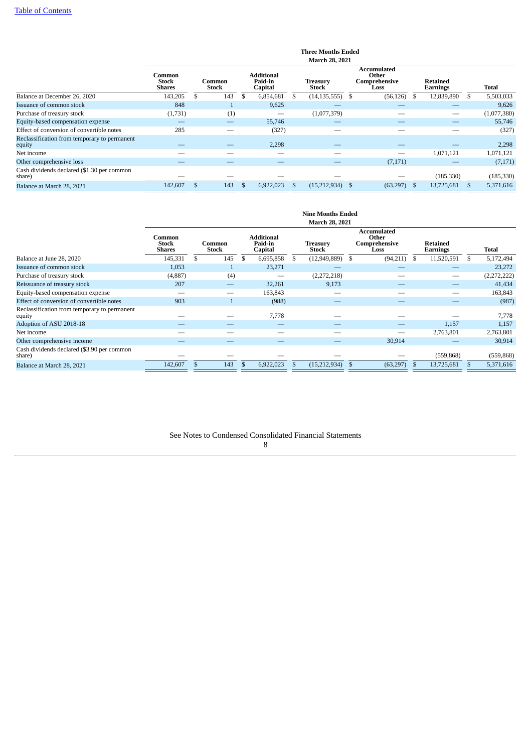|                                                        |                                         |                 |          |                                         |    | <b>Three Months Ended</b><br><b>March 28, 2021</b> |                                               |                             |             |
|--------------------------------------------------------|-----------------------------------------|-----------------|----------|-----------------------------------------|----|----------------------------------------------------|-----------------------------------------------|-----------------------------|-------------|
|                                                        | Common<br><b>Stock</b><br><b>Shares</b> | Common<br>Stock |          | <b>Additional</b><br>Paid-in<br>Capital |    | Treasurv<br>Stock                                  | Accumulated<br>Other<br>Comprehensive<br>Loss | <b>Retained</b><br>Earnings | Total       |
| Balance at December 26, 2020                           | 143,205                                 | 143             | <b>S</b> | 6,854,681                               | -S | (14, 135, 555)                                     | \$<br>(56, 126)                               | 12,839,890                  | 5,503,033   |
| Issuance of common stock                               | 848                                     | Ŧ               |          | 9,625                                   |    |                                                    |                                               |                             | 9,626       |
| Purchase of treasury stock                             | (1,731)                                 | (1)             |          |                                         |    | (1,077,379)                                        |                                               |                             | (1,077,380) |
| Equity-based compensation expense                      |                                         |                 |          | 55,746                                  |    |                                                    |                                               |                             | 55,746      |
| Effect of conversion of convertible notes              | 285                                     | __              |          | (327)                                   |    |                                                    |                                               |                             | (327)       |
| Reclassification from temporary to permanent<br>equity |                                         |                 |          | 2,298                                   |    |                                                    |                                               |                             | 2,298       |
| Net income                                             |                                         |                 |          |                                         |    |                                                    |                                               | 1,071,121                   | 1,071,121   |
| Other comprehensive loss                               |                                         |                 |          |                                         |    |                                                    | (7,171)                                       |                             | (7,171)     |
| Cash dividends declared (\$1.30 per common<br>share)   |                                         |                 |          |                                         |    |                                                    |                                               | (185, 330)                  | (185, 330)  |
| Balance at March 28, 2021                              | 142,607                                 | 143             |          | 6,922,023                               |    | (15,212,934)                                       | (63, 297)                                     | 13,725,681                  | 5,371,616   |
|                                                        |                                         |                 |          |                                         |    |                                                    |                                               |                             |             |

|                                                        |                                  |                 |                          |                                         |    | <b>Nine Months Ended</b> |   |                                                      |      |                             |   |              |
|--------------------------------------------------------|----------------------------------|-----------------|--------------------------|-----------------------------------------|----|--------------------------|---|------------------------------------------------------|------|-----------------------------|---|--------------|
|                                                        |                                  |                 |                          |                                         |    | <b>March 28, 2021</b>    |   |                                                      |      |                             |   |              |
|                                                        | Common<br>Stock<br><b>Shares</b> | Common<br>Stock |                          | <b>Additional</b><br>Paid-in<br>Capital |    | <b>Treasury</b><br>Stock |   | <b>Accumulated</b><br>Other<br>Comprehensive<br>Loss |      | <b>Retained</b><br>Earnings |   | <b>Total</b> |
| Balance at June 28, 2020                               | 145,331                          | 145             | £.                       | 6,695,858                               | -S | (12, 949, 889)           |   | (94,211)                                             | - \$ | 11,520,591                  | S | 5,172,494    |
| Issuance of common stock                               | 1,053                            |                 |                          | 23,271                                  |    |                          |   |                                                      |      |                             |   | 23,272       |
| Purchase of treasury stock                             | (4,887)                          |                 | (4)                      |                                         |    | (2,272,218)              |   |                                                      |      |                             |   | (2,272,222)  |
| Reissuance of treasury stock                           | 207                              |                 | $\overline{\phantom{0}}$ | 32,261                                  |    | 9,173                    |   |                                                      |      |                             |   | 41,434       |
| Equity-based compensation expense                      |                                  |                 |                          | 163,843                                 |    |                          |   |                                                      |      |                             |   | 163,843      |
| Effect of conversion of convertible notes              | 903                              |                 |                          | (988)                                   |    |                          |   |                                                      |      |                             |   | (987)        |
| Reclassification from temporary to permanent<br>equity |                                  |                 |                          | 7,778                                   |    |                          |   |                                                      |      |                             |   | 7,778        |
| Adoption of ASU 2018-18                                |                                  |                 |                          |                                         |    |                          |   |                                                      |      | 1,157                       |   | 1,157        |
| Net income                                             |                                  |                 |                          |                                         |    |                          |   |                                                      |      | 2,763,801                   |   | 2,763,801    |
| Other comprehensive income                             |                                  |                 |                          |                                         |    |                          |   | 30,914                                               |      |                             |   | 30,914       |
| Cash dividends declared (\$3.90 per common<br>share)   |                                  |                 |                          |                                         |    |                          |   |                                                      |      | (559, 868)                  |   | (559, 868)   |
| Balance at March 28, 2021                              | 142,607                          | 143             |                          | 6,922,023                               |    | (15, 212, 934)           | ъ | (63, 297)                                            |      | 13,725,681                  |   | 5,371,616    |

## <span id="page-7-0"></span>See Notes to Condensed Consolidated Financial Statements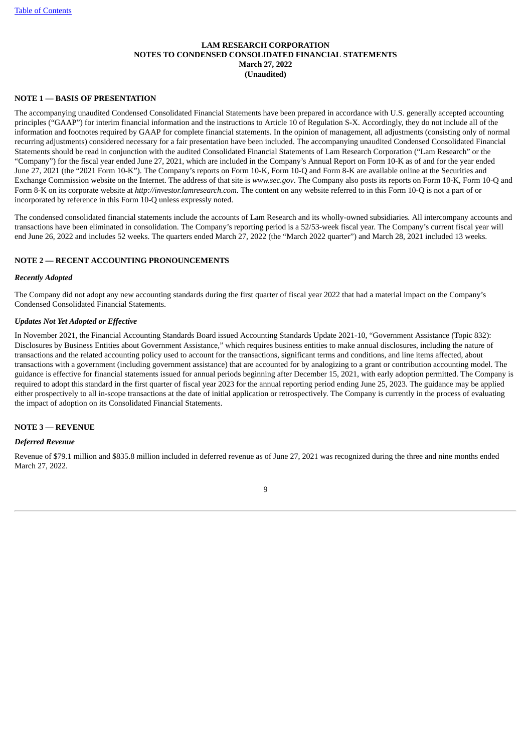## **LAM RESEARCH CORPORATION NOTES TO CONDENSED CONSOLIDATED FINANCIAL STATEMENTS March 27, 2022 (Unaudited)**

#### **NOTE 1 — BASIS OF PRESENTATION**

The accompanying unaudited Condensed Consolidated Financial Statements have been prepared in accordance with U.S. generally accepted accounting principles ("GAAP") for interim financial information and the instructions to Article 10 of Regulation S-X. Accordingly, they do not include all of the information and footnotes required by GAAP for complete financial statements. In the opinion of management, all adjustments (consisting only of normal recurring adjustments) considered necessary for a fair presentation have been included. The accompanying unaudited Condensed Consolidated Financial Statements should be read in conjunction with the audited Consolidated Financial Statements of Lam Research Corporation ("Lam Research" or the "Company") for the fiscal year ended June 27, 2021, which are included in the Company's Annual Report on Form 10-K as of and for the year ended June 27, 2021 (the "2021 Form 10-K"). The Company's reports on Form 10-K, Form 10-Q and Form 8-K are available online at the Securities and Exchange Commission website on the Internet. The address of that site is *www.sec.gov*. The Company also posts its reports on Form 10-K, Form 10-Q and Form 8-K on its corporate website at *http://investor.lamresearch.com*. The content on any website referred to in this Form 10-Q is not a part of or incorporated by reference in this Form 10-Q unless expressly noted.

The condensed consolidated financial statements include the accounts of Lam Research and its wholly-owned subsidiaries. All intercompany accounts and transactions have been eliminated in consolidation. The Company's reporting period is a 52/53-week fiscal year. The Company's current fiscal year will end June 26, 2022 and includes 52 weeks. The quarters ended March 27, 2022 (the "March 2022 quarter") and March 28, 2021 included 13 weeks.

#### **NOTE 2 — RECENT ACCOUNTING PRONOUNCEMENTS**

#### *Recently Adopted*

The Company did not adopt any new accounting standards during the first quarter of fiscal year 2022 that had a material impact on the Company's Condensed Consolidated Financial Statements.

#### *Updates Not Yet Adopted or Effective*

In November 2021, the Financial Accounting Standards Board issued Accounting Standards Update 2021-10, "Government Assistance (Topic 832): Disclosures by Business Entities about Government Assistance," which requires business entities to make annual disclosures, including the nature of transactions and the related accounting policy used to account for the transactions, significant terms and conditions, and line items affected, about transactions with a government (including government assistance) that are accounted for by analogizing to a grant or contribution accounting model. The guidance is effective for financial statements issued for annual periods beginning after December 15, 2021, with early adoption permitted. The Company is required to adopt this standard in the first quarter of fiscal year 2023 for the annual reporting period ending June 25, 2023. The guidance may be applied either prospectively to all in-scope transactions at the date of initial application or retrospectively. The Company is currently in the process of evaluating the impact of adoption on its Consolidated Financial Statements.

#### **NOTE 3 — REVENUE**

#### *Deferred Revenue*

Revenue of \$79.1 million and \$835.8 million included in deferred revenue as of June 27, 2021 was recognized during the three and nine months ended March 27, 2022.

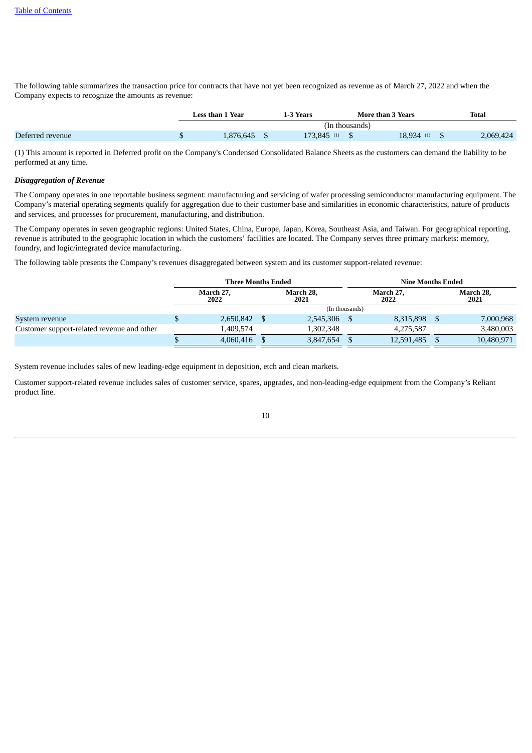The following table summarizes the transaction price for contracts that have not yet been recognized as revenue as of March 27, 2022 and when the Company expects to recognize the amounts as revenue:

|                  | Less than 1 Year |           | 1-3 Years     |                | More than 3 Years | Total |           |
|------------------|------------------|-----------|---------------|----------------|-------------------|-------|-----------|
|                  |                  |           |               | (In thousands) |                   |       |           |
| Deferred revenue |                  | 1,876,645 | $173.845$ (1) |                | 18.934 (1)        |       | 2,069,424 |

(1) This amount is reported in Deferred profit on the Company's Condensed Consolidated Balance Sheets as the customers can demand the liability to be performed at any time.

#### *Disaggregation of Revenue*

The Company operates in one reportable business segment: manufacturing and servicing of wafer processing semiconductor manufacturing equipment. The Company's material operating segments qualify for aggregation due to their customer base and similarities in economic characteristics, nature of products and services, and processes for procurement, manufacturing, and distribution.

The Company operates in seven geographic regions: United States, China, Europe, Japan, Korea, Southeast Asia, and Taiwan. For geographical reporting, revenue is attributed to the geographic location in which the customers' facilities are located. The Company serves three primary markets: memory, foundry, and logic/integrated device manufacturing.

The following table presents the Company's revenues disaggregated between system and its customer support-related revenue:

|                                            |   | <b>Three Months Ended</b> |  | <b>Nine Months Ended</b> |                   |  |                   |  |  |  |
|--------------------------------------------|---|---------------------------|--|--------------------------|-------------------|--|-------------------|--|--|--|
|                                            |   | March 27,<br>2022         |  | March 28,<br>2021        | March 27,<br>2022 |  | March 28,<br>2021 |  |  |  |
|                                            |   |                           |  | (In thousands)           |                   |  |                   |  |  |  |
| System revenue                             | Φ | 2,650,842                 |  | 2,545,306                | 8,315,898         |  | 7,000,968         |  |  |  |
| Customer support-related revenue and other |   | 1.409.574                 |  | 1.302.348                | 4.275.587         |  | 3,480,003         |  |  |  |
|                                            |   | 4.060.416                 |  | 3,847,654                | 12,591,485        |  | 10,480,971        |  |  |  |

System revenue includes sales of new leading-edge equipment in deposition, etch and clean markets.

Customer support-related revenue includes sales of customer service, spares, upgrades, and non-leading-edge equipment from the Company's Reliant product line.

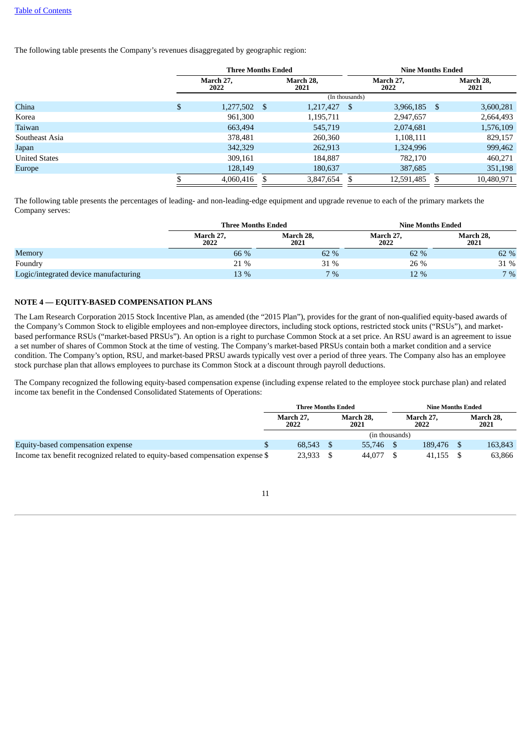The following table presents the Company's revenues disaggregated by geographic region:

|                      | <b>Three Months Ended</b> |           |                |                   |                   | <b>Nine Months Ended</b> |   |                   |  |  |  |  |
|----------------------|---------------------------|-----------|----------------|-------------------|-------------------|--------------------------|---|-------------------|--|--|--|--|
|                      | March 27,<br>2022         |           |                | March 28.<br>2021 | March 27,<br>2022 |                          |   | March 28,<br>2021 |  |  |  |  |
|                      |                           |           | (In thousands) |                   |                   |                          |   |                   |  |  |  |  |
| China                | \$                        | 1,277,502 | \$             | 1,217,427         | S                 | 3,966,185                | S | 3,600,281         |  |  |  |  |
| Korea                |                           | 961,300   |                | 1,195,711         |                   | 2,947,657                |   | 2,664,493         |  |  |  |  |
| Taiwan               |                           | 663,494   |                | 545,719           |                   | 2,074,681                |   | 1,576,109         |  |  |  |  |
| Southeast Asia       |                           | 378,481   |                | 260,360           |                   | 1,108,111                |   | 829,157           |  |  |  |  |
| Japan                |                           | 342,329   |                | 262,913           |                   | 1,324,996                |   | 999,462           |  |  |  |  |
| <b>United States</b> |                           | 309,161   |                | 184,887           |                   | 782,170                  |   | 460,271           |  |  |  |  |
| Europe               |                           | 128,149   |                | 180,637           |                   | 387,685                  |   | 351,198           |  |  |  |  |
|                      |                           | 4,060,416 | S              | 3,847,654         | S                 | 12,591,485               |   | 10,480,971        |  |  |  |  |

The following table presents the percentages of leading- and non-leading-edge equipment and upgrade revenue to each of the primary markets the Company serves:

|                                       | <b>Three Months Ended</b> |                   | <b>Nine Months Ended</b> |                   |  |  |  |  |
|---------------------------------------|---------------------------|-------------------|--------------------------|-------------------|--|--|--|--|
|                                       | March 27,<br>2022         | March 28,<br>2021 | March 27,<br>2022        | March 28,<br>2021 |  |  |  |  |
| Memory                                | 66 %                      | 62 %              | 62 %                     | 62 %              |  |  |  |  |
| Foundry                               | 21 %                      | 31 %              | 26 %                     | 31 %              |  |  |  |  |
| Logic/integrated device manufacturing | 13 %                      | $7\%$             | 12 %                     | 7%                |  |  |  |  |

## **NOTE 4 — EQUITY-BASED COMPENSATION PLANS**

The Lam Research Corporation 2015 Stock Incentive Plan, as amended (the "2015 Plan"), provides for the grant of non-qualified equity-based awards of the Company's Common Stock to eligible employees and non-employee directors, including stock options, restricted stock units ("RSUs"), and marketbased performance RSUs ("market-based PRSUs"). An option is a right to purchase Common Stock at a set price. An RSU award is an agreement to issue a set number of shares of Common Stock at the time of vesting. The Company's market-based PRSUs contain both a market condition and a service condition. The Company's option, RSU, and market-based PRSU awards typically vest over a period of three years. The Company also has an employee stock purchase plan that allows employees to purchase its Common Stock at a discount through payroll deductions.

The Company recognized the following equity-based compensation expense (including expense related to the employee stock purchase plan) and related income tax benefit in the Condensed Consolidated Statements of Operations:

|                                                                               | <b>Three Months Ended</b> |                   |                | <b>Nine Months Ended</b> |  |                   |  |
|-------------------------------------------------------------------------------|---------------------------|-------------------|----------------|--------------------------|--|-------------------|--|
|                                                                               | March 27.<br>2022         | March 28.<br>2021 |                | March 27.<br>2022        |  | March 28,<br>2021 |  |
|                                                                               |                           |                   | (in thousands) |                          |  |                   |  |
| Equity-based compensation expense                                             | 68.543                    |                   | 55,746         | 189.476                  |  | 163.843           |  |
| Income tax benefit recognized related to equity-based compensation expense \$ | 23,933                    |                   | 44,077         | 41.155                   |  | 63,866            |  |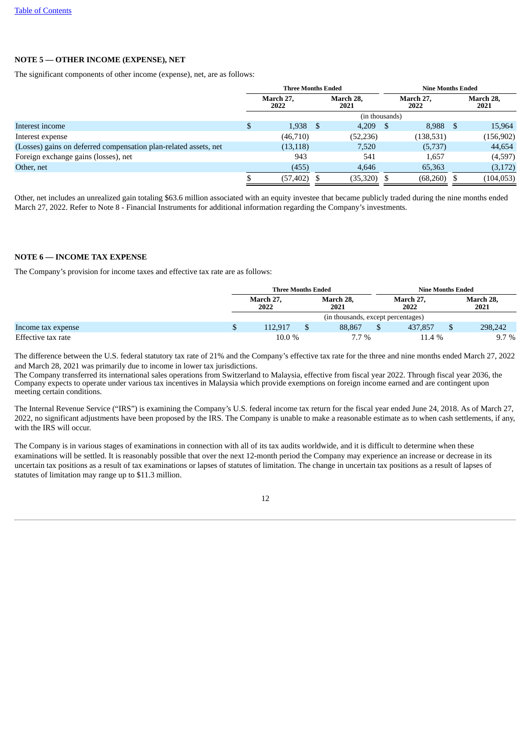## **NOTE 5 — OTHER INCOME (EXPENSE), NET**

The significant components of other income (expense), net, are as follows:

|                                                                  |   | <b>Three Months Ended</b> |    |                   |      |                   |      | <b>Nine Months Ended</b> |  |  |
|------------------------------------------------------------------|---|---------------------------|----|-------------------|------|-------------------|------|--------------------------|--|--|
|                                                                  |   | March 27.<br>2022         |    | March 28.<br>2021 |      | March 27.<br>2022 |      | March 28,<br>2021        |  |  |
|                                                                  |   |                           |    | (in thousands)    |      |                   |      |                          |  |  |
| Interest income                                                  | D | 1,938                     | -S | 4,209             | - \$ | 8,988             | - \$ | 15,964                   |  |  |
| Interest expense                                                 |   | (46,710)                  |    | (52, 236)         |      | (138, 531)        |      | (156, 902)               |  |  |
| (Losses) gains on deferred compensation plan-related assets, net |   | (13, 118)                 |    | 7,520             |      | (5,737)           |      | 44,654                   |  |  |
| Foreign exchange gains (losses), net                             |   | 943                       |    | 541               |      | 1,657             |      | (4,597)                  |  |  |
| Other, net                                                       |   | (455)                     |    | 4,646             |      | 65,363            |      | (3,172)                  |  |  |
|                                                                  |   | (57, 402)                 |    | (35, 320)         | -8   | (68,260)          |      | (104, 053)               |  |  |
|                                                                  |   |                           |    |                   |      |                   |      |                          |  |  |

Other, net includes an unrealized gain totaling \$63.6 million associated with an equity investee that became publicly traded during the nine months ended March 27, 2022. Refer to Note 8 - Financial Instruments for additional information regarding the Company's investments.

#### **NOTE 6 — INCOME TAX EXPENSE**

The Company's provision for income taxes and effective tax rate are as follows:

|                    | <b>Three Months Ended</b> |                   |                                    |                   |  | <b>Nine Months Ended</b> |  |  |  |
|--------------------|---------------------------|-------------------|------------------------------------|-------------------|--|--------------------------|--|--|--|
|                    | March 27.<br>2022         | March 28,<br>2021 |                                    | March 27,<br>2022 |  | March 28,<br>2021        |  |  |  |
|                    |                           |                   | (in thousands, except percentages) |                   |  |                          |  |  |  |
| Income tax expense | 112.917                   | 88,867            |                                    | 437,857           |  | 298,242                  |  |  |  |
| Effective tax rate | $10.0 \%$                 | $7.7\%$           |                                    | $11.4\%$          |  | $9.7\%$                  |  |  |  |

The difference between the U.S. federal statutory tax rate of 21% and the Company's effective tax rate for the three and nine months ended March 27, 2022 and March 28, 2021 was primarily due to income in lower tax jurisdictions.

The Company transferred its international sales operations from Switzerland to Malaysia, effective from fiscal year 2022. Through fiscal year 2036, the Company expects to operate under various tax incentives in Malaysia which provide exemptions on foreign income earned and are contingent upon meeting certain conditions.

The Internal Revenue Service ("IRS") is examining the Company's U.S. federal income tax return for the fiscal year ended June 24, 2018. As of March 27, 2022, no significant adjustments have been proposed by the IRS. The Company is unable to make a reasonable estimate as to when cash settlements, if any, with the IRS will occur.

The Company is in various stages of examinations in connection with all of its tax audits worldwide, and it is difficult to determine when these examinations will be settled. It is reasonably possible that over the next 12-month period the Company may experience an increase or decrease in its uncertain tax positions as a result of tax examinations or lapses of statutes of limitation. The change in uncertain tax positions as a result of lapses of statutes of limitation may range up to \$11.3 million.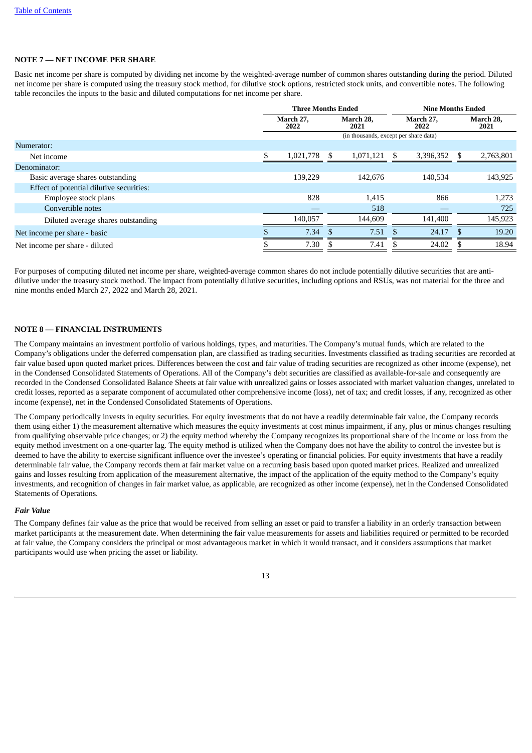#### **NOTE 7 — NET INCOME PER SHARE**

Basic net income per share is computed by dividing net income by the weighted-average number of common shares outstanding during the period. Diluted net income per share is computed using the treasury stock method, for dilutive stock options, restricted stock units, and convertible notes. The following table reconciles the inputs to the basic and diluted computations for net income per share.

|                                          | <b>Three Months Ended</b>                                   |           |    |                                       |  | <b>Nine Months Ended</b> |     |                   |
|------------------------------------------|-------------------------------------------------------------|-----------|----|---------------------------------------|--|--------------------------|-----|-------------------|
|                                          | March 28.<br>March 27,<br>March 27,<br>2022<br>2021<br>2022 |           |    |                                       |  |                          |     | March 28,<br>2021 |
|                                          |                                                             |           |    | (in thousands, except per share data) |  |                          |     |                   |
| Numerator:                               |                                                             |           |    |                                       |  |                          |     |                   |
| Net income                               |                                                             | 1,021,778 | -S | $1,071,121$ \$                        |  | 3,396,352                | -S  | 2,763,801         |
| Denominator:                             |                                                             |           |    |                                       |  |                          |     |                   |
| Basic average shares outstanding         |                                                             | 139.229   |    | 142,676                               |  | 140.534                  |     | 143,925           |
| Effect of potential dilutive securities: |                                                             |           |    |                                       |  |                          |     |                   |
| Employee stock plans                     |                                                             | 828       |    | 1,415                                 |  | 866                      |     | 1,273             |
| Convertible notes                        |                                                             |           |    | 518                                   |  |                          |     | 725               |
| Diluted average shares outstanding       |                                                             | 140,057   |    | 144,609                               |  | 141,400                  |     | 145,923           |
| Net income per share - basic             |                                                             | 7.34      |    | $7.51$ \$                             |  | 24.17                    | \$. | 19.20             |
| Net income per share - diluted           |                                                             | 7.30      |    | 7.41                                  |  | 24.02                    |     | 18.94             |

For purposes of computing diluted net income per share, weighted-average common shares do not include potentially dilutive securities that are antidilutive under the treasury stock method. The impact from potentially dilutive securities, including options and RSUs, was not material for the three and nine months ended March 27, 2022 and March 28, 2021.

## **NOTE 8 — FINANCIAL INSTRUMENTS**

The Company maintains an investment portfolio of various holdings, types, and maturities. The Company's mutual funds, which are related to the Company's obligations under the deferred compensation plan, are classified as trading securities. Investments classified as trading securities are recorded at fair value based upon quoted market prices. Differences between the cost and fair value of trading securities are recognized as other income (expense), net in the Condensed Consolidated Statements of Operations. All of the Company's debt securities are classified as available-for-sale and consequently are recorded in the Condensed Consolidated Balance Sheets at fair value with unrealized gains or losses associated with market valuation changes, unrelated to credit losses, reported as a separate component of accumulated other comprehensive income (loss), net of tax; and credit losses, if any, recognized as other income (expense), net in the Condensed Consolidated Statements of Operations.

The Company periodically invests in equity securities. For equity investments that do not have a readily determinable fair value, the Company records them using either 1) the measurement alternative which measures the equity investments at cost minus impairment, if any, plus or minus changes resulting from qualifying observable price changes; or 2) the equity method whereby the Company recognizes its proportional share of the income or loss from the equity method investment on a one-quarter lag. The equity method is utilized when the Company does not have the ability to control the investee but is deemed to have the ability to exercise significant influence over the investee's operating or financial policies. For equity investments that have a readily determinable fair value, the Company records them at fair market value on a recurring basis based upon quoted market prices. Realized and unrealized gains and losses resulting from application of the measurement alternative, the impact of the application of the equity method to the Company's equity investments, and recognition of changes in fair market value, as applicable, are recognized as other income (expense), net in the Condensed Consolidated Statements of Operations.

#### *Fair Value*

The Company defines fair value as the price that would be received from selling an asset or paid to transfer a liability in an orderly transaction between market participants at the measurement date. When determining the fair value measurements for assets and liabilities required or permitted to be recorded at fair value, the Company considers the principal or most advantageous market in which it would transact, and it considers assumptions that market participants would use when pricing the asset or liability.

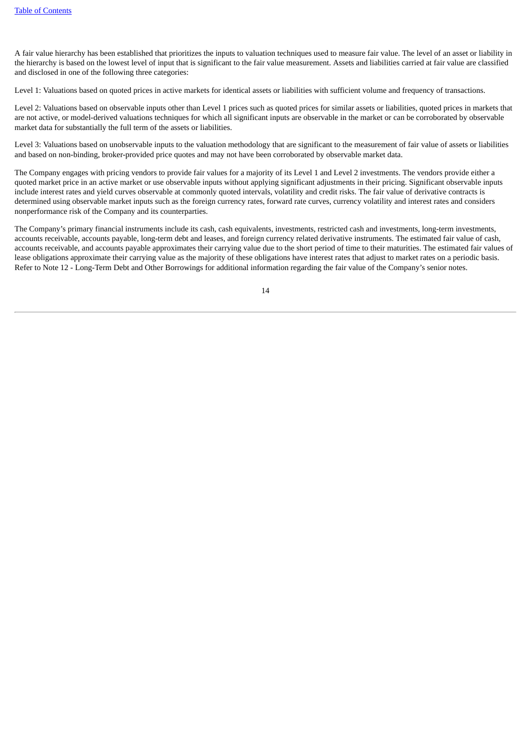A fair value hierarchy has been established that prioritizes the inputs to valuation techniques used to measure fair value. The level of an asset or liability in the hierarchy is based on the lowest level of input that is significant to the fair value measurement. Assets and liabilities carried at fair value are classified and disclosed in one of the following three categories:

Level 1: Valuations based on quoted prices in active markets for identical assets or liabilities with sufficient volume and frequency of transactions.

Level 2: Valuations based on observable inputs other than Level 1 prices such as quoted prices for similar assets or liabilities, quoted prices in markets that are not active, or model-derived valuations techniques for which all significant inputs are observable in the market or can be corroborated by observable market data for substantially the full term of the assets or liabilities.

Level 3: Valuations based on unobservable inputs to the valuation methodology that are significant to the measurement of fair value of assets or liabilities and based on non-binding, broker-provided price quotes and may not have been corroborated by observable market data.

The Company engages with pricing vendors to provide fair values for a majority of its Level 1 and Level 2 investments. The vendors provide either a quoted market price in an active market or use observable inputs without applying significant adjustments in their pricing. Significant observable inputs include interest rates and yield curves observable at commonly quoted intervals, volatility and credit risks. The fair value of derivative contracts is determined using observable market inputs such as the foreign currency rates, forward rate curves, currency volatility and interest rates and considers nonperformance risk of the Company and its counterparties.

The Company's primary financial instruments include its cash, cash equivalents, investments, restricted cash and investments, long-term investments, accounts receivable, accounts payable, long-term debt and leases, and foreign currency related derivative instruments. The estimated fair value of cash, accounts receivable, and accounts payable approximates their carrying value due to the short period of time to their maturities. The estimated fair values of lease obligations approximate their carrying value as the majority of these obligations have interest rates that adjust to market rates on a periodic basis. Refer to Note 12 - Long-Term Debt and Other Borrowings for additional information regarding the fair value of the Company's senior notes.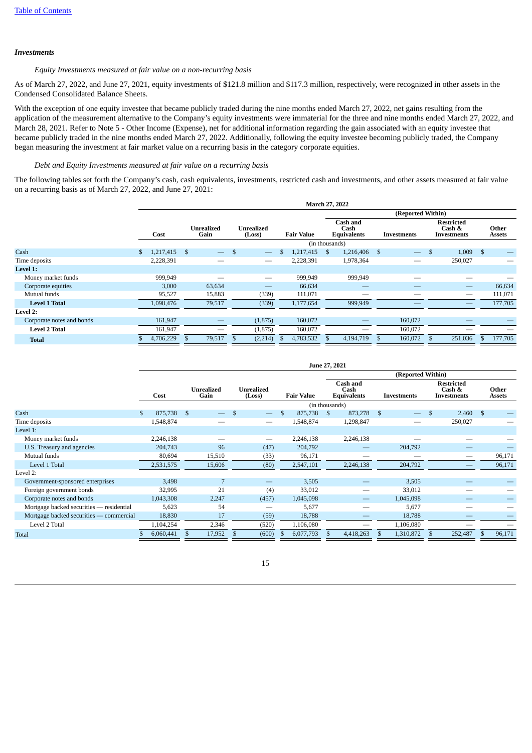#### *Investments*

#### *Equity Investments measured at fair value on a non-recurring basis*

As of March 27, 2022, and June 27, 2021, equity investments of \$121.8 million and \$117.3 million, respectively, were recognized in other assets in the Condensed Consolidated Balance Sheets.

With the exception of one equity investee that became publicly traded during the nine months ended March 27, 2022, net gains resulting from the application of the measurement alternative to the Company's equity investments were immaterial for the three and nine months ended March 27, 2022, and March 28, 2021. Refer to Note 5 - Other Income (Expense), net for additional information regarding the gain associated with an equity investee that became publicly traded in the nine months ended March 27, 2022. Additionally, following the equity investee becoming publicly traded, the Company began measuring the investment at fair market value on a recurring basis in the category corporate equities.

#### *Debt and Equity Investments measured at fair value on a recurring basis*

The following tables set forth the Company's cash, cash equivalents, investments, restricted cash and investments, and other assets measured at fair value on a recurring basis as of March 27, 2022, and June 27, 2021:

|                           |     | March 27, 2022 |                           |                          |                      |          |                   |                |                                        |           |    |                          |                                            |                          |      |                        |  |
|---------------------------|-----|----------------|---------------------------|--------------------------|----------------------|----------|-------------------|----------------|----------------------------------------|-----------|----|--------------------------|--------------------------------------------|--------------------------|------|------------------------|--|
|                           |     |                |                           |                          |                      |          |                   |                | (Reported Within)                      |           |    |                          |                                            |                          |      |                        |  |
|                           |     | Cost           | <b>Unrealized</b><br>Gain |                          | Unrealized<br>(Loss) |          | <b>Fair Value</b> |                | Cash and<br>Cash<br><b>Equivalents</b> |           |    | Investments              | <b>Restricted</b><br>Cash &<br>Investments |                          |      | Other<br><b>Assets</b> |  |
|                           |     |                |                           |                          |                      |          |                   | (in thousands) |                                        |           |    |                          |                                            |                          |      |                        |  |
| Cash                      | \$. | 1,217,415      | - \$                      | $\overline{\phantom{m}}$ | - \$                 |          |                   | 1,217,415      | $\mathbf{s}$                           | 1,216,406 | -S | $\overline{\phantom{0}}$ | \$                                         | 1,009                    | - \$ |                        |  |
| Time deposits             |     | 2,228,391      |                           |                          |                      |          |                   | 2,228,391      |                                        | 1,978,364 |    |                          |                                            | 250,027                  |      |                        |  |
| Level 1:                  |     |                |                           |                          |                      |          |                   |                |                                        |           |    |                          |                                            |                          |      |                        |  |
| Money market funds        |     | 999,949        |                           |                          |                      |          |                   | 999,949        |                                        | 999,949   |    |                          |                                            |                          |      |                        |  |
| Corporate equities        |     | 3,000          |                           | 63,634                   |                      |          |                   | 66,634         |                                        |           |    |                          |                                            |                          |      | 66,634                 |  |
| Mutual funds              |     | 95,527         |                           | 15,883                   |                      | (339)    |                   | 111,071        |                                        |           |    |                          |                                            | –                        |      | 111,071                |  |
| <b>Level 1 Total</b>      |     | 1,098,476      |                           | 79,517                   |                      | (339)    |                   | 1,177,654      |                                        | 999,949   |    |                          |                                            | $\overline{\phantom{0}}$ |      | 177,705                |  |
| Level 2:                  |     |                |                           |                          |                      |          |                   |                |                                        |           |    |                          |                                            |                          |      |                        |  |
| Corporate notes and bonds |     | 161,947        |                           |                          |                      | (1,875)  |                   | 160,072        |                                        |           |    | 160,072                  |                                            |                          |      |                        |  |
| <b>Level 2 Total</b>      |     | 161,947        |                           |                          |                      | (1, 875) |                   | 160,072        |                                        |           |    | 160,072                  |                                            |                          |      |                        |  |
| <b>Total</b>              |     | 4,706,229      | -\$                       | 79,517                   |                      | (2,214)  |                   | 4,783,532      |                                        | 4,194,719 |    | 160,072                  |                                            | 251,036                  |      | 177,705                |  |

|                                          | June 27, 2021 |           |      |        |                                                  |                          |  |                   |                                               |           |              |                          |    |                                            |      |                        |  |
|------------------------------------------|---------------|-----------|------|--------|--------------------------------------------------|--------------------------|--|-------------------|-----------------------------------------------|-----------|--------------|--------------------------|----|--------------------------------------------|------|------------------------|--|
|                                          |               |           |      |        |                                                  |                          |  |                   | (Reported Within)                             |           |              |                          |    |                                            |      |                        |  |
|                                          |               | Cost      | Gain |        | <b>Unrealized</b><br><b>Unrealized</b><br>(Loss) |                          |  | <b>Fair Value</b> | <b>Cash and</b><br>Cash<br><b>Equivalents</b> |           |              | <b>Investments</b>       |    | <b>Restricted</b><br>Cash &<br>Investments |      | Other<br><b>Assets</b> |  |
|                                          |               |           |      |        |                                                  |                          |  | (in thousands)    |                                               |           |              |                          |    |                                            |      |                        |  |
| Cash                                     | \$.           | 875,738   | - \$ |        |                                                  |                          |  | 875,738           | - \$                                          | 873,278   | $\mathbf{s}$ | $\overline{\phantom{0}}$ | \$ | 2,460                                      | - \$ |                        |  |
| Time deposits                            |               | 1,548,874 |      |        |                                                  |                          |  | 1,548,874         |                                               | 1,298,847 |              |                          |    | 250,027                                    |      |                        |  |
| Level 1:                                 |               |           |      |        |                                                  |                          |  |                   |                                               |           |              |                          |    |                                            |      |                        |  |
| Money market funds                       |               | 2,246,138 |      |        |                                                  | —                        |  | 2,246,138         |                                               | 2,246,138 |              |                          |    |                                            |      |                        |  |
| U.S. Treasury and agencies               |               | 204,743   |      | 96     |                                                  | (47)                     |  | 204,792           |                                               |           |              | 204,792                  |    |                                            |      |                        |  |
| Mutual funds                             |               | 80,694    |      | 15,510 |                                                  | (33)                     |  | 96,171            |                                               |           |              |                          |    |                                            |      | 96,171                 |  |
| Level 1 Total                            |               | 2,531,575 |      | 15,606 |                                                  | (80)                     |  | 2,547,101         |                                               | 2,246,138 |              | 204,792                  |    |                                            |      | 96,171                 |  |
| Level 2:                                 |               |           |      |        |                                                  |                          |  |                   |                                               |           |              |                          |    |                                            |      |                        |  |
| Government-sponsored enterprises         |               | 3,498     |      | 7      |                                                  | $\overline{\phantom{0}}$ |  | 3,505             |                                               |           |              | 3,505                    |    |                                            |      |                        |  |
| Foreign government bonds                 |               | 32,995    |      | 21     |                                                  | (4)                      |  | 33,012            |                                               |           |              | 33,012                   |    |                                            |      |                        |  |
| Corporate notes and bonds                |               | 1,043,308 |      | 2,247  |                                                  | (457)                    |  | 1,045,098         |                                               |           |              | 1,045,098                |    |                                            |      |                        |  |
| Mortgage backed securities — residential |               | 5,623     |      | 54     |                                                  |                          |  | 5,677             |                                               |           |              | 5,677                    |    |                                            |      |                        |  |
| Mortgage backed securities — commercial  |               | 18,830    |      | 17     |                                                  | (59)                     |  | 18,788            |                                               |           |              | 18,788                   |    |                                            |      |                        |  |
| Level 2 Total                            |               | 1,104,254 |      | 2,346  |                                                  | (520)                    |  | 1,106,080         |                                               |           |              | 1,106,080                |    |                                            |      |                        |  |
| <b>Total</b>                             |               | 6,060,441 |      | 17,952 |                                                  | (600)                    |  | 6,077,793         |                                               | 4,418,263 |              | 1,310,872                |    | 252,487                                    |      | 96,171                 |  |

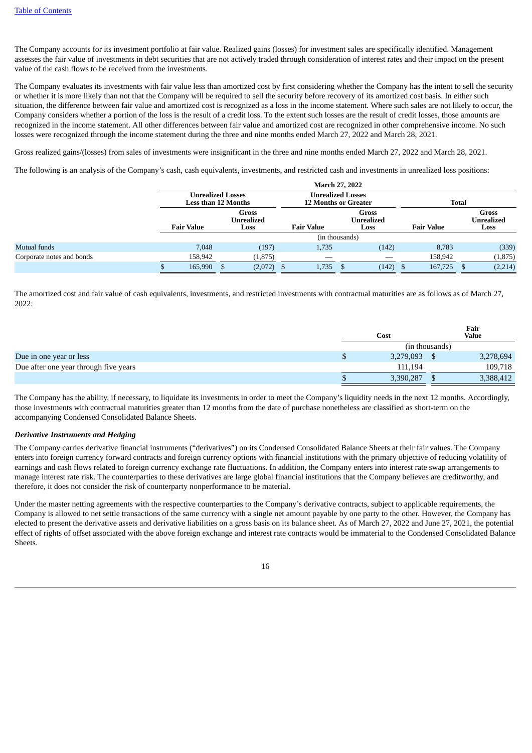The Company accounts for its investment portfolio at fair value. Realized gains (losses) for investment sales are specifically identified. Management assesses the fair value of investments in debt securities that are not actively traded through consideration of interest rates and their impact on the present value of the cash flows to be received from the investments.

The Company evaluates its investments with fair value less than amortized cost by first considering whether the Company has the intent to sell the security or whether it is more likely than not that the Company will be required to sell the security before recovery of its amortized cost basis. In either such situation, the difference between fair value and amortized cost is recognized as a loss in the income statement. Where such sales are not likely to occur, the Company considers whether a portion of the loss is the result of a credit loss. To the extent such losses are the result of credit losses, those amounts are recognized in the income statement. All other differences between fair value and amortized cost are recognized in other comprehensive income. No such losses were recognized through the income statement during the three and nine months ended March 27, 2022 and March 28, 2021.

Gross realized gains/(losses) from sales of investments were insignificant in the three and nine months ended March 27, 2022 and March 28, 2021.

The following is an analysis of the Company's cash, cash equivalents, investments, and restricted cash and investments in unrealized loss positions:

|                           |                                                         |  |                                                         | <b>March 27, 2022</b> |                             |                     |  |                                    |
|---------------------------|---------------------------------------------------------|--|---------------------------------------------------------|-----------------------|-----------------------------|---------------------|--|------------------------------------|
|                           | <b>Unrealized Losses</b><br>Less than 12 Months         |  | <b>Unrealized Losses</b><br><b>12 Months or Greater</b> |                       | <b>Total</b>                |                     |  |                                    |
|                           | <b>Gross</b><br>Unrealized<br><b>Fair Value</b><br>Loss |  |                                                         | <b>Fair Value</b>     | Gross<br>Unrealized<br>Loss | <b>Fair Value</b>   |  | <b>Gross</b><br>Unrealized<br>Loss |
|                           |                                                         |  |                                                         | (in thousands)        |                             |                     |  |                                    |
| Mutual funds              | 7,048                                                   |  | (197)                                                   | 1,735                 | (142)                       | 8,783               |  | (339)                              |
| Corporate notes and bonds | 158,942                                                 |  | (1, 875)                                                |                       |                             | 158,942             |  | (1, 875)                           |
|                           | 165,990                                                 |  | (2,072)                                                 | 1,735                 | (142)                       | 167,725<br><b>D</b> |  | (2,214)                            |

The amortized cost and fair value of cash equivalents, investments, and restricted investments with contractual maturities are as follows as of March 27, 2022:

|                                       |           |                | Fair         |
|---------------------------------------|-----------|----------------|--------------|
|                                       | Cost      |                | <b>Value</b> |
|                                       |           | (in thousands) |              |
| Due in one year or less               | 3,279,093 |                | 3,278,694    |
| Due after one year through five years | 111,194   |                | 109,718      |
|                                       | 3,390,287 |                | 3,388,412    |

The Company has the ability, if necessary, to liquidate its investments in order to meet the Company's liquidity needs in the next 12 months. Accordingly, those investments with contractual maturities greater than 12 months from the date of purchase nonetheless are classified as short-term on the accompanying Condensed Consolidated Balance Sheets.

#### *Derivative Instruments and Hedging*

The Company carries derivative financial instruments ("derivatives") on its Condensed Consolidated Balance Sheets at their fair values. The Company enters into foreign currency forward contracts and foreign currency options with financial institutions with the primary objective of reducing volatility of earnings and cash flows related to foreign currency exchange rate fluctuations. In addition, the Company enters into interest rate swap arrangements to manage interest rate risk. The counterparties to these derivatives are large global financial institutions that the Company believes are creditworthy, and therefore, it does not consider the risk of counterparty nonperformance to be material.

Under the master netting agreements with the respective counterparties to the Company's derivative contracts, subject to applicable requirements, the Company is allowed to net settle transactions of the same currency with a single net amount payable by one party to the other. However, the Company has elected to present the derivative assets and derivative liabilities on a gross basis on its balance sheet. As of March 27, 2022 and June 27, 2021, the potential effect of rights of offset associated with the above foreign exchange and interest rate contracts would be immaterial to the Condensed Consolidated Balance **Sheets** 

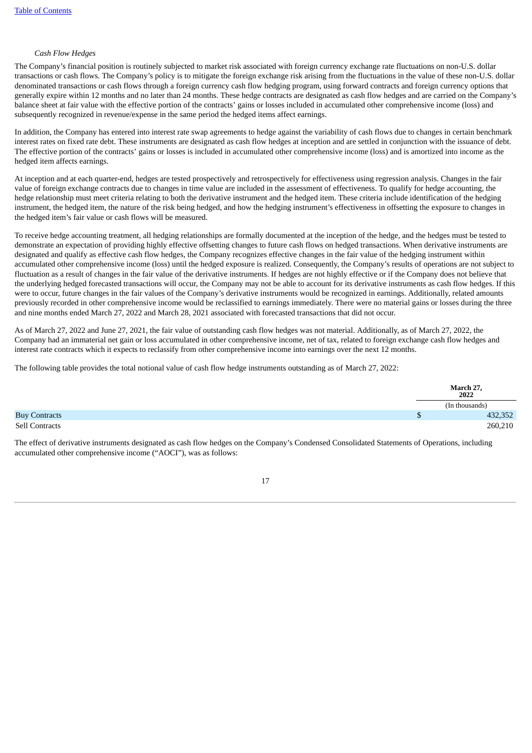#### *Cash Flow Hedges*

The Company's financial position is routinely subjected to market risk associated with foreign currency exchange rate fluctuations on non-U.S. dollar transactions or cash flows. The Company's policy is to mitigate the foreign exchange risk arising from the fluctuations in the value of these non-U.S. dollar denominated transactions or cash flows through a foreign currency cash flow hedging program, using forward contracts and foreign currency options that generally expire within 12 months and no later than 24 months. These hedge contracts are designated as cash flow hedges and are carried on the Company's balance sheet at fair value with the effective portion of the contracts' gains or losses included in accumulated other comprehensive income (loss) and subsequently recognized in revenue/expense in the same period the hedged items affect earnings.

In addition, the Company has entered into interest rate swap agreements to hedge against the variability of cash flows due to changes in certain benchmark interest rates on fixed rate debt. These instruments are designated as cash flow hedges at inception and are settled in conjunction with the issuance of debt. The effective portion of the contracts' gains or losses is included in accumulated other comprehensive income (loss) and is amortized into income as the hedged item affects earnings.

At inception and at each quarter-end, hedges are tested prospectively and retrospectively for effectiveness using regression analysis. Changes in the fair value of foreign exchange contracts due to changes in time value are included in the assessment of effectiveness. To qualify for hedge accounting, the hedge relationship must meet criteria relating to both the derivative instrument and the hedged item. These criteria include identification of the hedging instrument, the hedged item, the nature of the risk being hedged, and how the hedging instrument's effectiveness in offsetting the exposure to changes in the hedged item's fair value or cash flows will be measured.

To receive hedge accounting treatment, all hedging relationships are formally documented at the inception of the hedge, and the hedges must be tested to demonstrate an expectation of providing highly effective offsetting changes to future cash flows on hedged transactions. When derivative instruments are designated and qualify as effective cash flow hedges, the Company recognizes effective changes in the fair value of the hedging instrument within accumulated other comprehensive income (loss) until the hedged exposure is realized. Consequently, the Company's results of operations are not subject to fluctuation as a result of changes in the fair value of the derivative instruments. If hedges are not highly effective or if the Company does not believe that the underlying hedged forecasted transactions will occur, the Company may not be able to account for its derivative instruments as cash flow hedges. If this were to occur, future changes in the fair values of the Company's derivative instruments would be recognized in earnings. Additionally, related amounts previously recorded in other comprehensive income would be reclassified to earnings immediately. There were no material gains or losses during the three and nine months ended March 27, 2022 and March 28, 2021 associated with forecasted transactions that did not occur.

As of March 27, 2022 and June 27, 2021, the fair value of outstanding cash flow hedges was not material. Additionally, as of March 27, 2022, the Company had an immaterial net gain or loss accumulated in other comprehensive income, net of tax, related to foreign exchange cash flow hedges and interest rate contracts which it expects to reclassify from other comprehensive income into earnings over the next 12 months.

The following table provides the total notional value of cash flow hedge instruments outstanding as of March 27, 2022:

|                      |  | March 27,<br>2022 |
|----------------------|--|-------------------|
|                      |  | (In thousands)    |
| <b>Buy Contracts</b> |  | 432,352           |
| Sell Contracts       |  | 260,210           |

The effect of derivative instruments designated as cash flow hedges on the Company's Condensed Consolidated Statements of Operations, including accumulated other comprehensive income ("AOCI"), was as follows: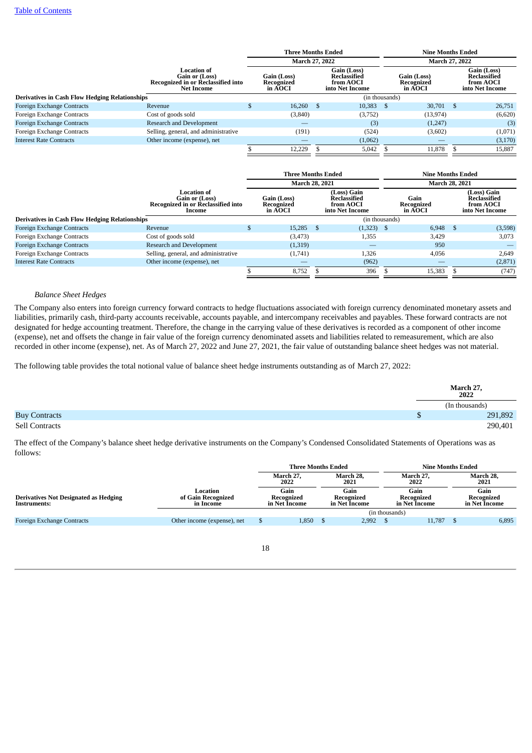|                                                       |                                                                                                        | <b>Three Months Ended</b>            |    |                                                             |   | <b>Nine Months Ended</b>             |      |                                                             |  |
|-------------------------------------------------------|--------------------------------------------------------------------------------------------------------|--------------------------------------|----|-------------------------------------------------------------|---|--------------------------------------|------|-------------------------------------------------------------|--|
|                                                       |                                                                                                        | <b>March 27, 2022</b>                |    |                                                             |   | March 27, 2022                       |      |                                                             |  |
|                                                       | <b>Location of</b><br>Gain or (Loss)<br><b>Recognized in or Reclassified into</b><br><b>Net Income</b> | Gain (Loss)<br>Recognized<br>in AOCI |    | Gain (Loss)<br>Reclassified<br>from AOCI<br>into Net Income |   | Gain (Loss)<br>Recognized<br>in AOCI |      | Gain (Loss)<br>Reclassified<br>from AOCI<br>into Net Income |  |
| <b>Derivatives in Cash Flow Hedging Relationships</b> |                                                                                                        |                                      |    | (in thousands)                                              |   |                                      |      |                                                             |  |
| Foreign Exchange Contracts                            | Revenue                                                                                                | 16.260                               | -S | 10.383                                                      | S | 30,701                               | - \$ | 26,751                                                      |  |
| Foreign Exchange Contracts                            | Cost of goods sold                                                                                     | (3, 840)                             |    | (3,752)                                                     |   | (13,974)                             |      | (6,620)                                                     |  |
| Foreign Exchange Contracts                            | Research and Development                                                                               |                                      |    | (3)                                                         |   | (1,247)                              |      | (3)                                                         |  |
| Foreign Exchange Contracts                            | Selling, general, and administrative                                                                   | (191)                                |    | (524)                                                       |   | (3,602)                              |      | (1,071)                                                     |  |
| <b>Interest Rate Contracts</b>                        | Other income (expense), net                                                                            |                                      |    | (1,062)                                                     |   |                                      |      | (3, 170)                                                    |  |
|                                                       |                                                                                                        | 12.229                               |    | 5,042                                                       |   | 11.878                               |      | 15.887                                                      |  |

|                                                       |                                                                               |  | <b>Three Months Ended</b>            |    |                                                                    |                               |                       |      | Nine Months Ended                                                         |  |
|-------------------------------------------------------|-------------------------------------------------------------------------------|--|--------------------------------------|----|--------------------------------------------------------------------|-------------------------------|-----------------------|------|---------------------------------------------------------------------------|--|
|                                                       |                                                                               |  | <b>March 28, 2021</b>                |    |                                                                    |                               | <b>March 28, 2021</b> |      |                                                                           |  |
|                                                       | Location of<br>Gain or (Loss)<br>Recognized in or Reclassified into<br>Income |  | Gain (Loss)<br>Recognized<br>in AOCI |    | (Loss) Gain<br><b>Reclassified</b><br>from AOCI<br>into Net Income | Gain<br>Recognized<br>in AOCI |                       |      | (Loss) Gain<br><b>Reclassified</b><br>from <b>AOCI</b><br>into Net Income |  |
| <b>Derivatives in Cash Flow Hedging Relationships</b> |                                                                               |  |                                      |    | (in thousands)                                                     |                               |                       |      |                                                                           |  |
| <b>Foreign Exchange Contracts</b>                     | Revenue                                                                       |  | 15,285                               | -S | (1,323)                                                            | - S                           | 6,948                 | - \$ | (3,598)                                                                   |  |
| Foreign Exchange Contracts                            | Cost of goods sold                                                            |  | (3, 473)                             |    | 1,355                                                              |                               | 3.429                 |      | 3.073                                                                     |  |
| Foreign Exchange Contracts                            | Research and Development                                                      |  | (1,319)                              |    | __                                                                 |                               | 950                   |      |                                                                           |  |
| Foreign Exchange Contracts                            | Selling, general, and administrative                                          |  | (1,741)                              |    | 1,326                                                              |                               | 4,056                 |      | 2,649                                                                     |  |
| <b>Interest Rate Contracts</b>                        | Other income (expense), net                                                   |  |                                      |    | (962)                                                              |                               |                       |      | (2,871)                                                                   |  |
|                                                       |                                                                               |  | 8,752                                |    | 396                                                                |                               | 15,383                |      | (747)                                                                     |  |

#### *Balance Sheet Hedges*

The Company also enters into foreign currency forward contracts to hedge fluctuations associated with foreign currency denominated monetary assets and liabilities, primarily cash, third-party accounts receivable, accounts payable, and intercompany receivables and payables. These forward contracts are not designated for hedge accounting treatment. Therefore, the change in the carrying value of these derivatives is recorded as a component of other income (expense), net and offsets the change in fair value of the foreign currency denominated assets and liabilities related to remeasurement, which are also recorded in other income (expense), net. As of March 27, 2022 and June 27, 2021, the fair value of outstanding balance sheet hedges was not material.

The following table provides the total notional value of balance sheet hedge instruments outstanding as of March 27, 2022:

|                       | March 27,<br>2022 |         |
|-----------------------|-------------------|---------|
|                       | (In thousands)    |         |
| <b>Buy Contracts</b>  |                   | 291,892 |
| <b>Sell Contracts</b> |                   | 290,401 |

The effect of the Company's balance sheet hedge derivative instruments on the Company's Condensed Consolidated Statements of Operations was as follows:

|                                                       |                                             |                                     | <b>Three Months Ended</b> |                                     |                | <b>Nine Months Ended</b>            |                   |                                     |       |
|-------------------------------------------------------|---------------------------------------------|-------------------------------------|---------------------------|-------------------------------------|----------------|-------------------------------------|-------------------|-------------------------------------|-------|
|                                                       | March 28,<br>March 27,<br>2022<br>2021      |                                     |                           | March 27,<br>2022                   |                |                                     | March 28,<br>2021 |                                     |       |
| Derivatives Not Designated as Hedging<br>Instruments: | Location<br>of Gain Recognized<br>in Income | Gain<br>Recognized<br>in Net Income |                           | Gain<br>Recognized<br>in Net Income |                | Gain<br>Recognized<br>in Net Income |                   | Gain<br>Recognized<br>in Net Income |       |
|                                                       |                                             |                                     |                           |                                     | (in thousands) |                                     |                   |                                     |       |
| Foreign Exchange Contracts                            | Other income (expense), net                 |                                     | 1,850                     |                                     | 2.992          |                                     | 11.787            |                                     | 6,895 |
|                                                       |                                             |                                     |                           |                                     |                |                                     |                   |                                     |       |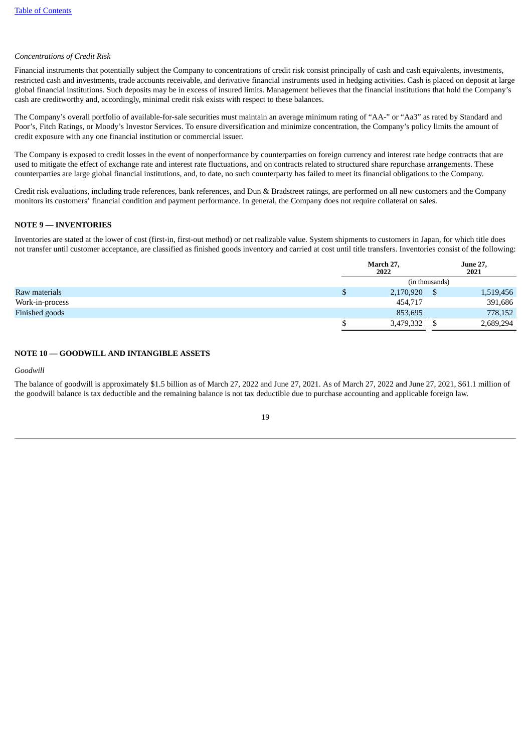## *Concentrations of Credit Risk*

Financial instruments that potentially subject the Company to concentrations of credit risk consist principally of cash and cash equivalents, investments, restricted cash and investments, trade accounts receivable, and derivative financial instruments used in hedging activities. Cash is placed on deposit at large global financial institutions. Such deposits may be in excess of insured limits. Management believes that the financial institutions that hold the Company's cash are creditworthy and, accordingly, minimal credit risk exists with respect to these balances.

The Company's overall portfolio of available-for-sale securities must maintain an average minimum rating of "AA-" or "Aa3" as rated by Standard and Poor's, Fitch Ratings, or Moody's Investor Services. To ensure diversification and minimize concentration, the Company's policy limits the amount of credit exposure with any one financial institution or commercial issuer.

The Company is exposed to credit losses in the event of nonperformance by counterparties on foreign currency and interest rate hedge contracts that are used to mitigate the effect of exchange rate and interest rate fluctuations, and on contracts related to structured share repurchase arrangements. These counterparties are large global financial institutions, and, to date, no such counterparty has failed to meet its financial obligations to the Company.

Credit risk evaluations, including trade references, bank references, and Dun & Bradstreet ratings, are performed on all new customers and the Company monitors its customers' financial condition and payment performance. In general, the Company does not require collateral on sales.

#### **NOTE 9 — INVENTORIES**

Inventories are stated at the lower of cost (first-in, first-out method) or net realizable value. System shipments to customers in Japan, for which title does not transfer until customer acceptance, are classified as finished goods inventory and carried at cost until title transfers. Inventories consist of the following:

|                 | March 27,<br>2022 |  | <b>June 27,</b><br>2021 |  |  |  |  |
|-----------------|-------------------|--|-------------------------|--|--|--|--|
|                 | (in thousands)    |  |                         |  |  |  |  |
| Raw materials   | 2,170,920         |  | 1,519,456               |  |  |  |  |
| Work-in-process | 454,717           |  | 391,686                 |  |  |  |  |
| Finished goods  | 853,695           |  | 778,152                 |  |  |  |  |
|                 | 3,479,332         |  | 2,689,294               |  |  |  |  |
|                 |                   |  |                         |  |  |  |  |

#### **NOTE 10 — GOODWILL AND INTANGIBLE ASSETS**

#### *Goodwill*

The balance of goodwill is approximately \$1.5 billion as of March 27, 2022 and June 27, 2021. As of March 27, 2022 and June 27, 2021, \$61.1 million of the goodwill balance is tax deductible and the remaining balance is not tax deductible due to purchase accounting and applicable foreign law.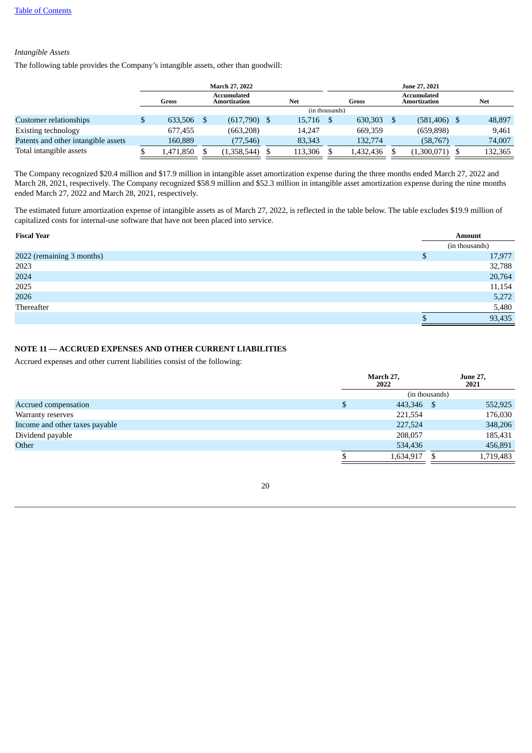## *Intangible Assets*

The following table provides the Company's intangible assets, other than goodwill:

|                                     |           | <b>March 27, 2022</b>       |                |           | June 27, 2021               |            |
|-------------------------------------|-----------|-----------------------------|----------------|-----------|-----------------------------|------------|
|                                     | Gross     | Accumulated<br>Amortization | <b>Net</b>     | Gross     | Accumulated<br>Amortization | <b>Net</b> |
|                                     |           |                             | (in thousands) |           |                             |            |
| Customer relationships              | 633,506   | $(617,790)$ \$              | 15,716         | 630,303   | (581, 406)                  | 48,897     |
| Existing technology                 | 677.455   | (663, 208)                  | 14.247         | 669,359   | (659, 898)                  | 9,461      |
| Patents and other intangible assets | 160.889   | (77,546)                    | 83,343         | 132,774   | (58,767)                    | 74,007     |
| Total intangible assets             | 1,471,850 | (1,358,544)                 | 113,306        | 1,432,436 | (1,300,071)                 | 132,365    |

The Company recognized \$20.4 million and \$17.9 million in intangible asset amortization expense during the three months ended March 27, 2022 and March 28, 2021, respectively. The Company recognized \$58.9 million and \$52.3 million in intangible asset amortization expense during the nine months ended March 27, 2022 and March 28, 2021, respectively.

The estimated future amortization expense of intangible assets as of March 27, 2022, is reflected in the table below. The table excludes \$19.9 million of capitalized costs for internal-use software that have not been placed into service.

| <b>Fiscal Year</b>        |   | <b>Amount</b>  |  |
|---------------------------|---|----------------|--|
|                           |   | (in thousands) |  |
| 2022 (remaining 3 months) | D | 17,977         |  |
| 2023                      |   | 32,788         |  |
| 2024                      |   | 20,764         |  |
| 2025                      |   | 11,154         |  |
| 2026                      |   | 5,272          |  |
| Thereafter                |   | 5,480          |  |
|                           |   | 93,435         |  |

## **NOTE 11 — ACCRUED EXPENSES AND OTHER CURRENT LIABILITIES**

Accrued expenses and other current liabilities consist of the following:

|                                |   | March 27,<br>2022 |  | <b>June 27,</b><br>2021 |  |  |
|--------------------------------|---|-------------------|--|-------------------------|--|--|
|                                |   |                   |  |                         |  |  |
| <b>Accrued compensation</b>    | S | 443,346 \$        |  | 552,925                 |  |  |
| Warranty reserves              |   | 221,554           |  | 176,030                 |  |  |
| Income and other taxes payable |   | 227,524           |  | 348,206                 |  |  |
| Dividend payable               |   | 208,057           |  | 185,431                 |  |  |
| Other                          |   | 534,436           |  | 456,891                 |  |  |
|                                |   | 1,634,917         |  | 1,719,483               |  |  |

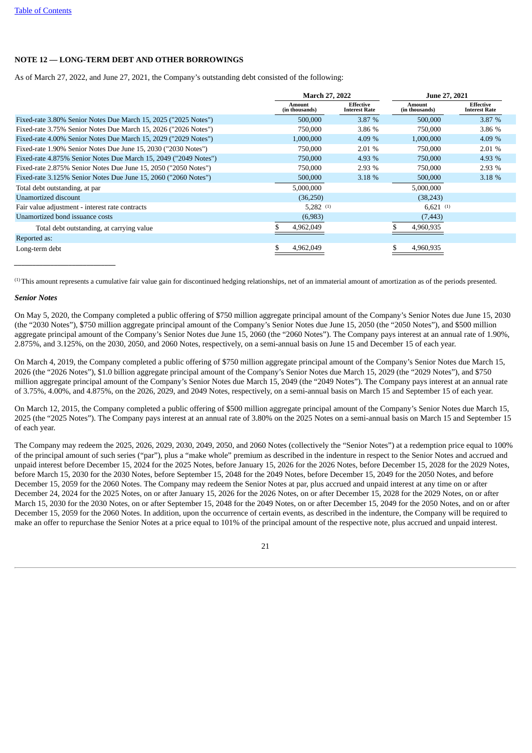## **NOTE 12 — LONG-TERM DEBT AND OTHER BORROWINGS**

As of March 27, 2022, and June 27, 2021, the Company's outstanding debt consisted of the following:

|                                                                  | <b>March 27, 2022</b>                                                       |        |                          | <b>June 27, 2021</b>              |
|------------------------------------------------------------------|-----------------------------------------------------------------------------|--------|--------------------------|-----------------------------------|
|                                                                  | <b>Effective</b><br><b>Amount</b><br>(in thousands)<br><b>Interest Rate</b> |        | Amount<br>(in thousands) | Effective<br><b>Interest Rate</b> |
| Fixed-rate 3.80% Senior Notes Due March 15, 2025 ("2025 Notes")  | 500,000                                                                     | 3.87 % | 500,000                  | 3.87%                             |
| Fixed-rate 3.75% Senior Notes Due March 15, 2026 ("2026 Notes")  | 750,000                                                                     | 3.86 % | 750,000                  | 3.86 %                            |
| Fixed-rate 4.00% Senior Notes Due March 15, 2029 ("2029 Notes")  | 1,000,000                                                                   | 4.09 % | 1,000,000                | 4.09 $%$                          |
| Fixed-rate 1.90% Senior Notes Due June 15, 2030 ("2030 Notes")   | 750,000                                                                     | 2.01%  | 750,000                  | $2.01\%$                          |
| Fixed-rate 4.875% Senior Notes Due March 15, 2049 ("2049 Notes") | 750,000                                                                     | 4.93 % | 750,000                  | 4.93 %                            |
| Fixed-rate 2.875% Senior Notes Due June 15, 2050 ("2050 Notes")  | 750,000                                                                     | 2.93%  | 750,000                  | 2.93%                             |
| Fixed-rate 3.125% Senior Notes Due June 15, 2060 ("2060 Notes")  | 500,000                                                                     | 3.18%  | 500,000                  | 3.18%                             |
| Total debt outstanding, at par                                   | 5,000,000                                                                   |        | 5,000,000                |                                   |
| Unamortized discount                                             | (36, 250)                                                                   |        | (38, 243)                |                                   |
| Fair value adjustment - interest rate contracts                  | $5.282^{(1)}$                                                               |        | $6.621^{(1)}$            |                                   |
| Unamortized bond issuance costs                                  | (6,983)                                                                     |        | (7, 443)                 |                                   |
| Total debt outstanding, at carrying value                        | 4,962,049                                                                   |        | 4,960,935                |                                   |
| Reported as:                                                     |                                                                             |        |                          |                                   |
| Long-term debt                                                   | 4,962,049                                                                   |        | 4,960,935                |                                   |

 $<sup>(1)</sup>$ This amount represents a cumulative fair value gain for discontinued hedging relationships, net of an immaterial amount of amortization as of the periods presented.</sup>

#### *Senior Notes*

*\_\_\_\_\_\_\_\_\_\_\_\_\_\_\_\_\_\_\_\_\_\_\_\_\_\_\_\_*

On May 5, 2020, the Company completed a public offering of \$750 million aggregate principal amount of the Company's Senior Notes due June 15, 2030 (the "2030 Notes"), \$750 million aggregate principal amount of the Company's Senior Notes due June 15, 2050 (the "2050 Notes"), and \$500 million aggregate principal amount of the Company's Senior Notes due June 15, 2060 (the "2060 Notes"). The Company pays interest at an annual rate of 1.90%, 2.875%, and 3.125%, on the 2030, 2050, and 2060 Notes, respectively, on a semi-annual basis on June 15 and December 15 of each year.

On March 4, 2019, the Company completed a public offering of \$750 million aggregate principal amount of the Company's Senior Notes due March 15, 2026 (the "2026 Notes"), \$1.0 billion aggregate principal amount of the Company's Senior Notes due March 15, 2029 (the "2029 Notes"), and \$750 million aggregate principal amount of the Company's Senior Notes due March 15, 2049 (the "2049 Notes"). The Company pays interest at an annual rate of 3.75%, 4.00%, and 4.875%, on the 2026, 2029, and 2049 Notes, respectively, on a semi-annual basis on March 15 and September 15 of each year.

On March 12, 2015, the Company completed a public offering of \$500 million aggregate principal amount of the Company's Senior Notes due March 15, 2025 (the "2025 Notes"). The Company pays interest at an annual rate of 3.80% on the 2025 Notes on a semi-annual basis on March 15 and September 15 of each year.

The Company may redeem the 2025, 2026, 2029, 2030, 2049, 2050, and 2060 Notes (collectively the "Senior Notes") at a redemption price equal to 100% of the principal amount of such series ("par"), plus a "make whole" premium as described in the indenture in respect to the Senior Notes and accrued and unpaid interest before December 15, 2024 for the 2025 Notes, before January 15, 2026 for the 2026 Notes, before December 15, 2028 for the 2029 Notes, before March 15, 2030 for the 2030 Notes, before September 15, 2048 for the 2049 Notes, before December 15, 2049 for the 2050 Notes, and before December 15, 2059 for the 2060 Notes. The Company may redeem the Senior Notes at par, plus accrued and unpaid interest at any time on or after December 24, 2024 for the 2025 Notes, on or after January 15, 2026 for the 2026 Notes, on or after December 15, 2028 for the 2029 Notes, on or after March 15, 2030 for the 2030 Notes, on or after September 15, 2048 for the 2049 Notes, on or after December 15, 2049 for the 2050 Notes, and on or after December 15, 2059 for the 2060 Notes. In addition, upon the occurrence of certain events, as described in the indenture, the Company will be required to make an offer to repurchase the Senior Notes at a price equal to 101% of the principal amount of the respective note, plus accrued and unpaid interest.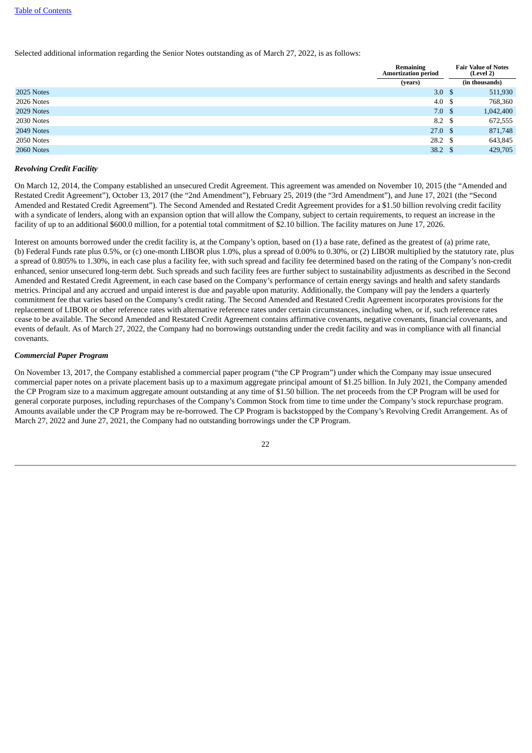Selected additional information regarding the Senior Notes outstanding as of March 27, 2022, is as follows:

|            | <b>Remaining</b><br><b>Amortization period</b> | <b>Fair Value of Notes</b><br>(Level 2) |
|------------|------------------------------------------------|-----------------------------------------|
|            | (years)                                        | (in thousands)                          |
| 2025 Notes | 3.0 <sup>5</sup>                               | 511,930                                 |
| 2026 Notes | 4.0 \$                                         | 768,360                                 |
| 2029 Notes | 7.0 <sup>5</sup>                               | 1,042,400                               |
| 2030 Notes | 8.2 \$                                         | 672,555                                 |
| 2049 Notes | 27.0 <sup>5</sup>                              | 871,748                                 |
| 2050 Notes | $28.2 \quad $$                                 | 643,845                                 |
| 2060 Notes | 38.2 $\sqrt{3}$                                | 429,705                                 |

#### *Revolving Credit Facility*

On March 12, 2014, the Company established an unsecured Credit Agreement. This agreement was amended on November 10, 2015 (the "Amended and Restated Credit Agreement"), October 13, 2017 (the "2nd Amendment"), February 25, 2019 (the "3rd Amendment"), and June 17, 2021 (the "Second Amended and Restated Credit Agreement"). The Second Amended and Restated Credit Agreement provides for a \$1.50 billion revolving credit facility with a syndicate of lenders, along with an expansion option that will allow the Company, subject to certain requirements, to request an increase in the facility of up to an additional \$600.0 million, for a potential total commitment of \$2.10 billion. The facility matures on June 17, 2026.

Interest on amounts borrowed under the credit facility is, at the Company's option, based on (1) a base rate, defined as the greatest of (a) prime rate, (b) Federal Funds rate plus 0.5%, or (c) one-month LIBOR plus 1.0%, plus a spread of 0.00% to 0.30%, or (2) LIBOR multiplied by the statutory rate, plus a spread of 0.805% to 1.30%, in each case plus a facility fee, with such spread and facility fee determined based on the rating of the Company's non-credit enhanced, senior unsecured long-term debt. Such spreads and such facility fees are further subject to sustainability adjustments as described in the Second Amended and Restated Credit Agreement, in each case based on the Company's performance of certain energy savings and health and safety standards metrics. Principal and any accrued and unpaid interest is due and payable upon maturity. Additionally, the Company will pay the lenders a quarterly commitment fee that varies based on the Company's credit rating. The Second Amended and Restated Credit Agreement incorporates provisions for the replacement of LIBOR or other reference rates with alternative reference rates under certain circumstances, including when, or if, such reference rates cease to be available. The Second Amended and Restated Credit Agreement contains affirmative covenants, negative covenants, financial covenants, and events of default. As of March 27, 2022, the Company had no borrowings outstanding under the credit facility and was in compliance with all financial covenants.

#### *Commercial Paper Program*

On November 13, 2017, the Company established a commercial paper program ("the CP Program") under which the Company may issue unsecured commercial paper notes on a private placement basis up to a maximum aggregate principal amount of \$1.25 billion. In July 2021, the Company amended the CP Program size to a maximum aggregate amount outstanding at any time of \$1.50 billion. The net proceeds from the CP Program will be used for general corporate purposes, including repurchases of the Company's Common Stock from time to time under the Company's stock repurchase program. Amounts available under the CP Program may be re-borrowed. The CP Program is backstopped by the Company's Revolving Credit Arrangement. As of March 27, 2022 and June 27, 2021, the Company had no outstanding borrowings under the CP Program.

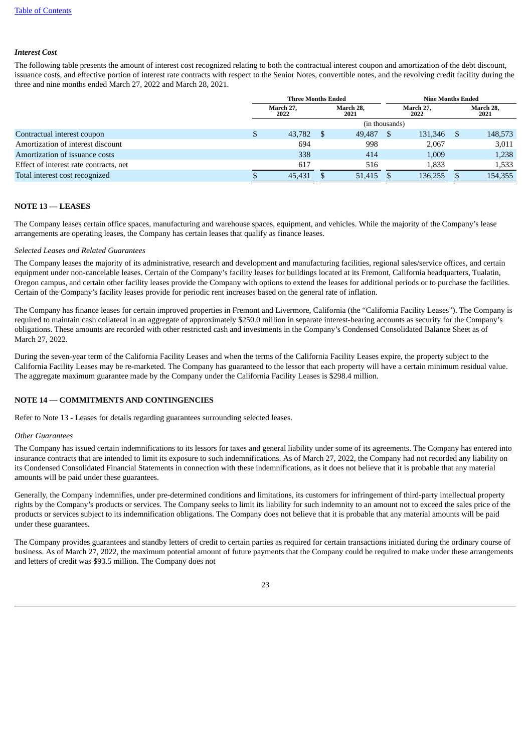#### *Interest Cost*

The following table presents the amount of interest cost recognized relating to both the contractual interest coupon and amortization of the debt discount, issuance costs, and effective portion of interest rate contracts with respect to the Senior Notes, convertible notes, and the revolving credit facility during the three and nine months ended March 27, 2022 and March 28, 2021.

|                                        | <b>Three Months Ended</b> |        |                   |        | <b>Nine Months Ended</b> |         |  |                   |
|----------------------------------------|---------------------------|--------|-------------------|--------|--------------------------|---------|--|-------------------|
|                                        | March 27,<br>2022         |        | March 28.<br>2021 |        | March 27,<br>2022        |         |  | March 28,<br>2021 |
|                                        | (in thousands)            |        |                   |        |                          |         |  |                   |
| Contractual interest coupon            | P.                        | 43,782 |                   | 49,487 |                          | 131,346 |  | 148,573           |
| Amortization of interest discount      |                           | 694    |                   | 998    |                          | 2,067   |  | 3,011             |
| Amortization of issuance costs         |                           | 338    |                   | 414    |                          | 1,009   |  | 1,238             |
| Effect of interest rate contracts, net |                           | 617    |                   | 516    |                          | 1,833   |  | 1,533             |
| Total interest cost recognized         |                           | 45,431 |                   | 51,415 |                          | 136,255 |  | 154,355           |

#### **NOTE 13 — LEASES**

The Company leases certain office spaces, manufacturing and warehouse spaces, equipment, and vehicles. While the majority of the Company's lease arrangements are operating leases, the Company has certain leases that qualify as finance leases.

#### *Selected Leases and Related Guarantees*

The Company leases the majority of its administrative, research and development and manufacturing facilities, regional sales/service offices, and certain equipment under non-cancelable leases. Certain of the Company's facility leases for buildings located at its Fremont, California headquarters, Tualatin, Oregon campus, and certain other facility leases provide the Company with options to extend the leases for additional periods or to purchase the facilities. Certain of the Company's facility leases provide for periodic rent increases based on the general rate of inflation.

The Company has finance leases for certain improved properties in Fremont and Livermore, California (the "California Facility Leases"). The Company is required to maintain cash collateral in an aggregate of approximately \$250.0 million in separate interest-bearing accounts as security for the Company's obligations. These amounts are recorded with other restricted cash and investments in the Company's Condensed Consolidated Balance Sheet as of March 27, 2022.

During the seven-year term of the California Facility Leases and when the terms of the California Facility Leases expire, the property subject to the California Facility Leases may be re-marketed. The Company has guaranteed to the lessor that each property will have a certain minimum residual value. The aggregate maximum guarantee made by the Company under the California Facility Leases is \$298.4 million.

## <span id="page-22-0"></span>**NOTE 14 — COMMITMENTS AND CONTINGENCIES**

Refer to Note 13 - Leases for details regarding guarantees surrounding selected leases.

#### *Other Guarantees*

The Company has issued certain indemnifications to its lessors for taxes and general liability under some of its agreements. The Company has entered into insurance contracts that are intended to limit its exposure to such indemnifications. As of March 27, 2022, the Company had not recorded any liability on its Condensed Consolidated Financial Statements in connection with these indemnifications, as it does not believe that it is probable that any material amounts will be paid under these guarantees.

Generally, the Company indemnifies, under pre-determined conditions and limitations, its customers for infringement of third-party intellectual property rights by the Company's products or services. The Company seeks to limit its liability for such indemnity to an amount not to exceed the sales price of the products or services subject to its indemnification obligations. The Company does not believe that it is probable that any material amounts will be paid under these guarantees.

The Company provides guarantees and standby letters of credit to certain parties as required for certain transactions initiated during the ordinary course of business. As of March 27, 2022, the maximum potential amount of future payments that the Company could be required to make under these arrangements and letters of credit was \$93.5 million. The Company does not

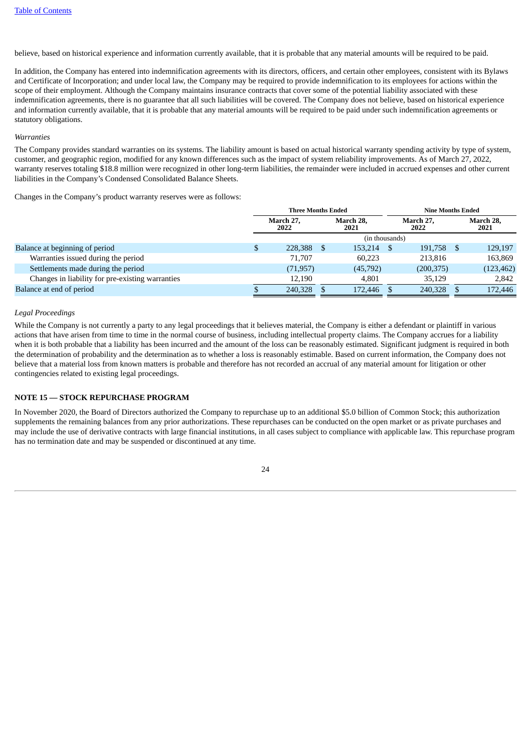believe, based on historical experience and information currently available, that it is probable that any material amounts will be required to be paid.

In addition, the Company has entered into indemnification agreements with its directors, officers, and certain other employees, consistent with its Bylaws and Certificate of Incorporation; and under local law, the Company may be required to provide indemnification to its employees for actions within the scope of their employment. Although the Company maintains insurance contracts that cover some of the potential liability associated with these indemnification agreements, there is no guarantee that all such liabilities will be covered. The Company does not believe, based on historical experience and information currently available, that it is probable that any material amounts will be required to be paid under such indemnification agreements or statutory obligations.

#### *Warranties*

The Company provides standard warranties on its systems. The liability amount is based on actual historical warranty spending activity by type of system, customer, and geographic region, modified for any known differences such as the impact of system reliability improvements. As of March 27, 2022, warranty reserves totaling \$18.8 million were recognized in other long-term liabilities, the remainder were included in accrued expenses and other current liabilities in the Company's Condensed Consolidated Balance Sheets.

Changes in the Company's product warranty reserves were as follows:

|                                                  | <b>Three Months Ended</b> |  |                   | <b>Nine Months Ended</b> |                   |  |                   |
|--------------------------------------------------|---------------------------|--|-------------------|--------------------------|-------------------|--|-------------------|
|                                                  | March 27,<br>2022         |  | March 28,<br>2021 |                          | March 27,<br>2022 |  | March 28,<br>2021 |
|                                                  |                           |  | (in thousands)    |                          |                   |  |                   |
| Balance at beginning of period                   | 228,388                   |  | 153,214           |                          | 191,758           |  | 129,197           |
| Warranties issued during the period              | 71,707                    |  | 60.223            |                          | 213,816           |  | 163,869           |
| Settlements made during the period               | (71, 957)                 |  | (45,792)          |                          | (200, 375)        |  | (123, 462)        |
| Changes in liability for pre-existing warranties | 12.190                    |  | 4.801             |                          | 35,129            |  | 2,842             |
| Balance at end of period                         | 240,328                   |  | 172,446           |                          | 240,328           |  | 172,446           |

#### *Legal Proceedings*

While the Company is not currently a party to any legal proceedings that it believes material, the Company is either a defendant or plaintiff in various actions that have arisen from time to time in the normal course of business, including intellectual property claims. The Company accrues for a liability when it is both probable that a liability has been incurred and the amount of the loss can be reasonably estimated. Significant judgment is required in both the determination of probability and the determination as to whether a loss is reasonably estimable. Based on current information, the Company does not believe that a material loss from known matters is probable and therefore has not recorded an accrual of any material amount for litigation or other contingencies related to existing legal proceedings.

#### **NOTE 15 — STOCK REPURCHASE PROGRAM**

In November 2020, the Board of Directors authorized the Company to repurchase up to an additional \$5.0 billion of Common Stock; this authorization supplements the remaining balances from any prior authorizations. These repurchases can be conducted on the open market or as private purchases and may include the use of derivative contracts with large financial institutions, in all cases subject to compliance with applicable law. This repurchase program has no termination date and may be suspended or discontinued at any time.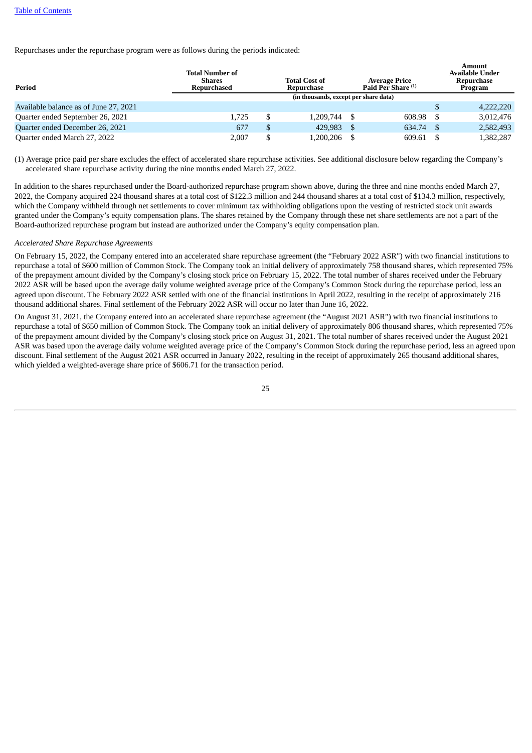Repurchases under the repurchase program were as follows during the periods indicated:

| Period                                | <b>Total Number of</b><br><b>Shares</b><br>Repurchased | <b>Total Cost of</b><br>Repurchase    |      | <b>Average Price</b><br>Paid Per Share <sup>(1)</sup> | Amount<br><b>Available Under</b><br>Repurchase<br>Program |
|---------------------------------------|--------------------------------------------------------|---------------------------------------|------|-------------------------------------------------------|-----------------------------------------------------------|
|                                       |                                                        | (in thousands, except per share data) |      |                                                       |                                                           |
| Available balance as of June 27, 2021 |                                                        |                                       |      |                                                       | 4,222,220                                                 |
| Quarter ended September 26, 2021      | 1.725                                                  | 1.209.744                             | - \$ | 608.98                                                | 3.012.476                                                 |
| Quarter ended December 26, 2021       | 677                                                    | \$<br>429,983                         |      | 634.74                                                | 2,582,493                                                 |
| Quarter ended March 27, 2022          | 2.007                                                  | 1,200,206                             |      | 609.61                                                | 1,382,287                                                 |

(1) Average price paid per share excludes the effect of accelerated share repurchase activities. See additional disclosure below regarding the Company's accelerated share repurchase activity during the nine months ended March 27, 2022.

In addition to the shares repurchased under the Board-authorized repurchase program shown above, during the three and nine months ended March 27, 2022, the Company acquired 224 thousand shares at a total cost of \$122.3 million and 244 thousand shares at a total cost of \$134.3 million, respectively, which the Company withheld through net settlements to cover minimum tax withholding obligations upon the vesting of restricted stock unit awards granted under the Company's equity compensation plans. The shares retained by the Company through these net share settlements are not a part of the Board-authorized repurchase program but instead are authorized under the Company's equity compensation plan.

#### *Accelerated Share Repurchase Agreements*

On February 15, 2022, the Company entered into an accelerated share repurchase agreement (the "February 2022 ASR") with two financial institutions to repurchase a total of \$600 million of Common Stock. The Company took an initial delivery of approximately 758 thousand shares, which represented 75% of the prepayment amount divided by the Company's closing stock price on February 15, 2022. The total number of shares received under the February 2022 ASR will be based upon the average daily volume weighted average price of the Company's Common Stock during the repurchase period, less an agreed upon discount. The February 2022 ASR settled with one of the financial institutions in April 2022, resulting in the receipt of approximately 216 thousand additional shares. Final settlement of the February 2022 ASR will occur no later than June 16, 2022.

On August 31, 2021, the Company entered into an accelerated share repurchase agreement (the "August 2021 ASR") with two financial institutions to repurchase a total of \$650 million of Common Stock. The Company took an initial delivery of approximately 806 thousand shares, which represented 75% of the prepayment amount divided by the Company's closing stock price on August 31, 2021. The total number of shares received under the August 2021 ASR was based upon the average daily volume weighted average price of the Company's Common Stock during the repurchase period, less an agreed upon discount. Final settlement of the August 2021 ASR occurred in January 2022, resulting in the receipt of approximately 265 thousand additional shares, which yielded a weighted-average share price of \$606.71 for the transaction period.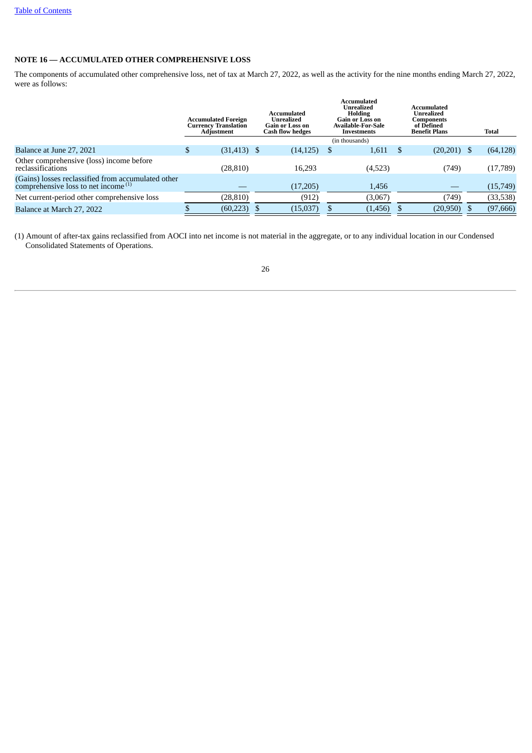## **NOTE 16 — ACCUMULATED OTHER COMPREHENSIVE LOSS**

The components of accumulated other comprehensive loss, net of tax at March 27, 2022, as well as the activity for the nine months ending March 27, 2022, were as follows:

|                                                                                                  | <b>Accumulated Foreign</b><br><b>Currency Translation</b><br>Adjustment | Accumulated<br>Unrealized<br>Gain or Loss on<br><b>Cash flow hedges</b> | Accumulated<br><b>Unrealized</b><br><b>Holding</b><br><b>Gain or Loss on</b><br>Available-For-Sale<br>Investments | Accumulated<br>Unrealized<br>Components<br>of Defined<br><b>Benefit Plans</b> | <b>Total</b> |
|--------------------------------------------------------------------------------------------------|-------------------------------------------------------------------------|-------------------------------------------------------------------------|-------------------------------------------------------------------------------------------------------------------|-------------------------------------------------------------------------------|--------------|
|                                                                                                  |                                                                         |                                                                         | (in thousands)                                                                                                    |                                                                               |              |
| Balance at June 27, 2021                                                                         | \$<br>$(31, 413)$ \$                                                    | (14, 125)                                                               | 1,611                                                                                                             | $(20,201)$ \$                                                                 | (64, 128)    |
| Other comprehensive (loss) income before<br>reclassifications                                    | (28, 810)                                                               | 16,293                                                                  | (4,523)                                                                                                           | (749)                                                                         | (17,789)     |
| (Gains) losses reclassified from accumulated other comprehensive loss to net income $^{\rm (1)}$ |                                                                         | (17,205)                                                                | 1,456                                                                                                             |                                                                               | (15, 749)    |
| Net current-period other comprehensive loss                                                      | (28, 810)                                                               | (912)                                                                   | (3,067)                                                                                                           | (749)                                                                         | (33, 538)    |
| Balance at March 27, 2022                                                                        | (60, 223)                                                               | (15,037)                                                                | (1, 456)                                                                                                          | $(20,950)$ \$                                                                 | (97, 666)    |

<span id="page-25-0"></span>(1) Amount of after-tax gains reclassified from AOCI into net income is not material in the aggregate, or to any individual location in our Condensed Consolidated Statements of Operations.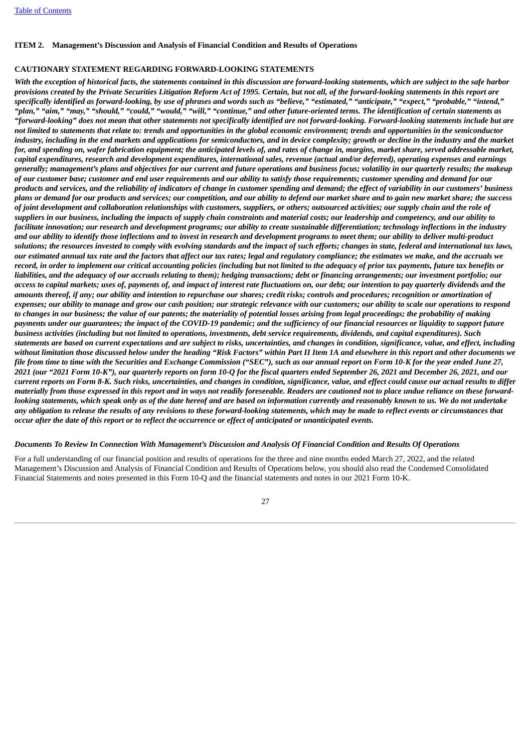#### **ITEM 2. Management's Discussion and Analysis of Financial Condition and Results of Operations**

#### **CAUTIONARY STATEMENT REGARDING FORWARD-LOOKING STATEMENTS**

With the exception of historical facts, the statements contained in this discussion are forward-looking statements, which are subject to the safe harbor provisions created by the Private Securities Litigation Reform Act of 1995. Certain, but not all, of the forward-looking statements in this report are specifically identified as forward-looking, by use of phrases and words such as "believe," "estimated," "anticipate," "expect," "probable," "intend," "plan," "aim," "may," "should," "could," "would," "will," "continue," and other future-oriented terms. The identification of certain statements as "forward-looking" does not mean that other statements not specifically identified are not forward-looking. Forward-looking statements include but are not limited to statements that relate to: trends and opportunities in the global economic environment; trends and opportunities in the semiconductor industry, including in the end markets and applications for semiconductors, and in device complexity; growth or decline in the industry and the market for, and spending on, wafer fabrication equipment; the anticipated levels of, and rates of change in, margins, market share, served addressable market, capital expenditures, research and development expenditures, international sales, revenue (actual and/or deferred), operating expenses and earnings generally; management's plans and objectives for our current and future operations and business focus; volatility in our quarterly results; the makeup of our customer base; customer and end user requirements and our ability to satisfy those requirements; customer spending and demand for our products and services, and the reliability of indicators of change in customer spending and demand; the effect of variability in our customers' business plans or demand for our products and services; our competition, and our ability to defend our market share and to gain new market share; the success of joint development and collaboration relationships with customers, suppliers, or others; outsourced activities; our supply chain and the role of suppliers in our business, including the impacts of supply chain constraints and material costs; our leadership and competency, and our ability to facilitate innovation; our research and development programs; our ability to create sustainable differentiation; technology inflections in the industry and our ability to identify those inflections and to invest in research and development programs to meet them; our ability to deliver multi-product solutions: the resources invested to comply with evolving standards and the impact of such efforts: changes in state, federal and international tax laws, our estimated annual tax rate and the factors that affect our tax rates; legal and regulatory compliance; the estimates we make, and the accruals we record, in order to implement our critical accounting policies (including but not limited to the adequacy of prior tax payments, future tax benefits or liabilities, and the adequacy of our accruals relating to them); hedging transactions; debt or financing arrangements; our investment portfolio; our access to capital markets; uses of, payments of, and impact of interest rate fluctuations on, our debt; our intention to pay quarterly dividends and the amounts thereof, if any; our ability and intention to repurchase our shares; credit risks; controls and procedures; recognition or amortization of expenses; our ability to manage and grow our cash position; our strategic relevance with our customers; our ability to scale our operations to respond to changes in our business; the value of our patents; the materiality of potential losses arising from legal proceedings; the probability of making payments under our guarantees; the impact of the COVID-19 pandemic; and the sufficiency of our financial resources or liquidity to support future business activities (including but not limited to operations, investments, debt service requirements, dividends, and capital expenditures). Such statements are based on current expectations and are subject to risks, uncertainties, and changes in condition, significance, value, and effect, including without limitation those discussed below under the heading "Risk Factors" within Part II Item 1A and elsewhere in this report and other documents we file from time to time with the Securities and Exchange Commission ("SEC"), such as our annual report on Form 10-K for the year ended June 27, 2021 (our "2021 Form 10-K"), our quarterly reports on form 10-Q for the fiscal quarters ended September 26, 2021 and December 26, 2021, and our current reports on Form 8-K. Such risks, uncertainties, and changes in condition, significance, value, and effect could cause our actual results to differ materially from those expressed in this report and in ways not readily foreseeable. Readers are cautioned not to place undue reliance on these forwardlooking statements, which speak only as of the date hereof and are based on information currently and reasonably known to us. We do not undertake any obligation to release the results of any revisions to these forward-looking statements, which may be made to reflect events or circumstances that occur after the date of this report or to reflect the occurrence or effect of anticipated or unanticipated events.

#### Documents To Review In Connection With Management's Discussion and Analysis Of Financial Condition and Results Of Operations

For a full understanding of our financial position and results of operations for the three and nine months ended March 27, 2022, and the related Management's Discussion and Analysis of Financial Condition and Results of Operations below, you should also read the Condensed Consolidated Financial Statements and notes presented in this Form 10-Q and the financial statements and notes in our 2021 Form 10-K.

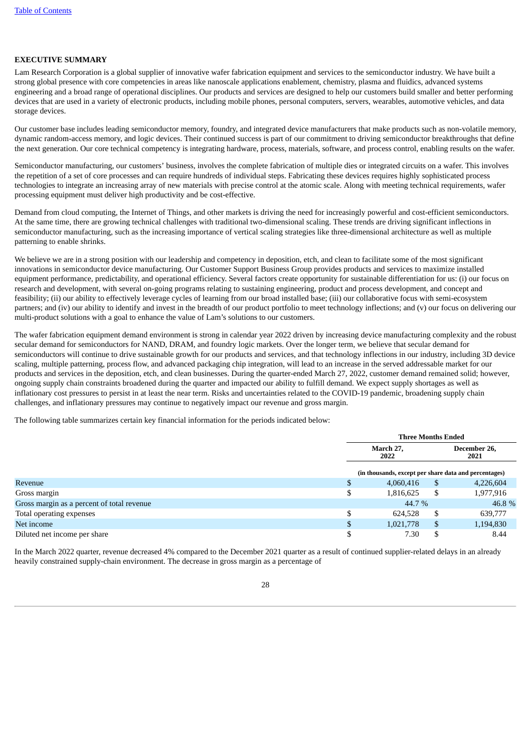#### **EXECUTIVE SUMMARY**

Lam Research Corporation is a global supplier of innovative wafer fabrication equipment and services to the semiconductor industry. We have built a strong global presence with core competencies in areas like nanoscale applications enablement, chemistry, plasma and fluidics, advanced systems engineering and a broad range of operational disciplines. Our products and services are designed to help our customers build smaller and better performing devices that are used in a variety of electronic products, including mobile phones, personal computers, servers, wearables, automotive vehicles, and data storage devices.

Our customer base includes leading semiconductor memory, foundry, and integrated device manufacturers that make products such as non-volatile memory, dynamic random-access memory, and logic devices. Their continued success is part of our commitment to driving semiconductor breakthroughs that define the next generation. Our core technical competency is integrating hardware, process, materials, software, and process control, enabling results on the wafer.

Semiconductor manufacturing, our customers' business, involves the complete fabrication of multiple dies or integrated circuits on a wafer. This involves the repetition of a set of core processes and can require hundreds of individual steps. Fabricating these devices requires highly sophisticated process technologies to integrate an increasing array of new materials with precise control at the atomic scale. Along with meeting technical requirements, wafer processing equipment must deliver high productivity and be cost-effective.

Demand from cloud computing, the Internet of Things, and other markets is driving the need for increasingly powerful and cost-efficient semiconductors. At the same time, there are growing technical challenges with traditional two-dimensional scaling. These trends are driving significant inflections in semiconductor manufacturing, such as the increasing importance of vertical scaling strategies like three-dimensional architecture as well as multiple patterning to enable shrinks.

We believe we are in a strong position with our leadership and competency in deposition, etch, and clean to facilitate some of the most significant innovations in semiconductor device manufacturing. Our Customer Support Business Group provides products and services to maximize installed equipment performance, predictability, and operational efficiency. Several factors create opportunity for sustainable differentiation for us: (i) our focus on research and development, with several on-going programs relating to sustaining engineering, product and process development, and concept and feasibility; (ii) our ability to effectively leverage cycles of learning from our broad installed base; (iii) our collaborative focus with semi-ecosystem partners; and (iv) our ability to identify and invest in the breadth of our product portfolio to meet technology inflections; and (v) our focus on delivering our multi-product solutions with a goal to enhance the value of Lam's solutions to our customers.

The wafer fabrication equipment demand environment is strong in calendar year 2022 driven by increasing device manufacturing complexity and the robust secular demand for semiconductors for NAND, DRAM, and foundry logic markets. Over the longer term, we believe that secular demand for semiconductors will continue to drive sustainable growth for our products and services, and that technology inflections in our industry, including 3D device scaling, multiple patterning, process flow, and advanced packaging chip integration, will lead to an increase in the served addressable market for our products and services in the deposition, etch, and clean businesses. During the quarter-ended March 27, 2022, customer demand remained solid; however, ongoing supply chain constraints broadened during the quarter and impacted our ability to fulfill demand. We expect supply shortages as well as inflationary cost pressures to persist in at least the near term. Risks and uncertainties related to the COVID-19 pandemic, broadening supply chain challenges, and inflationary pressures may continue to negatively impact our revenue and gross margin.

The following table summarizes certain key financial information for the periods indicated below:

|                                            |    | <b>Three Months Ended</b>                             |               |                      |  |  |  |
|--------------------------------------------|----|-------------------------------------------------------|---------------|----------------------|--|--|--|
|                                            |    | March 27,<br>2022                                     |               | December 26,<br>2021 |  |  |  |
|                                            |    | (in thousands, except per share data and percentages) |               |                      |  |  |  |
| Revenue                                    | .D | 4,060,416                                             | \$            | 4,226,604            |  |  |  |
| Gross margin                               |    | 1,816,625                                             | S             | 1,977,916            |  |  |  |
| Gross margin as a percent of total revenue |    | 44.7 %                                                |               | 46.8%                |  |  |  |
| Total operating expenses                   |    | 624,528                                               | \$            | 639,777              |  |  |  |
| Net income                                 |    | 1,021,778                                             | <sup>\$</sup> | 1,194,830            |  |  |  |
| Diluted net income per share               |    | 7.30                                                  |               | 8.44                 |  |  |  |

In the March 2022 quarter, revenue decreased 4% compared to the December 2021 quarter as a result of continued supplier-related delays in an already heavily constrained supply-chain environment. The decrease in gross margin as a percentage of

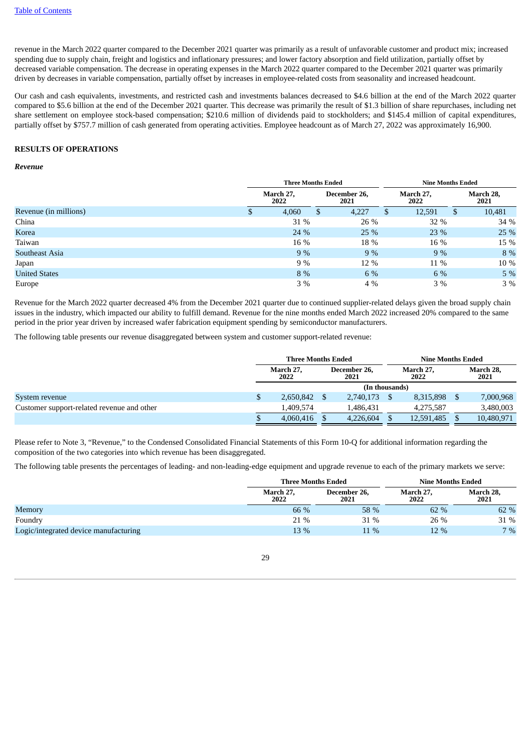revenue in the March 2022 quarter compared to the December 2021 quarter was primarily as a result of unfavorable customer and product mix; increased spending due to supply chain, freight and logistics and inflationary pressures; and lower factory absorption and field utilization, partially offset by decreased variable compensation. The decrease in operating expenses in the March 2022 quarter compared to the December 2021 quarter was primarily driven by decreases in variable compensation, partially offset by increases in employee-related costs from seasonality and increased headcount.

Our cash and cash equivalents, investments, and restricted cash and investments balances decreased to \$4.6 billion at the end of the March 2022 quarter compared to \$5.6 billion at the end of the December 2021 quarter. This decrease was primarily the result of \$1.3 billion of share repurchases, including net share settlement on employee stock-based compensation; \$210.6 million of dividends paid to stockholders; and \$145.4 million of capital expenditures, partially offset by \$757.7 million of cash generated from operating activities. Employee headcount as of March 27, 2022 was approximately 16,900.

#### **RESULTS OF OPERATIONS**

#### *Revenue*

|                       |          | <b>Three Months Ended</b> |                      | <b>Nine Months Ended</b> |                   |  |  |
|-----------------------|----------|---------------------------|----------------------|--------------------------|-------------------|--|--|
|                       |          | March 27,<br>2022         | December 26,<br>2021 | March 27,<br>2022        | March 28,<br>2021 |  |  |
| Revenue (in millions) | <b>D</b> | 4,060                     | 4,227<br>Ъ           | 12,591<br>D              | 10,481<br>S       |  |  |
| China                 |          | 31 %                      | 26 %                 | 32 %                     | 34 %              |  |  |
| Korea                 |          | 24 %                      | 25 %                 | 23 %                     | 25 %              |  |  |
| Taiwan                |          | 16 %                      | 18 %                 | 16 %                     | 15 %              |  |  |
| Southeast Asia        |          | 9%                        | 9%                   | 9%                       | 8 %               |  |  |
| Japan                 |          | 9%                        | 12 %                 | 11 %                     | 10 %              |  |  |
| <b>United States</b>  |          | 8 %                       | 6 %                  | 6 %                      | 5%                |  |  |
| Europe                |          | $3\%$                     | 4 %                  | $3\%$                    | $3\%$             |  |  |

Revenue for the March 2022 quarter decreased 4% from the December 2021 quarter due to continued supplier-related delays given the broad supply chain issues in the industry, which impacted our ability to fulfill demand. Revenue for the nine months ended March 2022 increased 20% compared to the same period in the prior year driven by increased wafer fabrication equipment spending by semiconductor manufacturers.

The following table presents our revenue disaggregated between system and customer support-related revenue:

|                                            |                   | <b>Three Months Ended</b> |                      |           |                   | <b>Nine Months Ended</b> |  |                   |
|--------------------------------------------|-------------------|---------------------------|----------------------|-----------|-------------------|--------------------------|--|-------------------|
|                                            | March 27,<br>2022 |                           | December 26,<br>2021 |           | March 27.<br>2022 |                          |  | March 28,<br>2021 |
|                                            |                   | (In thousands)            |                      |           |                   |                          |  |                   |
| System revenue                             | \$                | 2,650,842                 |                      | 2,740,173 |                   | 8,315,898                |  | 7,000,968         |
| Customer support-related revenue and other |                   | 1.409.574                 |                      | 1.486.431 |                   | 4.275.587                |  | 3,480,003         |
|                                            |                   | 4,060,416                 |                      | 4.226.604 |                   | 12,591,485               |  | 10,480,971        |

Please refer to Note 3, "Revenue," to the Condensed Consolidated Financial Statements of this Form 10-Q for additional information regarding the composition of the two categories into which revenue has been disaggregated.

The following table presents the percentages of leading- and non-leading-edge equipment and upgrade revenue to each of the primary markets we serve:

|                                       | <b>Three Months Ended</b> |                      | <b>Nine Months Ended</b> |                   |  |  |
|---------------------------------------|---------------------------|----------------------|--------------------------|-------------------|--|--|
|                                       | March 27,<br>2022         | December 26,<br>2021 | March 27.<br>2022        | March 28,<br>2021 |  |  |
| Memory                                | 66 %                      | 58 %                 | 62 %                     | 62 %              |  |  |
| Foundry                               | 21 %                      | 31 %                 | 26 %                     | 31 %              |  |  |
| Logic/integrated device manufacturing | 13 %                      | $11\%$               | 12 %                     | 7%                |  |  |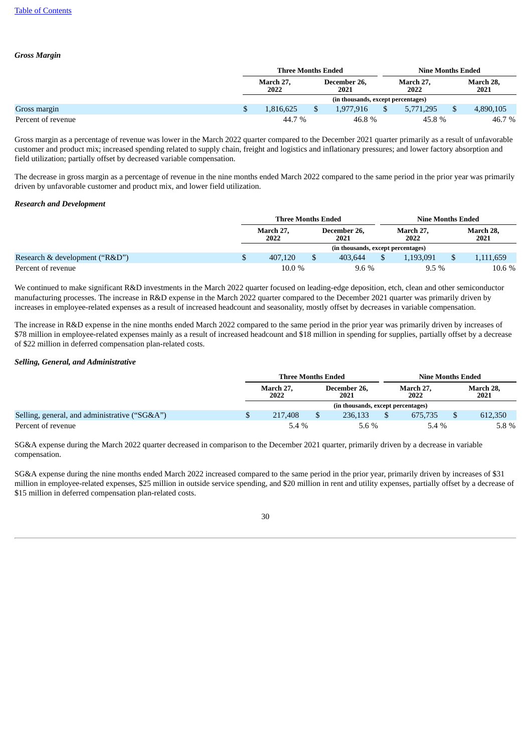#### *Gross Margin*

|                    | <b>Three Months Ended</b>          |       |                      |  |                   |  | <b>Nine Months Ended</b> |  |
|--------------------|------------------------------------|-------|----------------------|--|-------------------|--|--------------------------|--|
|                    | March 27,<br>2022                  |       | December 26,<br>2021 |  | March 27.<br>2022 |  | March 28,<br>2021        |  |
|                    | (in thousands, except percentages) |       |                      |  |                   |  |                          |  |
| Gross margin       | 1.816.625                          |       | 1.977.916            |  | 5.771.295         |  | 4,890,105                |  |
| Percent of revenue | 44.7 %                             | 46.8% |                      |  | 45.8%             |  | 46.7 %                   |  |

Gross margin as a percentage of revenue was lower in the March 2022 quarter compared to the December 2021 quarter primarily as a result of unfavorable customer and product mix; increased spending related to supply chain, freight and logistics and inflationary pressures; and lower factory absorption and field utilization; partially offset by decreased variable compensation.

The decrease in gross margin as a percentage of revenue in the nine months ended March 2022 compared to the same period in the prior year was primarily driven by unfavorable customer and product mix, and lower field utilization.

#### *Research and Development*

|                                | Three Months Ended |   |                                    | <b>Nine Months Ended</b> |                   |  |                   |  |
|--------------------------------|--------------------|---|------------------------------------|--------------------------|-------------------|--|-------------------|--|
|                                | March 27.<br>2022  |   | December 26.<br>2021               |                          | March 27.<br>2022 |  | March 28,<br>2021 |  |
|                                |                    |   | (in thousands, except percentages) |                          |                   |  |                   |  |
| Research & development ("R&D") | 407,120            | Ć | 403.644                            |                          | 1.193.091         |  | 1,111,659         |  |
| Percent of revenue             | 10.0%              |   | $9.6\%$                            |                          | $9.5\%$           |  | 10.6 %            |  |

We continued to make significant R&D investments in the March 2022 quarter focused on leading-edge deposition, etch, clean and other semiconductor manufacturing processes. The increase in R&D expense in the March 2022 quarter compared to the December 2021 quarter was primarily driven by increases in employee-related expenses as a result of increased headcount and seasonality, mostly offset by decreases in variable compensation.

The increase in R&D expense in the nine months ended March 2022 compared to the same period in the prior year was primarily driven by increases of \$78 million in employee-related expenses mainly as a result of increased headcount and \$18 million in spending for supplies, partially offset by a decrease of \$22 million in deferred compensation plan-related costs.

#### *Selling, General, and Administrative*

|                                               | <b>Three Months Ended</b> |  |                      | Nine Months Ended |                                    |         |                   |
|-----------------------------------------------|---------------------------|--|----------------------|-------------------|------------------------------------|---------|-------------------|
|                                               | March 27.<br>2022         |  | December 26,<br>2021 |                   | March 27.<br>2022                  |         | March 28,<br>2021 |
|                                               |                           |  |                      |                   | (in thousands, except percentages) |         |                   |
| Selling, general, and administrative ("SG&A") | 217,408                   |  | 236.133              |                   | 675.735                            |         | 612,350           |
| Percent of revenue                            | $5.4\%$<br>5.6%           |  |                      |                   | 5.4%                               | 5.8 $%$ |                   |

SG&A expense during the March 2022 quarter decreased in comparison to the December 2021 quarter, primarily driven by a decrease in variable compensation.

SG&A expense during the nine months ended March 2022 increased compared to the same period in the prior year, primarily driven by increases of \$31 million in employee-related expenses, \$25 million in outside service spending, and \$20 million in rent and utility expenses, partially offset by a decrease of \$15 million in deferred compensation plan-related costs.

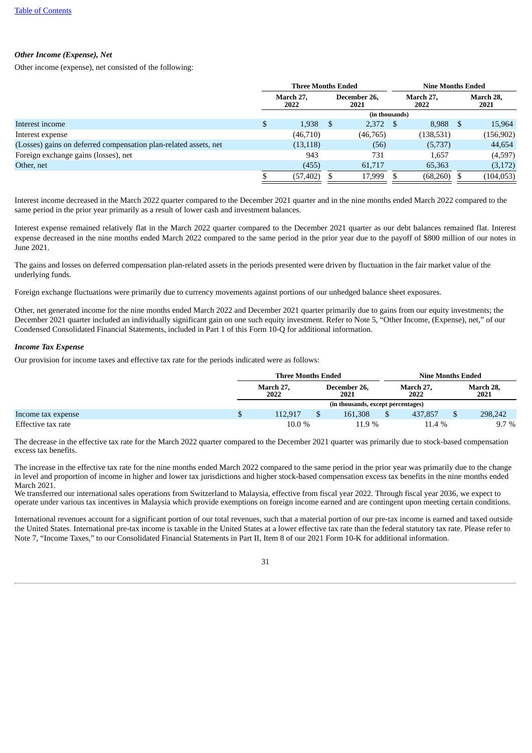## *Other Income (Expense), Net*

Other income (expense), net consisted of the following:

|                                                                  |                              | <b>Three Months Ended</b> |                      |           |                   | <b>Nine Months Ended</b> |    |                   |  |
|------------------------------------------------------------------|------------------------------|---------------------------|----------------------|-----------|-------------------|--------------------------|----|-------------------|--|
|                                                                  | March 27.<br>2022            |                           | December 26.<br>2021 |           | March 27,<br>2022 |                          |    | March 28,<br>2021 |  |
|                                                                  | (in thousands)<br>$2,372$ \$ |                           |                      |           |                   |                          |    |                   |  |
| Interest income                                                  | \$                           | 1,938                     | Ъ,                   |           |                   | 8.988                    | -5 | 15,964            |  |
| Interest expense                                                 |                              | (46,710)                  |                      | (46, 765) |                   | (138, 531)               |    | (156, 902)        |  |
| (Losses) gains on deferred compensation plan-related assets, net |                              | (13, 118)                 |                      | (56)      |                   | (5,737)                  |    | 44,654            |  |
| Foreign exchange gains (losses), net                             |                              | 943                       |                      | 731       |                   | 1,657                    |    | (4,597)           |  |
| Other, net                                                       |                              | (455)                     |                      | 61,717    |                   | 65,363                   |    | (3,172)           |  |
|                                                                  |                              | (57, 402)                 |                      | 17,999    |                   | (68,260)                 |    | (104, 053)        |  |

Interest income decreased in the March 2022 quarter compared to the December 2021 quarter and in the nine months ended March 2022 compared to the same period in the prior year primarily as a result of lower cash and investment balances.

Interest expense remained relatively flat in the March 2022 quarter compared to the December 2021 quarter as our debt balances remained flat. Interest expense decreased in the nine months ended March 2022 compared to the same period in the prior year due to the payoff of \$800 million of our notes in June 2021.

The gains and losses on deferred compensation plan-related assets in the periods presented were driven by fluctuation in the fair market value of the underlying funds.

Foreign exchange fluctuations were primarily due to currency movements against portions of our unhedged balance sheet exposures.

Other, net generated income for the nine months ended March 2022 and December 2021 quarter primarily due to gains from our equity investments; the December 2021 quarter included an individually significant gain on one such equity investment. Refer to Note 5, "Other Income, (Expense), net," of our Condensed Consolidated Financial Statements, included in Part 1 of this Form 10-Q for additional information.

## *Income Tax Expense*

Our provision for income taxes and effective tax rate for the periods indicated were as follows:

|                    | <b>Three Months Ended</b> |  |                                    | <b>Nine Months Ended</b> |                   |  |                   |
|--------------------|---------------------------|--|------------------------------------|--------------------------|-------------------|--|-------------------|
|                    | March 27,<br>2022         |  | December 26,<br>2021               |                          | March 27.<br>2022 |  | March 28,<br>2021 |
|                    |                           |  | (in thousands, except percentages) |                          |                   |  |                   |
| Income tax expense | 112.917                   |  | 161,308                            |                          | 437,857           |  | 298,242           |
| Effective tax rate | 10.0 %                    |  | 11.9%                              |                          | $11.4\%$          |  | $9.7\%$           |

The decrease in the effective tax rate for the March 2022 quarter compared to the December 2021 quarter was primarily due to stock-based compensation excess tax benefits.

The increase in the effective tax rate for the nine months ended March 2022 compared to the same period in the prior year was primarily due to the change in level and proportion of income in higher and lower tax jurisdictions and higher stock-based compensation excess tax benefits in the nine months ended March 2021

We transferred our international sales operations from Switzerland to Malaysia, effective from fiscal year 2022. Through fiscal year 2036, we expect to operate under various tax incentives in Malaysia which provide exemptions on foreign income earned and are contingent upon meeting certain conditions.

International revenues account for a significant portion of our total revenues, such that a material portion of our pre-tax income is earned and taxed outside the United States. International pre-tax income is taxable in the United States at a lower effective tax rate than the federal statutory tax rate. Please refer to Note 7, "Income Taxes," to our Consolidated Financial Statements in Part II, Item 8 of our 2021 Form 10-K for additional information.

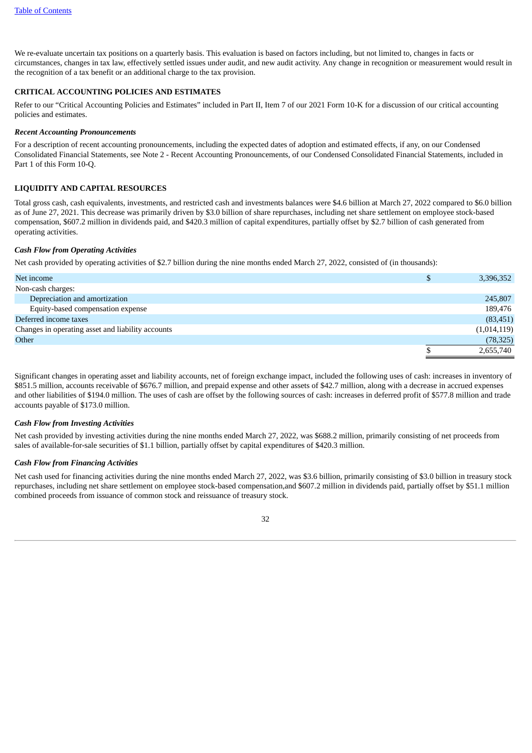We re-evaluate uncertain tax positions on a quarterly basis. This evaluation is based on factors including, but not limited to, changes in facts or circumstances, changes in tax law, effectively settled issues under audit, and new audit activity. Any change in recognition or measurement would result in the recognition of a tax benefit or an additional charge to the tax provision.

#### **CRITICAL ACCOUNTING POLICIES AND ESTIMATES**

Refer to our "Critical Accounting Policies and Estimates" included in Part II, Item 7 of our 2021 Form 10-K for a discussion of our critical accounting policies and estimates.

#### *Recent Accounting Pronouncements*

For a description of recent accounting pronouncements, including the expected dates of adoption and estimated effects, if any, on our Condensed Consolidated Financial Statements, see Note 2 - Recent Accounting Pronouncements, of our Condensed Consolidated Financial Statements, included in Part 1 of this Form 10-Q.

#### **LIQUIDITY AND CAPITAL RESOURCES**

Total gross cash, cash equivalents, investments, and restricted cash and investments balances were \$4.6 billion at March 27, 2022 compared to \$6.0 billion as of June 27, 2021. This decrease was primarily driven by \$3.0 billion of share repurchases, including net share settlement on employee stock-based compensation, \$607.2 million in dividends paid, and \$420.3 million of capital expenditures, partially offset by \$2.7 billion of cash generated from operating activities.

#### *Cash Flow from Operating Activities*

Net cash provided by operating activities of \$2.7 billion during the nine months ended March 27, 2022, consisted of (in thousands):

| Net income                                        | \$<br>3,396,352 |
|---------------------------------------------------|-----------------|
| Non-cash charges:                                 |                 |
| Depreciation and amortization                     | 245,807         |
| Equity-based compensation expense                 | 189,476         |
| Deferred income taxes                             | (83, 451)       |
| Changes in operating asset and liability accounts | (1,014,119)     |
| Other                                             | (78, 325)       |
|                                                   | 2,655,740       |

Significant changes in operating asset and liability accounts, net of foreign exchange impact, included the following uses of cash: increases in inventory of \$851.5 million, accounts receivable of \$676.7 million, and prepaid expense and other assets of \$42.7 million, along with a decrease in accrued expenses and other liabilities of \$194.0 million. The uses of cash are offset by the following sources of cash: increases in deferred profit of \$577.8 million and trade accounts payable of \$173.0 million.

#### *Cash Flow from Investing Activities*

Net cash provided by investing activities during the nine months ended March 27, 2022, was \$688.2 million, primarily consisting of net proceeds from sales of available-for-sale securities of \$1.1 billion, partially offset by capital expenditures of \$420.3 million.

#### *Cash Flow from Financing Activities*

Net cash used for financing activities during the nine months ended March 27, 2022, was \$3.6 billion, primarily consisting of \$3.0 billion in treasury stock repurchases, including net share settlement on employee stock-based compensation,and \$607.2 million in dividends paid, partially offset by \$51.1 million combined proceeds from issuance of common stock and reissuance of treasury stock.

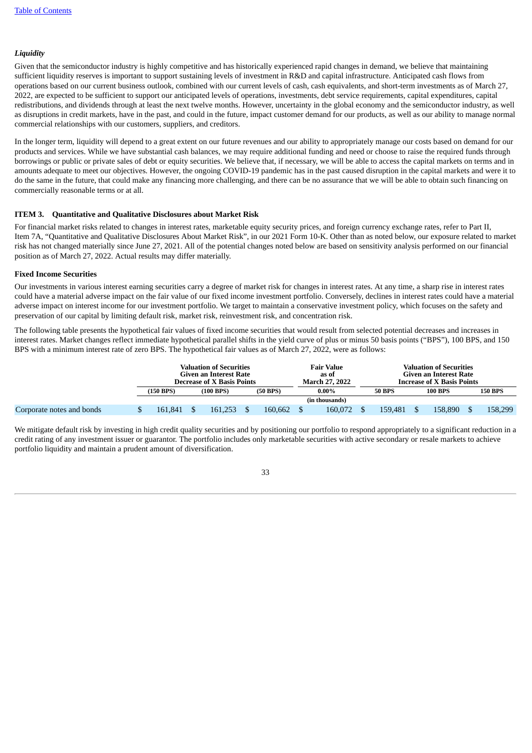#### *Liquidity*

Given that the semiconductor industry is highly competitive and has historically experienced rapid changes in demand, we believe that maintaining sufficient liquidity reserves is important to support sustaining levels of investment in R&D and capital infrastructure. Anticipated cash flows from operations based on our current business outlook, combined with our current levels of cash, cash equivalents, and short-term investments as of March 27, 2022, are expected to be sufficient to support our anticipated levels of operations, investments, debt service requirements, capital expenditures, capital redistributions, and dividends through at least the next twelve months. However, uncertainty in the global economy and the semiconductor industry, as well as disruptions in credit markets, have in the past, and could in the future, impact customer demand for our products, as well as our ability to manage normal commercial relationships with our customers, suppliers, and creditors.

In the longer term, liquidity will depend to a great extent on our future revenues and our ability to appropriately manage our costs based on demand for our products and services. While we have substantial cash balances, we may require additional funding and need or choose to raise the required funds through borrowings or public or private sales of debt or equity securities. We believe that, if necessary, we will be able to access the capital markets on terms and in amounts adequate to meet our objectives. However, the ongoing COVID-19 pandemic has in the past caused disruption in the capital markets and were it to do the same in the future, that could make any financing more challenging, and there can be no assurance that we will be able to obtain such financing on commercially reasonable terms or at all.

#### <span id="page-32-0"></span>**ITEM 3. Quantitative and Qualitative Disclosures about Market Risk**

For financial market risks related to changes in interest rates, marketable equity security prices, and foreign currency exchange rates, refer to Part II, Item 7A, "Quantitative and Qualitative Disclosures About Market Risk", in our 2021 Form 10-K. Other than as noted below, our exposure related to market risk has not changed materially since June 27, 2021. All of the potential changes noted below are based on sensitivity analysis performed on our financial position as of March 27, 2022. Actual results may differ materially.

#### **Fixed Income Securities**

Our investments in various interest earning securities carry a degree of market risk for changes in interest rates. At any time, a sharp rise in interest rates could have a material adverse impact on the fair value of our fixed income investment portfolio. Conversely, declines in interest rates could have a material adverse impact on interest income for our investment portfolio. We target to maintain a conservative investment policy, which focuses on the safety and preservation of our capital by limiting default risk, market risk, reinvestment risk, and concentration risk.

The following table presents the hypothetical fair values of fixed income securities that would result from selected potential decreases and increases in interest rates. Market changes reflect immediate hypothetical parallel shifts in the yield curve of plus or minus 50 basis points ("BPS"), 100 BPS, and 150 BPS with a minimum interest rate of zero BPS. The hypothetical fair values as of March 27, 2022, were as follows:

|                           | <b>Valuation of Securities</b><br>Given an Interest Rate<br><b>Decrease of X Basis Points</b> |  |                |  | <b>Fair Value</b><br>as of<br><b>March 27, 2022</b> | <b>Valuation of Securities</b><br>Given an Interest Rate<br><b>Increase of X Basis Points</b> |  |               |  |                |  |                |
|---------------------------|-----------------------------------------------------------------------------------------------|--|----------------|--|-----------------------------------------------------|-----------------------------------------------------------------------------------------------|--|---------------|--|----------------|--|----------------|
|                           | $(150$ BPS)                                                                                   |  | $(100$ BPS $)$ |  | $(50$ BPS)                                          | $0.00\%$                                                                                      |  | <b>50 BPS</b> |  | <b>100 BPS</b> |  | <b>150 BPS</b> |
|                           |                                                                                               |  |                |  |                                                     | (in thousands)                                                                                |  |               |  |                |  |                |
| Corporate notes and bonds | 161.841                                                                                       |  | 161.253        |  | 160.662                                             | 160,072                                                                                       |  | 159.481       |  | 158.890        |  | 158,299        |

We mitigate default risk by investing in high credit quality securities and by positioning our portfolio to respond appropriately to a significant reduction in a credit rating of any investment issuer or guarantor. The portfolio includes only marketable securities with active secondary or resale markets to achieve portfolio liquidity and maintain a prudent amount of diversification.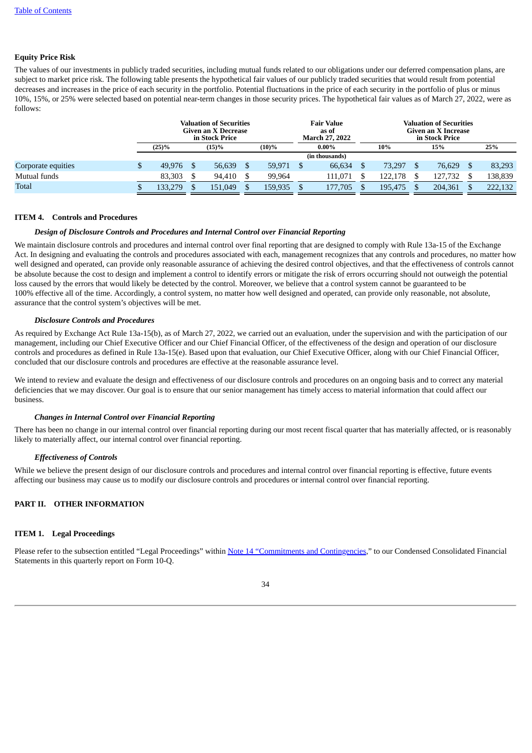#### **Equity Price Risk**

The values of our investments in publicly traded securities, including mutual funds related to our obligations under our deferred compensation plans, are subject to market price risk. The following table presents the hypothetical fair values of our publicly traded securities that would result from potential decreases and increases in the price of each security in the portfolio. Potential fluctuations in the price of each security in the portfolio of plus or minus 10%, 15%, or 25% were selected based on potential near-term changes in those security prices. The hypothetical fair values as of March 27, 2022, were as follows:

|                    |   | <b>Valuation of Securities</b><br>Given an X Decrease<br>in Stock Price |  |          |  | <b>Fair Value</b><br>as of<br><b>March 27, 2022</b> |  |                | <b>Valuation of Securities</b><br>Given an X Increase<br>in Stock Price |         |  |         |  |         |  |
|--------------------|---|-------------------------------------------------------------------------|--|----------|--|-----------------------------------------------------|--|----------------|-------------------------------------------------------------------------|---------|--|---------|--|---------|--|
|                    |   | $(25)\%$                                                                |  | $(15)\%$ |  | $(10)\%$                                            |  | $0.00\%$       |                                                                         | 10%     |  | 15%     |  | 25%     |  |
|                    |   |                                                                         |  |          |  |                                                     |  | (in thousands) |                                                                         |         |  |         |  |         |  |
| Corporate equities | Φ | 49.976                                                                  |  | 56,639   |  | 59,971                                              |  | 66.634         |                                                                         | 73.297  |  | 76.629  |  | 83,293  |  |
| Mutual funds       |   | 83.303                                                                  |  | 94.410   |  | 99.964                                              |  | 111.071        |                                                                         | 122.178 |  | 127.732 |  | 138.839 |  |
| <b>Total</b>       |   | 133,279                                                                 |  | 151.049  |  | 159,935                                             |  | 177.705        |                                                                         | 195.475 |  | 204,361 |  | 222,132 |  |

#### <span id="page-33-0"></span>**ITEM 4. Controls and Procedures**

#### *Design of Disclosure Controls and Procedures and Internal Control over Financial Reporting*

We maintain disclosure controls and procedures and internal control over final reporting that are designed to comply with Rule 13a-15 of the Exchange Act. In designing and evaluating the controls and procedures associated with each, management recognizes that any controls and procedures, no matter how well designed and operated, can provide only reasonable assurance of achieving the desired control objectives, and that the effectiveness of controls cannot be absolute because the cost to design and implement a control to identify errors or mitigate the risk of errors occurring should not outweigh the potential loss caused by the errors that would likely be detected by the control. Moreover, we believe that a control system cannot be guaranteed to be 100% effective all of the time. Accordingly, a control system, no matter how well designed and operated, can provide only reasonable, not absolute, assurance that the control system's objectives will be met.

#### *Disclosure Controls and Procedures*

As required by Exchange Act Rule 13a-15(b), as of March 27, 2022, we carried out an evaluation, under the supervision and with the participation of our management, including our Chief Executive Officer and our Chief Financial Officer, of the effectiveness of the design and operation of our disclosure controls and procedures as defined in Rule 13a-15(e). Based upon that evaluation, our Chief Executive Officer, along with our Chief Financial Officer, concluded that our disclosure controls and procedures are effective at the reasonable assurance level.

We intend to review and evaluate the design and effectiveness of our disclosure controls and procedures on an ongoing basis and to correct any material deficiencies that we may discover. Our goal is to ensure that our senior management has timely access to material information that could affect our business.

#### *Changes in Internal Control over Financial Reporting*

There has been no change in our internal control over financial reporting during our most recent fiscal quarter that has materially affected, or is reasonably likely to materially affect, our internal control over financial reporting.

#### *Effectiveness of Controls*

While we believe the present design of our disclosure controls and procedures and internal control over financial reporting is effective, future events affecting our business may cause us to modify our disclosure controls and procedures or internal control over financial reporting.

#### <span id="page-33-2"></span><span id="page-33-1"></span>**PART II. OTHER INFORMATION**

#### **ITEM 1. Legal Proceedings**

<span id="page-33-3"></span>Please refer to the subsection entitled "Legal Proceedings" within Note 14 ["Commitments](#page-22-0) and Contingencies," to our Condensed Consolidated Financial Statements in this quarterly report on Form 10-Q.

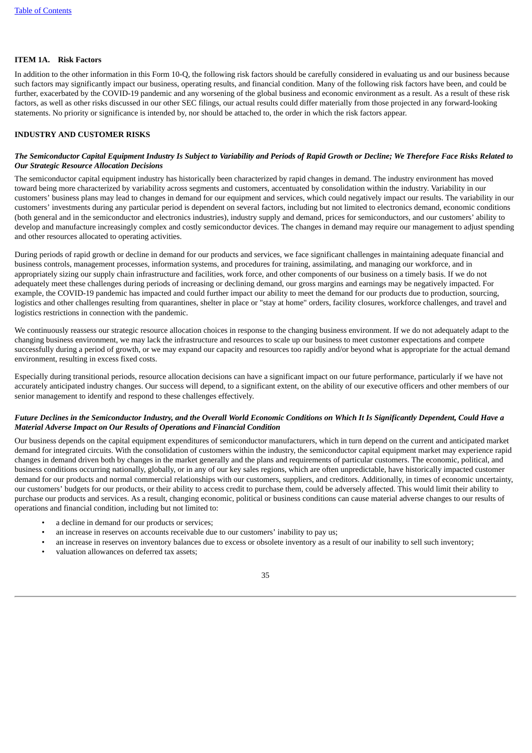#### **ITEM 1A. Risk Factors**

In addition to the other information in this Form 10-Q, the following risk factors should be carefully considered in evaluating us and our business because such factors may significantly impact our business, operating results, and financial condition. Many of the following risk factors have been, and could be further, exacerbated by the COVID-19 pandemic and any worsening of the global business and economic environment as a result. As a result of these risk factors, as well as other risks discussed in our other SEC filings, our actual results could differ materially from those projected in any forward-looking statements. No priority or significance is intended by, nor should be attached to, the order in which the risk factors appear.

#### **INDUSTRY AND CUSTOMER RISKS**

#### The Semiconductor Capital Equipment Industry Is Subject to Variability and Periods of Rapid Growth or Decline; We Therefore Face Risks Related to *Our Strategic Resource Allocation Decisions*

The semiconductor capital equipment industry has historically been characterized by rapid changes in demand. The industry environment has moved toward being more characterized by variability across segments and customers, accentuated by consolidation within the industry. Variability in our customers' business plans may lead to changes in demand for our equipment and services, which could negatively impact our results. The variability in our customers' investments during any particular period is dependent on several factors, including but not limited to electronics demand, economic conditions (both general and in the semiconductor and electronics industries), industry supply and demand, prices for semiconductors, and our customers' ability to develop and manufacture increasingly complex and costly semiconductor devices. The changes in demand may require our management to adjust spending and other resources allocated to operating activities.

During periods of rapid growth or decline in demand for our products and services, we face significant challenges in maintaining adequate financial and business controls, management processes, information systems, and procedures for training, assimilating, and managing our workforce, and in appropriately sizing our supply chain infrastructure and facilities, work force, and other components of our business on a timely basis. If we do not adequately meet these challenges during periods of increasing or declining demand, our gross margins and earnings may be negatively impacted. For example, the COVID-19 pandemic has impacted and could further impact our ability to meet the demand for our products due to production, sourcing, logistics and other challenges resulting from quarantines, shelter in place or "stay at home" orders, facility closures, workforce challenges, and travel and logistics restrictions in connection with the pandemic.

We continuously reassess our strategic resource allocation choices in response to the changing business environment. If we do not adequately adapt to the changing business environment, we may lack the infrastructure and resources to scale up our business to meet customer expectations and compete successfully during a period of growth, or we may expand our capacity and resources too rapidly and/or beyond what is appropriate for the actual demand environment, resulting in excess fixed costs.

Especially during transitional periods, resource allocation decisions can have a significant impact on our future performance, particularly if we have not accurately anticipated industry changes. Our success will depend, to a significant extent, on the ability of our executive officers and other members of our senior management to identify and respond to these challenges effectively.

#### Future Declines in the Semiconductor Industry, and the Overall World Economic Conditions on Which It Is Significantly Dependent, Could Have a *Material Adverse Impact on Our Results of Operations and Financial Condition*

Our business depends on the capital equipment expenditures of semiconductor manufacturers, which in turn depend on the current and anticipated market demand for integrated circuits. With the consolidation of customers within the industry, the semiconductor capital equipment market may experience rapid changes in demand driven both by changes in the market generally and the plans and requirements of particular customers. The economic, political, and business conditions occurring nationally, globally, or in any of our key sales regions, which are often unpredictable, have historically impacted customer demand for our products and normal commercial relationships with our customers, suppliers, and creditors. Additionally, in times of economic uncertainty, our customers' budgets for our products, or their ability to access credit to purchase them, could be adversely affected. This would limit their ability to purchase our products and services. As a result, changing economic, political or business conditions can cause material adverse changes to our results of operations and financial condition, including but not limited to:

- a decline in demand for our products or services;
- an increase in reserves on accounts receivable due to our customers' inability to pay us;
- an increase in reserves on inventory balances due to excess or obsolete inventory as a result of our inability to sell such inventory;
- valuation allowances on deferred tax assets;

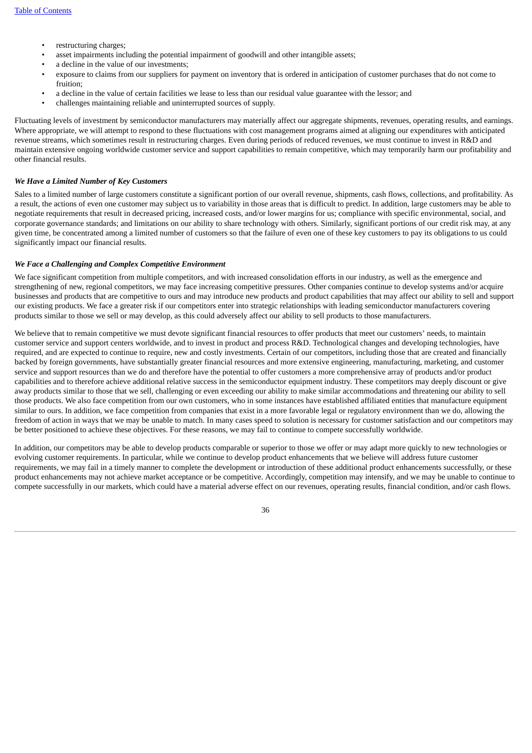- restructuring charges;
- asset impairments including the potential impairment of goodwill and other intangible assets;
- a decline in the value of our investments;
- exposure to claims from our suppliers for payment on inventory that is ordered in anticipation of customer purchases that do not come to fruition;
- a decline in the value of certain facilities we lease to less than our residual value guarantee with the lessor; and
- challenges maintaining reliable and uninterrupted sources of supply.

Fluctuating levels of investment by semiconductor manufacturers may materially affect our aggregate shipments, revenues, operating results, and earnings. Where appropriate, we will attempt to respond to these fluctuations with cost management programs aimed at aligning our expenditures with anticipated revenue streams, which sometimes result in restructuring charges. Even during periods of reduced revenues, we must continue to invest in R&D and maintain extensive ongoing worldwide customer service and support capabilities to remain competitive, which may temporarily harm our profitability and other financial results.

#### *We Have a Limited Number of Key Customers*

Sales to a limited number of large customers constitute a significant portion of our overall revenue, shipments, cash flows, collections, and profitability. As a result, the actions of even one customer may subject us to variability in those areas that is difficult to predict. In addition, large customers may be able to negotiate requirements that result in decreased pricing, increased costs, and/or lower margins for us; compliance with specific environmental, social, and corporate governance standards; and limitations on our ability to share technology with others. Similarly, significant portions of our credit risk may, at any given time, be concentrated among a limited number of customers so that the failure of even one of these key customers to pay its obligations to us could significantly impact our financial results.

#### *We Face a Challenging and Complex Competitive Environment*

We face significant competition from multiple competitors, and with increased consolidation efforts in our industry, as well as the emergence and strengthening of new, regional competitors, we may face increasing competitive pressures. Other companies continue to develop systems and/or acquire businesses and products that are competitive to ours and may introduce new products and product capabilities that may affect our ability to sell and support our existing products. We face a greater risk if our competitors enter into strategic relationships with leading semiconductor manufacturers covering products similar to those we sell or may develop, as this could adversely affect our ability to sell products to those manufacturers.

We believe that to remain competitive we must devote significant financial resources to offer products that meet our customers' needs, to maintain customer service and support centers worldwide, and to invest in product and process R&D. Technological changes and developing technologies, have required, and are expected to continue to require, new and costly investments. Certain of our competitors, including those that are created and financially backed by foreign governments, have substantially greater financial resources and more extensive engineering, manufacturing, marketing, and customer service and support resources than we do and therefore have the potential to offer customers a more comprehensive array of products and/or product capabilities and to therefore achieve additional relative success in the semiconductor equipment industry. These competitors may deeply discount or give away products similar to those that we sell, challenging or even exceeding our ability to make similar accommodations and threatening our ability to sell those products. We also face competition from our own customers, who in some instances have established affiliated entities that manufacture equipment similar to ours. In addition, we face competition from companies that exist in a more favorable legal or regulatory environment than we do, allowing the freedom of action in ways that we may be unable to match. In many cases speed to solution is necessary for customer satisfaction and our competitors may be better positioned to achieve these objectives. For these reasons, we may fail to continue to compete successfully worldwide.

In addition, our competitors may be able to develop products comparable or superior to those we offer or may adapt more quickly to new technologies or evolving customer requirements. In particular, while we continue to develop product enhancements that we believe will address future customer requirements, we may fail in a timely manner to complete the development or introduction of these additional product enhancements successfully, or these product enhancements may not achieve market acceptance or be competitive. Accordingly, competition may intensify, and we may be unable to continue to compete successfully in our markets, which could have a material adverse effect on our revenues, operating results, financial condition, and/or cash flows.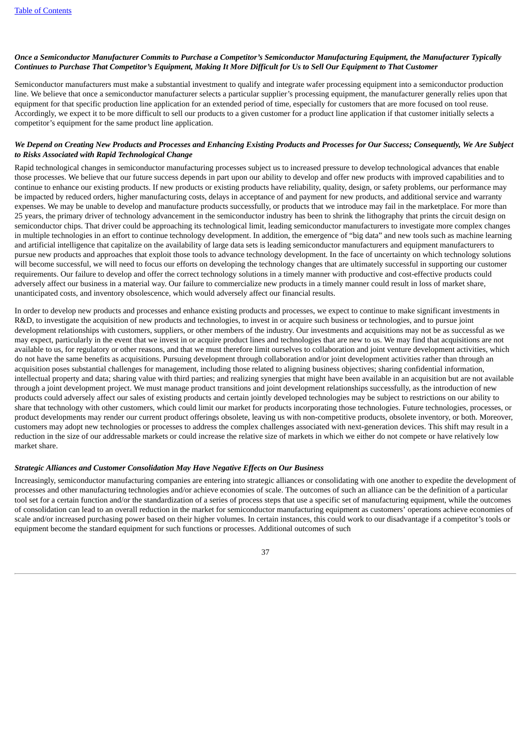#### Once a Semiconductor Manufacturer Commits to Purchase a Competitor's Semiconductor Manufacturina Equipment, the Manufacturer Typically Continues to Purchase That Competitor's Equipment, Making It More Difficult for Us to Sell Our Equipment to That Customer

Semiconductor manufacturers must make a substantial investment to qualify and integrate wafer processing equipment into a semiconductor production line. We believe that once a semiconductor manufacturer selects a particular supplier's processing equipment, the manufacturer generally relies upon that equipment for that specific production line application for an extended period of time, especially for customers that are more focused on tool reuse. Accordingly, we expect it to be more difficult to sell our products to a given customer for a product line application if that customer initially selects a competitor's equipment for the same product line application.

#### We Depend on Creating New Products and Processes and Enhancing Existing Products and Processes for Our Success; Consequently, We Are Subject *to Risks Associated with Rapid Technological Change*

Rapid technological changes in semiconductor manufacturing processes subject us to increased pressure to develop technological advances that enable those processes. We believe that our future success depends in part upon our ability to develop and offer new products with improved capabilities and to continue to enhance our existing products. If new products or existing products have reliability, quality, design, or safety problems, our performance may be impacted by reduced orders, higher manufacturing costs, delays in acceptance of and payment for new products, and additional service and warranty expenses. We may be unable to develop and manufacture products successfully, or products that we introduce may fail in the marketplace. For more than 25 years, the primary driver of technology advancement in the semiconductor industry has been to shrink the lithography that prints the circuit design on semiconductor chips. That driver could be approaching its technological limit, leading semiconductor manufacturers to investigate more complex changes in multiple technologies in an effort to continue technology development. In addition, the emergence of "big data" and new tools such as machine learning and artificial intelligence that capitalize on the availability of large data sets is leading semiconductor manufacturers and equipment manufacturers to pursue new products and approaches that exploit those tools to advance technology development. In the face of uncertainty on which technology solutions will become successful, we will need to focus our efforts on developing the technology changes that are ultimately successful in supporting our customer requirements. Our failure to develop and offer the correct technology solutions in a timely manner with productive and cost-effective products could adversely affect our business in a material way. Our failure to commercialize new products in a timely manner could result in loss of market share, unanticipated costs, and inventory obsolescence, which would adversely affect our financial results.

In order to develop new products and processes and enhance existing products and processes, we expect to continue to make significant investments in R&D, to investigate the acquisition of new products and technologies, to invest in or acquire such business or technologies, and to pursue joint development relationships with customers, suppliers, or other members of the industry. Our investments and acquisitions may not be as successful as we may expect, particularly in the event that we invest in or acquire product lines and technologies that are new to us. We may find that acquisitions are not available to us, for regulatory or other reasons, and that we must therefore limit ourselves to collaboration and joint venture development activities, which do not have the same benefits as acquisitions. Pursuing development through collaboration and/or joint development activities rather than through an acquisition poses substantial challenges for management, including those related to aligning business objectives; sharing confidential information, intellectual property and data; sharing value with third parties; and realizing synergies that might have been available in an acquisition but are not available through a joint development project. We must manage product transitions and joint development relationships successfully, as the introduction of new products could adversely affect our sales of existing products and certain jointly developed technologies may be subject to restrictions on our ability to share that technology with other customers, which could limit our market for products incorporating those technologies. Future technologies, processes, or product developments may render our current product offerings obsolete, leaving us with non-competitive products, obsolete inventory, or both. Moreover, customers may adopt new technologies or processes to address the complex challenges associated with next-generation devices. This shift may result in a reduction in the size of our addressable markets or could increase the relative size of markets in which we either do not compete or have relatively low market share.

#### *Strategic Alliances and Customer Consolidation May Have Negative Effects on Our Business*

Increasingly, semiconductor manufacturing companies are entering into strategic alliances or consolidating with one another to expedite the development of processes and other manufacturing technologies and/or achieve economies of scale. The outcomes of such an alliance can be the definition of a particular tool set for a certain function and/or the standardization of a series of process steps that use a specific set of manufacturing equipment, while the outcomes of consolidation can lead to an overall reduction in the market for semiconductor manufacturing equipment as customers' operations achieve economies of scale and/or increased purchasing power based on their higher volumes. In certain instances, this could work to our disadvantage if a competitor's tools or equipment become the standard equipment for such functions or processes. Additional outcomes of such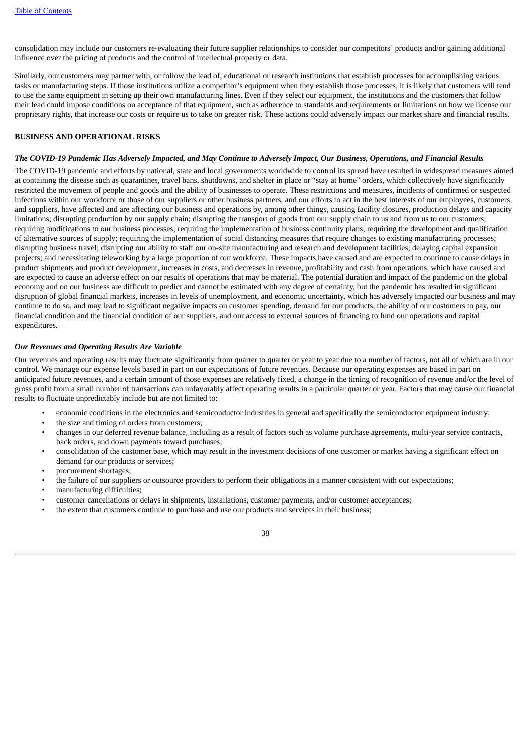consolidation may include our customers re-evaluating their future supplier relationships to consider our competitors' products and/or gaining additional influence over the pricing of products and the control of intellectual property or data.

Similarly, our customers may partner with, or follow the lead of, educational or research institutions that establish processes for accomplishing various tasks or manufacturing steps. If those institutions utilize a competitor's equipment when they establish those processes, it is likely that customers will tend to use the same equipment in setting up their own manufacturing lines. Even if they select our equipment, the institutions and the customers that follow their lead could impose conditions on acceptance of that equipment, such as adherence to standards and requirements or limitations on how we license our proprietary rights, that increase our costs or require us to take on greater risk. These actions could adversely impact our market share and financial results.

#### **BUSINESS AND OPERATIONAL RISKS**

#### The COVID-19 Pandemic Has Adversely Impacted, and May Continue to Adversely Impact, Our Business, Operations, and Financial Results

The COVID-19 pandemic and efforts by national, state and local governments worldwide to control its spread have resulted in widespread measures aimed at containing the disease such as quarantines, travel bans, shutdowns, and shelter in place or "stay at home" orders, which collectively have significantly restricted the movement of people and goods and the ability of businesses to operate. These restrictions and measures, incidents of confirmed or suspected infections within our workforce or those of our suppliers or other business partners, and our efforts to act in the best interests of our employees, customers, and suppliers, have affected and are affecting our business and operations by, among other things, causing facility closures, production delays and capacity limitations; disrupting production by our supply chain; disrupting the transport of goods from our supply chain to us and from us to our customers; requiring modifications to our business processes; requiring the implementation of business continuity plans; requiring the development and qualification of alternative sources of supply; requiring the implementation of social distancing measures that require changes to existing manufacturing processes; disrupting business travel; disrupting our ability to staff our on-site manufacturing and research and development facilities; delaying capital expansion projects; and necessitating teleworking by a large proportion of our workforce. These impacts have caused and are expected to continue to cause delays in product shipments and product development, increases in costs, and decreases in revenue, profitability and cash from operations, which have caused and are expected to cause an adverse effect on our results of operations that may be material. The potential duration and impact of the pandemic on the global economy and on our business are difficult to predict and cannot be estimated with any degree of certainty, but the pandemic has resulted in significant disruption of global financial markets, increases in levels of unemployment, and economic uncertainty, which has adversely impacted our business and may continue to do so, and may lead to significant negative impacts on customer spending, demand for our products, the ability of our customers to pay, our financial condition and the financial condition of our suppliers, and our access to external sources of financing to fund our operations and capital expenditures.

#### *Our Revenues and Operating Results Are Variable*

Our revenues and operating results may fluctuate significantly from quarter to quarter or year to year due to a number of factors, not all of which are in our control. We manage our expense levels based in part on our expectations of future revenues. Because our operating expenses are based in part on anticipated future revenues, and a certain amount of those expenses are relatively fixed, a change in the timing of recognition of revenue and/or the level of gross profit from a small number of transactions can unfavorably affect operating results in a particular quarter or year. Factors that may cause our financial results to fluctuate unpredictably include but are not limited to:

- economic conditions in the electronics and semiconductor industries in general and specifically the semiconductor equipment industry;
- the size and timing of orders from customers;
- changes in our deferred revenue balance, including as a result of factors such as volume purchase agreements, multi-year service contracts, back orders, and down payments toward purchases;
- consolidation of the customer base, which may result in the investment decisions of one customer or market having a significant effect on demand for our products or services;
- procurement shortages;
- the failure of our suppliers or outsource providers to perform their obligations in a manner consistent with our expectations;
- manufacturing difficulties;
- customer cancellations or delays in shipments, installations, customer payments, and/or customer acceptances;
- the extent that customers continue to purchase and use our products and services in their business;

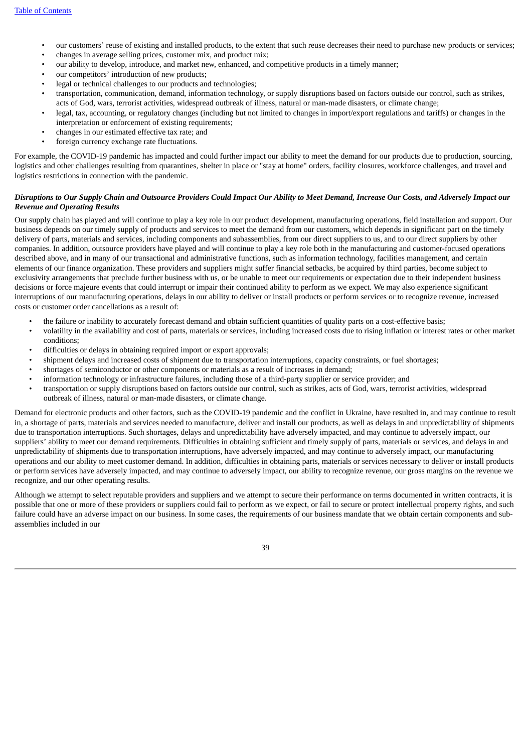- our customers' reuse of existing and installed products, to the extent that such reuse decreases their need to purchase new products or services;
- changes in average selling prices, customer mix, and product mix;
- our ability to develop, introduce, and market new, enhanced, and competitive products in a timely manner;
- our competitors' introduction of new products;
- legal or technical challenges to our products and technologies:
- transportation, communication, demand, information technology, or supply disruptions based on factors outside our control, such as strikes, acts of God, wars, terrorist activities, widespread outbreak of illness, natural or man-made disasters, or climate change;
- legal, tax, accounting, or regulatory changes (including but not limited to changes in import/export regulations and tariffs) or changes in the interpretation or enforcement of existing requirements;
- changes in our estimated effective tax rate; and
- foreign currency exchange rate fluctuations.

For example, the COVID-19 pandemic has impacted and could further impact our ability to meet the demand for our products due to production, sourcing, logistics and other challenges resulting from quarantines, shelter in place or "stay at home" orders, facility closures, workforce challenges, and travel and logistics restrictions in connection with the pandemic.

#### Disruptions to Our Supply Chain and Outsource Providers Could Impact Our Ability to Meet Demand, Increase Our Costs, and Adversely Impact our *Revenue and Operating Results*

Our supply chain has played and will continue to play a key role in our product development, manufacturing operations, field installation and support. Our business depends on our timely supply of products and services to meet the demand from our customers, which depends in significant part on the timely delivery of parts, materials and services, including components and subassemblies, from our direct suppliers to us, and to our direct suppliers by other companies. In addition, outsource providers have played and will continue to play a key role both in the manufacturing and customer-focused operations described above, and in many of our transactional and administrative functions, such as information technology, facilities management, and certain elements of our finance organization. These providers and suppliers might suffer financial setbacks, be acquired by third parties, become subject to exclusivity arrangements that preclude further business with us, or be unable to meet our requirements or expectation due to their independent business decisions or force majeure events that could interrupt or impair their continued ability to perform as we expect. We may also experience significant interruptions of our manufacturing operations, delays in our ability to deliver or install products or perform services or to recognize revenue, increased costs or customer order cancellations as a result of:

- the failure or inability to accurately forecast demand and obtain sufficient quantities of quality parts on a cost-effective basis;
- volatility in the availability and cost of parts, materials or services, including increased costs due to rising inflation or interest rates or other market conditions;
- difficulties or delays in obtaining required import or export approvals;
- shipment delays and increased costs of shipment due to transportation interruptions, capacity constraints, or fuel shortages;
- shortages of semiconductor or other components or materials as a result of increases in demand;
- information technology or infrastructure failures, including those of a third-party supplier or service provider; and
- transportation or supply disruptions based on factors outside our control, such as strikes, acts of God, wars, terrorist activities, widespread outbreak of illness, natural or man-made disasters, or climate change.

Demand for electronic products and other factors, such as the COVID-19 pandemic and the conflict in Ukraine, have resulted in, and may continue to result in, a shortage of parts, materials and services needed to manufacture, deliver and install our products, as well as delays in and unpredictability of shipments due to transportation interruptions. Such shortages, delays and unpredictability have adversely impacted, and may continue to adversely impact, our suppliers' ability to meet our demand requirements. Difficulties in obtaining sufficient and timely supply of parts, materials or services, and delays in and unpredictability of shipments due to transportation interruptions, have adversely impacted, and may continue to adversely impact, our manufacturing operations and our ability to meet customer demand. In addition, difficulties in obtaining parts, materials or services necessary to deliver or install products or perform services have adversely impacted, and may continue to adversely impact, our ability to recognize revenue, our gross margins on the revenue we recognize, and our other operating results.

Although we attempt to select reputable providers and suppliers and we attempt to secure their performance on terms documented in written contracts, it is possible that one or more of these providers or suppliers could fail to perform as we expect, or fail to secure or protect intellectual property rights, and such failure could have an adverse impact on our business. In some cases, the requirements of our business mandate that we obtain certain components and subassemblies included in our

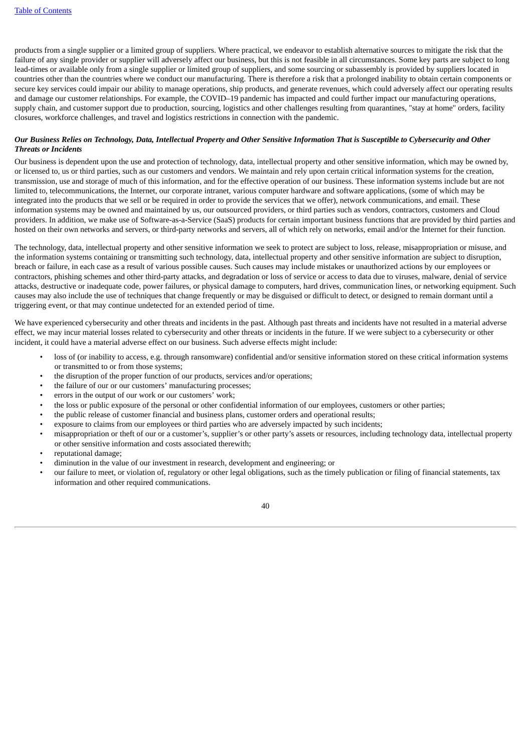products from a single supplier or a limited group of suppliers. Where practical, we endeavor to establish alternative sources to mitigate the risk that the failure of any single provider or supplier will adversely affect our business, but this is not feasible in all circumstances. Some key parts are subject to long lead-times or available only from a single supplier or limited group of suppliers, and some sourcing or subassembly is provided by suppliers located in countries other than the countries where we conduct our manufacturing. There is therefore a risk that a prolonged inability to obtain certain components or secure key services could impair our ability to manage operations, ship products, and generate revenues, which could adversely affect our operating results and damage our customer relationships. For example, the COVID–19 pandemic has impacted and could further impact our manufacturing operations, supply chain, and customer support due to production, sourcing, logistics and other challenges resulting from quarantines, "stay at home" orders, facility closures, workforce challenges, and travel and logistics restrictions in connection with the pandemic.

#### Our Business Relies on Technology, Data, Intellectual Property and Other Sensitive Information That is Susceptible to Cybersecurity and Other *Threats or Incidents*

Our business is dependent upon the use and protection of technology, data, intellectual property and other sensitive information, which may be owned by, or licensed to, us or third parties, such as our customers and vendors. We maintain and rely upon certain critical information systems for the creation, transmission, use and storage of much of this information, and for the effective operation of our business. These information systems include but are not limited to, telecommunications, the Internet, our corporate intranet, various computer hardware and software applications, (some of which may be integrated into the products that we sell or be required in order to provide the services that we offer), network communications, and email. These information systems may be owned and maintained by us, our outsourced providers, or third parties such as vendors, contractors, customers and Cloud providers. In addition, we make use of Software-as-a-Service (SaaS) products for certain important business functions that are provided by third parties and hosted on their own networks and servers, or third-party networks and servers, all of which rely on networks, email and/or the Internet for their function.

The technology, data, intellectual property and other sensitive information we seek to protect are subject to loss, release, misappropriation or misuse, and the information systems containing or transmitting such technology, data, intellectual property and other sensitive information are subject to disruption, breach or failure, in each case as a result of various possible causes. Such causes may include mistakes or unauthorized actions by our employees or contractors, phishing schemes and other third-party attacks, and degradation or loss of service or access to data due to viruses, malware, denial of service attacks, destructive or inadequate code, power failures, or physical damage to computers, hard drives, communication lines, or networking equipment. Such causes may also include the use of techniques that change frequently or may be disguised or difficult to detect, or designed to remain dormant until a triggering event, or that may continue undetected for an extended period of time.

We have experienced cybersecurity and other threats and incidents in the past. Although past threats and incidents have not resulted in a material adverse effect, we may incur material losses related to cybersecurity and other threats or incidents in the future. If we were subject to a cybersecurity or other incident, it could have a material adverse effect on our business. Such adverse effects might include:

- loss of (or inability to access, e.g. through ransomware) confidential and/or sensitive information stored on these critical information systems or transmitted to or from those systems;
- the disruption of the proper function of our products, services and/or operations;
- the failure of our or our customers' manufacturing processes;
- errors in the output of our work or our customers' work;
- the loss or public exposure of the personal or other confidential information of our employees, customers or other parties;
- the public release of customer financial and business plans, customer orders and operational results;
- exposure to claims from our employees or third parties who are adversely impacted by such incidents;
- misappropriation or theft of our or a customer's, supplier's or other party's assets or resources, including technology data, intellectual property or other sensitive information and costs associated therewith;
- reputational damage;
- diminution in the value of our investment in research, development and engineering; or
- our failure to meet, or violation of, regulatory or other legal obligations, such as the timely publication or filing of financial statements, tax information and other required communications.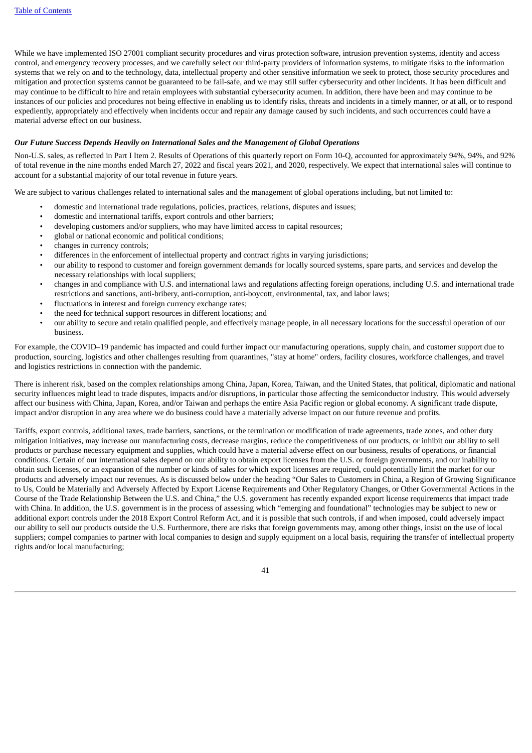While we have implemented ISO 27001 compliant security procedures and virus protection software, intrusion prevention systems, identity and access control, and emergency recovery processes, and we carefully select our third-party providers of information systems, to mitigate risks to the information systems that we rely on and to the technology, data, intellectual property and other sensitive information we seek to protect, those security procedures and mitigation and protection systems cannot be guaranteed to be fail-safe, and we may still suffer cybersecurity and other incidents. It has been difficult and may continue to be difficult to hire and retain employees with substantial cybersecurity acumen. In addition, there have been and may continue to be instances of our policies and procedures not being effective in enabling us to identify risks, threats and incidents in a timely manner, or at all, or to respond expediently, appropriately and effectively when incidents occur and repair any damage caused by such incidents, and such occurrences could have a material adverse effect on our business.

#### *Our Future Success Depends Heavily on International Sales and the Management of Global Operations*

Non-U.S. sales, as reflected in Part I Item 2. Results of Operations of this quarterly report on Form 10-Q, accounted for approximately 94%, 94%, and 92% of total revenue in the nine months ended March 27, 2022 and fiscal years 2021, and 2020, respectively. We expect that international sales will continue to account for a substantial majority of our total revenue in future years.

We are subject to various challenges related to international sales and the management of global operations including, but not limited to:

- domestic and international trade regulations, policies, practices, relations, disputes and issues;
- domestic and international tariffs, export controls and other barriers;
- developing customers and/or suppliers, who may have limited access to capital resources;
- global or national economic and political conditions;
- changes in currency controls;
- differences in the enforcement of intellectual property and contract rights in varying jurisdictions;
- our ability to respond to customer and foreign government demands for locally sourced systems, spare parts, and services and develop the necessary relationships with local suppliers;
- changes in and compliance with U.S. and international laws and regulations affecting foreign operations, including U.S. and international trade restrictions and sanctions, anti-bribery, anti-corruption, anti-boycott, environmental, tax, and labor laws;
- fluctuations in interest and foreign currency exchange rates;
- the need for technical support resources in different locations; and
- our ability to secure and retain qualified people, and effectively manage people, in all necessary locations for the successful operation of our business.

For example, the COVID–19 pandemic has impacted and could further impact our manufacturing operations, supply chain, and customer support due to production, sourcing, logistics and other challenges resulting from quarantines, "stay at home" orders, facility closures, workforce challenges, and travel and logistics restrictions in connection with the pandemic.

There is inherent risk, based on the complex relationships among China, Japan, Korea, Taiwan, and the United States, that political, diplomatic and national security influences might lead to trade disputes, impacts and/or disruptions, in particular those affecting the semiconductor industry. This would adversely affect our business with China, Japan, Korea, and/or Taiwan and perhaps the entire Asia Pacific region or global economy. A significant trade dispute, impact and/or disruption in any area where we do business could have a materially adverse impact on our future revenue and profits.

Tariffs, export controls, additional taxes, trade barriers, sanctions, or the termination or modification of trade agreements, trade zones, and other duty mitigation initiatives, may increase our manufacturing costs, decrease margins, reduce the competitiveness of our products, or inhibit our ability to sell products or purchase necessary equipment and supplies, which could have a material adverse effect on our business, results of operations, or financial conditions. Certain of our international sales depend on our ability to obtain export licenses from the U.S. or foreign governments, and our inability to obtain such licenses, or an expansion of the number or kinds of sales for which export licenses are required, could potentially limit the market for our products and adversely impact our revenues. As is discussed below under the heading "Our Sales to Customers in China, a Region of Growing Significance to Us, Could be Materially and Adversely Affected by Export License Requirements and Other Regulatory Changes, or Other Governmental Actions in the Course of the Trade Relationship Between the U.S. and China," the U.S. government has recently expanded export license requirements that impact trade with China. In addition, the U.S. government is in the process of assessing which "emerging and foundational" technologies may be subject to new or additional export controls under the 2018 Export Control Reform Act, and it is possible that such controls, if and when imposed, could adversely impact our ability to sell our products outside the U.S. Furthermore, there are risks that foreign governments may, among other things, insist on the use of local suppliers; compel companies to partner with local companies to design and supply equipment on a local basis, requiring the transfer of intellectual property rights and/or local manufacturing;

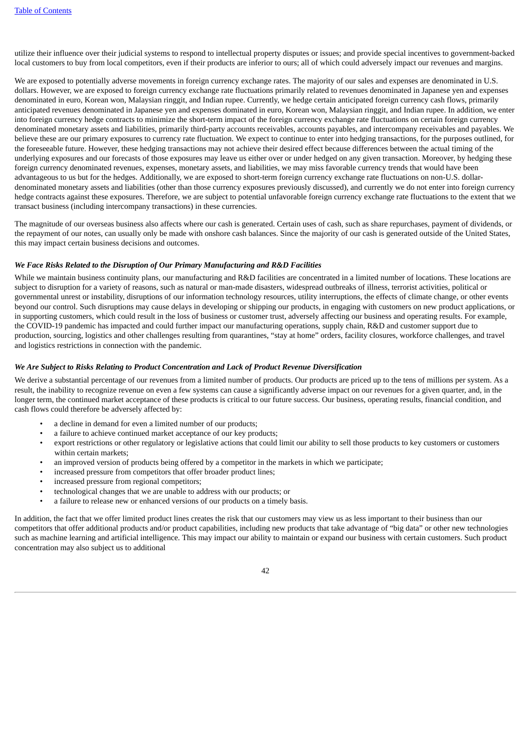utilize their influence over their judicial systems to respond to intellectual property disputes or issues; and provide special incentives to government-backed local customers to buy from local competitors, even if their products are inferior to ours; all of which could adversely impact our revenues and margins.

We are exposed to potentially adverse movements in foreign currency exchange rates. The majority of our sales and expenses are denominated in U.S. dollars. However, we are exposed to foreign currency exchange rate fluctuations primarily related to revenues denominated in Japanese yen and expenses denominated in euro, Korean won, Malaysian ringgit, and Indian rupee. Currently, we hedge certain anticipated foreign currency cash flows, primarily anticipated revenues denominated in Japanese yen and expenses dominated in euro, Korean won, Malaysian ringgit, and Indian rupee. In addition, we enter into foreign currency hedge contracts to minimize the short-term impact of the foreign currency exchange rate fluctuations on certain foreign currency denominated monetary assets and liabilities, primarily third-party accounts receivables, accounts payables, and intercompany receivables and payables. We believe these are our primary exposures to currency rate fluctuation. We expect to continue to enter into hedging transactions, for the purposes outlined, for the foreseeable future. However, these hedging transactions may not achieve their desired effect because differences between the actual timing of the underlying exposures and our forecasts of those exposures may leave us either over or under hedged on any given transaction. Moreover, by hedging these foreign currency denominated revenues, expenses, monetary assets, and liabilities, we may miss favorable currency trends that would have been advantageous to us but for the hedges. Additionally, we are exposed to short-term foreign currency exchange rate fluctuations on non-U.S. dollardenominated monetary assets and liabilities (other than those currency exposures previously discussed), and currently we do not enter into foreign currency hedge contracts against these exposures. Therefore, we are subject to potential unfavorable foreign currency exchange rate fluctuations to the extent that we transact business (including intercompany transactions) in these currencies.

The magnitude of our overseas business also affects where our cash is generated. Certain uses of cash, such as share repurchases, payment of dividends, or the repayment of our notes, can usually only be made with onshore cash balances. Since the majority of our cash is generated outside of the United States, this may impact certain business decisions and outcomes.

#### *We Face Risks Related to the Disruption of Our Primary Manufacturing and R&D Facilities*

While we maintain business continuity plans, our manufacturing and R&D facilities are concentrated in a limited number of locations. These locations are subject to disruption for a variety of reasons, such as natural or man-made disasters, widespread outbreaks of illness, terrorist activities, political or governmental unrest or instability, disruptions of our information technology resources, utility interruptions, the effects of climate change, or other events beyond our control. Such disruptions may cause delays in developing or shipping our products, in engaging with customers on new product applications, or in supporting customers, which could result in the loss of business or customer trust, adversely affecting our business and operating results. For example, the COVID-19 pandemic has impacted and could further impact our manufacturing operations, supply chain, R&D and customer support due to production, sourcing, logistics and other challenges resulting from quarantines, "stay at home" orders, facility closures, workforce challenges, and travel and logistics restrictions in connection with the pandemic.

#### *We Are Subject to Risks Relating to Product Concentration and Lack of Product Revenue Diversification*

We derive a substantial percentage of our revenues from a limited number of products. Our products are priced up to the tens of millions per system. As a result, the inability to recognize revenue on even a few systems can cause a significantly adverse impact on our revenues for a given quarter, and, in the longer term, the continued market acceptance of these products is critical to our future success. Our business, operating results, financial condition, and cash flows could therefore be adversely affected by:

- a decline in demand for even a limited number of our products;
- a failure to achieve continued market acceptance of our key products;
- export restrictions or other regulatory or legislative actions that could limit our ability to sell those products to key customers or customers within certain markets;
- an improved version of products being offered by a competitor in the markets in which we participate;
- increased pressure from competitors that offer broader product lines;
- increased pressure from regional competitors;
- technological changes that we are unable to address with our products; or
- a failure to release new or enhanced versions of our products on a timely basis.

In addition, the fact that we offer limited product lines creates the risk that our customers may view us as less important to their business than our competitors that offer additional products and/or product capabilities, including new products that take advantage of "big data" or other new technologies such as machine learning and artificial intelligence. This may impact our ability to maintain or expand our business with certain customers. Such product concentration may also subject us to additional

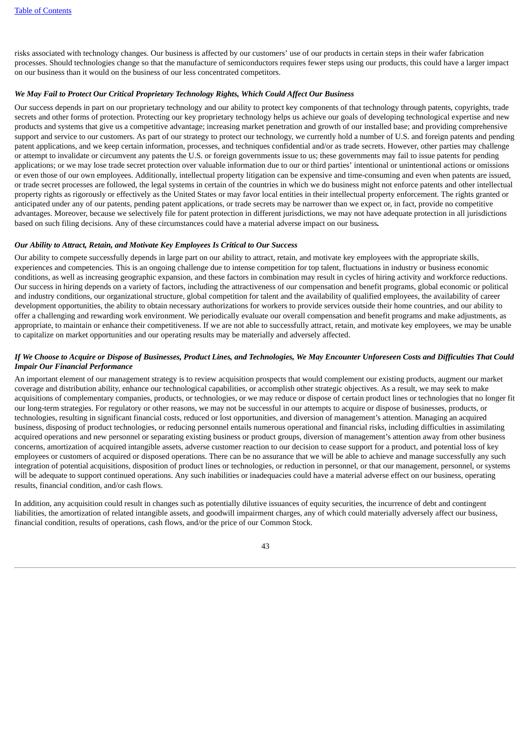risks associated with technology changes. Our business is affected by our customers' use of our products in certain steps in their wafer fabrication processes. Should technologies change so that the manufacture of semiconductors requires fewer steps using our products, this could have a larger impact on our business than it would on the business of our less concentrated competitors.

#### *We May Fail to Protect Our Critical Proprietary Technology Rights, Which Could Affect Our Business*

Our success depends in part on our proprietary technology and our ability to protect key components of that technology through patents, copyrights, trade secrets and other forms of protection. Protecting our key proprietary technology helps us achieve our goals of developing technological expertise and new products and systems that give us a competitive advantage; increasing market penetration and growth of our installed base; and providing comprehensive support and service to our customers. As part of our strategy to protect our technology, we currently hold a number of U.S. and foreign patents and pending patent applications, and we keep certain information, processes, and techniques confidential and/or as trade secrets. However, other parties may challenge or attempt to invalidate or circumvent any patents the U.S. or foreign governments issue to us; these governments may fail to issue patents for pending applications; or we may lose trade secret protection over valuable information due to our or third parties' intentional or unintentional actions or omissions or even those of our own employees. Additionally, intellectual property litigation can be expensive and time-consuming and even when patents are issued, or trade secret processes are followed, the legal systems in certain of the countries in which we do business might not enforce patents and other intellectual property rights as rigorously or effectively as the United States or may favor local entities in their intellectual property enforcement. The rights granted or anticipated under any of our patents, pending patent applications, or trade secrets may be narrower than we expect or, in fact, provide no competitive advantages. Moreover, because we selectively file for patent protection in different jurisdictions, we may not have adequate protection in all jurisdictions based on such filing decisions. Any of these circumstances could have a material adverse impact on our business*.*

#### *Our Ability to Attract, Retain, and Motivate Key Employees Is Critical to Our Success*

Our ability to compete successfully depends in large part on our ability to attract, retain, and motivate key employees with the appropriate skills, experiences and competencies. This is an ongoing challenge due to intense competition for top talent, fluctuations in industry or business economic conditions, as well as increasing geographic expansion, and these factors in combination may result in cycles of hiring activity and workforce reductions. Our success in hiring depends on a variety of factors, including the attractiveness of our compensation and benefit programs, global economic or political and industry conditions, our organizational structure, global competition for talent and the availability of qualified employees, the availability of career development opportunities, the ability to obtain necessary authorizations for workers to provide services outside their home countries, and our ability to offer a challenging and rewarding work environment. We periodically evaluate our overall compensation and benefit programs and make adjustments, as appropriate, to maintain or enhance their competitiveness. If we are not able to successfully attract, retain, and motivate key employees, we may be unable to capitalize on market opportunities and our operating results may be materially and adversely affected.

#### If We Choose to Acquire or Dispose of Businesses, Product Lines, and Technologies, We May Encounter Unforeseen Costs and Difficulties That Could *Impair Our Financial Performance*

An important element of our management strategy is to review acquisition prospects that would complement our existing products, augment our market coverage and distribution ability, enhance our technological capabilities, or accomplish other strategic objectives. As a result, we may seek to make acquisitions of complementary companies, products, or technologies, or we may reduce or dispose of certain product lines or technologies that no longer fit our long-term strategies. For regulatory or other reasons, we may not be successful in our attempts to acquire or dispose of businesses, products, or technologies, resulting in significant financial costs, reduced or lost opportunities, and diversion of management's attention. Managing an acquired business, disposing of product technologies, or reducing personnel entails numerous operational and financial risks, including difficulties in assimilating acquired operations and new personnel or separating existing business or product groups, diversion of management's attention away from other business concerns, amortization of acquired intangible assets, adverse customer reaction to our decision to cease support for a product, and potential loss of key employees or customers of acquired or disposed operations. There can be no assurance that we will be able to achieve and manage successfully any such integration of potential acquisitions, disposition of product lines or technologies, or reduction in personnel, or that our management, personnel, or systems will be adequate to support continued operations. Any such inabilities or inadequacies could have a material adverse effect on our business, operating results, financial condition, and/or cash flows.

In addition, any acquisition could result in changes such as potentially dilutive issuances of equity securities, the incurrence of debt and contingent liabilities, the amortization of related intangible assets, and goodwill impairment charges, any of which could materially adversely affect our business, financial condition, results of operations, cash flows, and/or the price of our Common Stock.

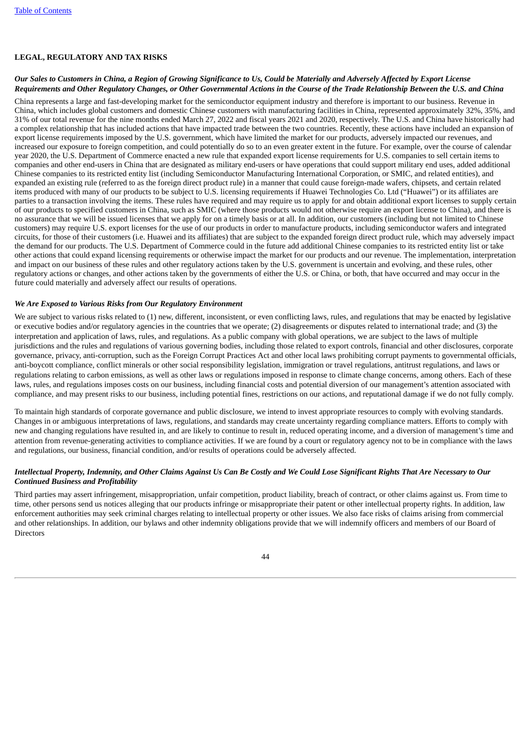## **LEGAL, REGULATORY AND TAX RISKS**

## Our Sales to Customers in China, a Region of Growing Significance to Us, Could be Materially and Adversely Affected by Export License Requirements and Other Requiatory Changes, or Other Governmental Actions in the Course of the Trade Relationship Between the U.S. and China

China represents a large and fast-developing market for the semiconductor equipment industry and therefore is important to our business. Revenue in China, which includes global customers and domestic Chinese customers with manufacturing facilities in China, represented approximately 32%, 35%, and 31% of our total revenue for the nine months ended March 27, 2022 and fiscal years 2021 and 2020, respectively. The U.S. and China have historically had a complex relationship that has included actions that have impacted trade between the two countries. Recently, these actions have included an expansion of export license requirements imposed by the U.S. government, which have limited the market for our products, adversely impacted our revenues, and increased our exposure to foreign competition, and could potentially do so to an even greater extent in the future. For example, over the course of calendar year 2020, the U.S. Department of Commerce enacted a new rule that expanded export license requirements for U.S. companies to sell certain items to companies and other end-users in China that are designated as military end-users or have operations that could support military end uses, added additional Chinese companies to its restricted entity list (including Semiconductor Manufacturing International Corporation, or SMIC, and related entities), and expanded an existing rule (referred to as the foreign direct product rule) in a manner that could cause foreign-made wafers, chipsets, and certain related items produced with many of our products to be subject to U.S. licensing requirements if Huawei Technologies Co. Ltd ("Huawei") or its affiliates are parties to a transaction involving the items. These rules have required and may require us to apply for and obtain additional export licenses to supply certain of our products to specified customers in China, such as SMIC (where those products would not otherwise require an export license to China), and there is no assurance that we will be issued licenses that we apply for on a timely basis or at all. In addition, our customers (including but not limited to Chinese customers) may require U.S. export licenses for the use of our products in order to manufacture products, including semiconductor wafers and integrated circuits, for those of their customers (i.e. Huawei and its affiliates) that are subject to the expanded foreign direct product rule, which may adversely impact the demand for our products. The U.S. Department of Commerce could in the future add additional Chinese companies to its restricted entity list or take other actions that could expand licensing requirements or otherwise impact the market for our products and our revenue. The implementation, interpretation and impact on our business of these rules and other regulatory actions taken by the U.S. government is uncertain and evolving, and these rules, other regulatory actions or changes, and other actions taken by the governments of either the U.S. or China, or both, that have occurred and may occur in the future could materially and adversely affect our results of operations.

## *We Are Exposed to Various Risks from Our Regulatory Environment*

We are subject to various risks related to (1) new, different, inconsistent, or even conflicting laws, rules, and regulations that may be enacted by legislative or executive bodies and/or regulatory agencies in the countries that we operate; (2) disagreements or disputes related to international trade; and (3) the interpretation and application of laws, rules, and regulations. As a public company with global operations, we are subject to the laws of multiple jurisdictions and the rules and regulations of various governing bodies, including those related to export controls, financial and other disclosures, corporate governance, privacy, anti-corruption, such as the Foreign Corrupt Practices Act and other local laws prohibiting corrupt payments to governmental officials, anti-boycott compliance, conflict minerals or other social responsibility legislation, immigration or travel regulations, antitrust regulations, and laws or regulations relating to carbon emissions, as well as other laws or regulations imposed in response to climate change concerns, among others. Each of these laws, rules, and regulations imposes costs on our business, including financial costs and potential diversion of our management's attention associated with compliance, and may present risks to our business, including potential fines, restrictions on our actions, and reputational damage if we do not fully comply.

To maintain high standards of corporate governance and public disclosure, we intend to invest appropriate resources to comply with evolving standards. Changes in or ambiguous interpretations of laws, regulations, and standards may create uncertainty regarding compliance matters. Efforts to comply with new and changing regulations have resulted in, and are likely to continue to result in, reduced operating income, and a diversion of management's time and attention from revenue-generating activities to compliance activities. If we are found by a court or regulatory agency not to be in compliance with the laws and regulations, our business, financial condition, and/or results of operations could be adversely affected.

## Intellectual Property, Indemnity, and Other Claims Against Us Can Be Costly and We Could Lose Significant Rights That Are Necessary to Our *Continued Business and Profitability*

Third parties may assert infringement, misappropriation, unfair competition, product liability, breach of contract, or other claims against us. From time to time, other persons send us notices alleging that our products infringe or misappropriate their patent or other intellectual property rights. In addition, law enforcement authorities may seek criminal charges relating to intellectual property or other issues. We also face risks of claims arising from commercial and other relationships. In addition, our bylaws and other indemnity obligations provide that we will indemnify officers and members of our Board of **Directors**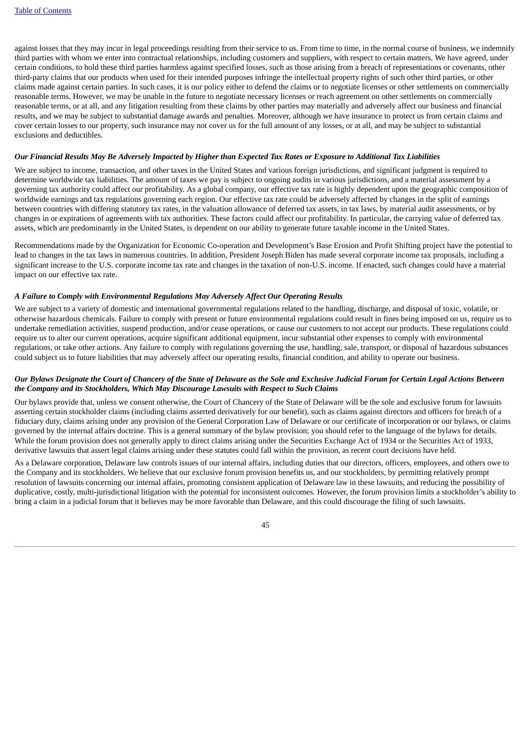against losses that they may incur in legal proceedings resulting from their service to us. From time to time, in the normal course of business, we indemnify third parties with whom we enter into contractual relationships, including customers and suppliers, with respect to certain matters. We have agreed, under certain conditions, to hold these third parties harmless against specified losses, such as those arising from a breach of representations or covenants, other third-party claims that our products when used for their intended purposes infringe the intellectual property rights of such other third parties, or other claims made against certain parties. In such cases, it is our policy either to defend the claims or to negotiate licenses or other settlements on commercially reasonable terms. However, we may be unable in the future to negotiate necessary licenses or reach agreement on other settlements on commercially reasonable terms, or at all, and any litigation resulting from these claims by other parties may materially and adversely affect our business and financial results, and we may be subject to substantial damage awards and penalties. Moreover, although we have insurance to protect us from certain claims and cover certain losses to our property, such insurance may not cover us for the full amount of any losses, or at all, and may be subject to substantial exclusions and deductibles.

#### Our Financial Results May Be Adversely Impacted by Higher than Expected Tax Rates or Exposure to Additional Tax Liabilities

We are subject to income, transaction, and other taxes in the United States and various foreign jurisdictions, and significant judgment is required to determine worldwide tax liabilities. The amount of taxes we pay is subject to ongoing audits in various jurisdictions, and a material assessment by a governing tax authority could affect our profitability. As a global company, our effective tax rate is highly dependent upon the geographic composition of worldwide earnings and tax regulations governing each region. Our effective tax rate could be adversely affected by changes in the split of earnings between countries with differing statutory tax rates, in the valuation allowance of deferred tax assets, in tax laws, by material audit assessments, or by changes in or expirations of agreements with tax authorities. These factors could affect our profitability. In particular, the carrying value of deferred tax assets, which are predominantly in the United States, is dependent on our ability to generate future taxable income in the United States.

Recommendations made by the Organization for Economic Co-operation and Development's Base Erosion and Profit Shifting project have the potential to lead to changes in the tax laws in numerous countries. In addition, President Joseph Biden has made several corporate income tax proposals, including a significant increase to the U.S. corporate income tax rate and changes in the taxation of non-U.S. income. If enacted, such changes could have a material impact on our effective tax rate.

#### *A Failure to Comply with Environmental Regulations May Adversely Affect Our Operating Results*

We are subject to a variety of domestic and international governmental regulations related to the handling, discharge, and disposal of toxic, volatile, or otherwise hazardous chemicals. Failure to comply with present or future environmental regulations could result in fines being imposed on us, require us to undertake remediation activities, suspend production, and/or cease operations, or cause our customers to not accept our products. These regulations could require us to alter our current operations, acquire significant additional equipment, incur substantial other expenses to comply with environmental regulations, or take other actions. Any failure to comply with regulations governing the use, handling, sale, transport, or disposal of hazardous substances could subject us to future liabilities that may adversely affect our operating results, financial condition, and ability to operate our business.

#### Our Bylaws Designate the Court of Chancery of the State of Delaware as the Sole and Exclusive Judicial Forum for Certain Legal Actions Between *the Company and its Stockholders, Which May Discourage Lawsuits with Respect to Such Claims*

Our bylaws provide that, unless we consent otherwise, the Court of Chancery of the State of Delaware will be the sole and exclusive forum for lawsuits asserting certain stockholder claims (including claims asserted derivatively for our benefit), such as claims against directors and officers for breach of a fiduciary duty, claims arising under any provision of the General Corporation Law of Delaware or our certificate of incorporation or our bylaws, or claims governed by the internal affairs doctrine. This is a general summary of the bylaw provision; you should refer to the language of the bylaws for details. While the forum provision does not generally apply to direct claims arising under the Securities Exchange Act of 1934 or the Securities Act of 1933, derivative lawsuits that assert legal claims arising under these statutes could fall within the provision, as recent court decisions have held.

As a Delaware corporation, Delaware law controls issues of our internal affairs, including duties that our directors, officers, employees, and others owe to the Company and its stockholders. We believe that our exclusive forum provision benefits us, and our stockholders, by permitting relatively prompt resolution of lawsuits concerning our internal affairs, promoting consistent application of Delaware law in these lawsuits, and reducing the possibility of duplicative, costly, multi-jurisdictional litigation with the potential for inconsistent outcomes. However, the forum provision limits a stockholder's ability to bring a claim in a judicial forum that it believes may be more favorable than Delaware, and this could discourage the filing of such lawsuits.

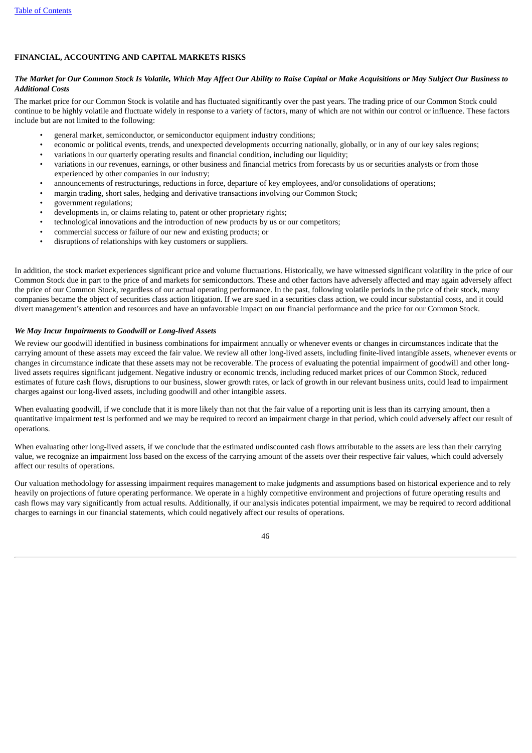## **FINANCIAL, ACCOUNTING AND CAPITAL MARKETS RISKS**

#### The Market for Our Common Stock Is Volatile, Which May Affect Our Ability to Raise Capital or Make Acquisitions or May Subject Our Business to *Additional Costs*

The market price for our Common Stock is volatile and has fluctuated significantly over the past years. The trading price of our Common Stock could continue to be highly volatile and fluctuate widely in response to a variety of factors, many of which are not within our control or influence. These factors include but are not limited to the following:

- general market, semiconductor, or semiconductor equipment industry conditions;
- economic or political events, trends, and unexpected developments occurring nationally, globally, or in any of our key sales regions;
- variations in our quarterly operating results and financial condition, including our liquidity;
- variations in our revenues, earnings, or other business and financial metrics from forecasts by us or securities analysts or from those experienced by other companies in our industry;
- announcements of restructurings, reductions in force, departure of key employees, and/or consolidations of operations;
- margin trading, short sales, hedging and derivative transactions involving our Common Stock;
- government regulations;
- developments in, or claims relating to, patent or other proprietary rights;
- technological innovations and the introduction of new products by us or our competitors;
- commercial success or failure of our new and existing products; or
- disruptions of relationships with key customers or suppliers.

In addition, the stock market experiences significant price and volume fluctuations. Historically, we have witnessed significant volatility in the price of our Common Stock due in part to the price of and markets for semiconductors. These and other factors have adversely affected and may again adversely affect the price of our Common Stock, regardless of our actual operating performance. In the past, following volatile periods in the price of their stock, many companies became the object of securities class action litigation. If we are sued in a securities class action, we could incur substantial costs, and it could divert management's attention and resources and have an unfavorable impact on our financial performance and the price for our Common Stock.

#### *We May Incur Impairments to Goodwill or Long-lived Assets*

We review our goodwill identified in business combinations for impairment annually or whenever events or changes in circumstances indicate that the carrying amount of these assets may exceed the fair value. We review all other long-lived assets, including finite-lived intangible assets, whenever events or changes in circumstance indicate that these assets may not be recoverable. The process of evaluating the potential impairment of goodwill and other longlived assets requires significant judgement. Negative industry or economic trends, including reduced market prices of our Common Stock, reduced estimates of future cash flows, disruptions to our business, slower growth rates, or lack of growth in our relevant business units, could lead to impairment charges against our long-lived assets, including goodwill and other intangible assets.

When evaluating goodwill, if we conclude that it is more likely than not that the fair value of a reporting unit is less than its carrying amount, then a quantitative impairment test is performed and we may be required to record an impairment charge in that period, which could adversely affect our result of operations.

When evaluating other long-lived assets, if we conclude that the estimated undiscounted cash flows attributable to the assets are less than their carrying value, we recognize an impairment loss based on the excess of the carrying amount of the assets over their respective fair values, which could adversely affect our results of operations.

Our valuation methodology for assessing impairment requires management to make judgments and assumptions based on historical experience and to rely heavily on projections of future operating performance. We operate in a highly competitive environment and projections of future operating results and cash flows may vary significantly from actual results. Additionally, if our analysis indicates potential impairment, we may be required to record additional charges to earnings in our financial statements, which could negatively affect our results of operations.

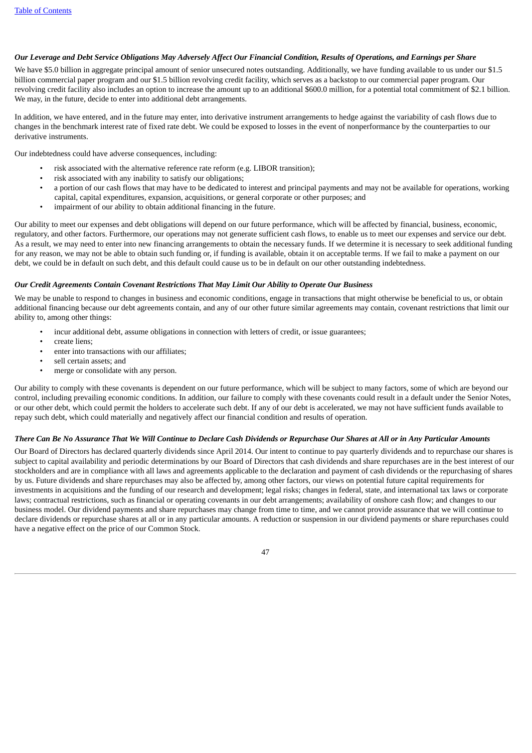#### Our Leverage and Debt Service Obligations May Adversely Affect Our Financial Condition, Results of Operations, and Earnings per Share

We have \$5.0 billion in aggregate principal amount of senior unsecured notes outstanding. Additionally, we have funding available to us under our \$1.5 billion commercial paper program and our \$1.5 billion revolving credit facility, which serves as a backstop to our commercial paper program. Our revolving credit facility also includes an option to increase the amount up to an additional \$600.0 million, for a potential total commitment of \$2.1 billion. We may, in the future, decide to enter into additional debt arrangements.

In addition, we have entered, and in the future may enter, into derivative instrument arrangements to hedge against the variability of cash flows due to changes in the benchmark interest rate of fixed rate debt. We could be exposed to losses in the event of nonperformance by the counterparties to our derivative instruments.

Our indebtedness could have adverse consequences, including:

- risk associated with the alternative reference rate reform (e.g. LIBOR transition);
- risk associated with any inability to satisfy our obligations;
- a portion of our cash flows that may have to be dedicated to interest and principal payments and may not be available for operations, working capital, capital expenditures, expansion, acquisitions, or general corporate or other purposes; and
- impairment of our ability to obtain additional financing in the future.

Our ability to meet our expenses and debt obligations will depend on our future performance, which will be affected by financial, business, economic, regulatory, and other factors. Furthermore, our operations may not generate sufficient cash flows, to enable us to meet our expenses and service our debt. As a result, we may need to enter into new financing arrangements to obtain the necessary funds. If we determine it is necessary to seek additional funding for any reason, we may not be able to obtain such funding or, if funding is available, obtain it on acceptable terms. If we fail to make a payment on our debt, we could be in default on such debt, and this default could cause us to be in default on our other outstanding indebtedness.

#### *Our Credit Agreements Contain Covenant Restrictions That May Limit Our Ability to Operate Our Business*

We may be unable to respond to changes in business and economic conditions, engage in transactions that might otherwise be beneficial to us, or obtain additional financing because our debt agreements contain, and any of our other future similar agreements may contain, covenant restrictions that limit our ability to, among other things:

- incur additional debt, assume obligations in connection with letters of credit, or issue guarantees;
- create liens;
- enter into transactions with our affiliates;
- sell certain assets; and
- merge or consolidate with any person.

Our ability to comply with these covenants is dependent on our future performance, which will be subject to many factors, some of which are beyond our control, including prevailing economic conditions. In addition, our failure to comply with these covenants could result in a default under the Senior Notes, or our other debt, which could permit the holders to accelerate such debt. If any of our debt is accelerated, we may not have sufficient funds available to repay such debt, which could materially and negatively affect our financial condition and results of operation.

#### There Can Be No Assurance That We Will Continue to Declare Cash Dividends or Repurchase Our Shares at All or in Any Particular Amounts

<span id="page-46-0"></span>Our Board of Directors has declared quarterly dividends since April 2014. Our intent to continue to pay quarterly dividends and to repurchase our shares is subject to capital availability and periodic determinations by our Board of Directors that cash dividends and share repurchases are in the best interest of our stockholders and are in compliance with all laws and agreements applicable to the declaration and payment of cash dividends or the repurchasing of shares by us. Future dividends and share repurchases may also be affected by, among other factors, our views on potential future capital requirements for investments in acquisitions and the funding of our research and development; legal risks; changes in federal, state, and international tax laws or corporate laws; contractual restrictions, such as financial or operating covenants in our debt arrangements; availability of onshore cash flow; and changes to our business model. Our dividend payments and share repurchases may change from time to time, and we cannot provide assurance that we will continue to declare dividends or repurchase shares at all or in any particular amounts. A reduction or suspension in our dividend payments or share repurchases could have a negative effect on the price of our Common Stock.

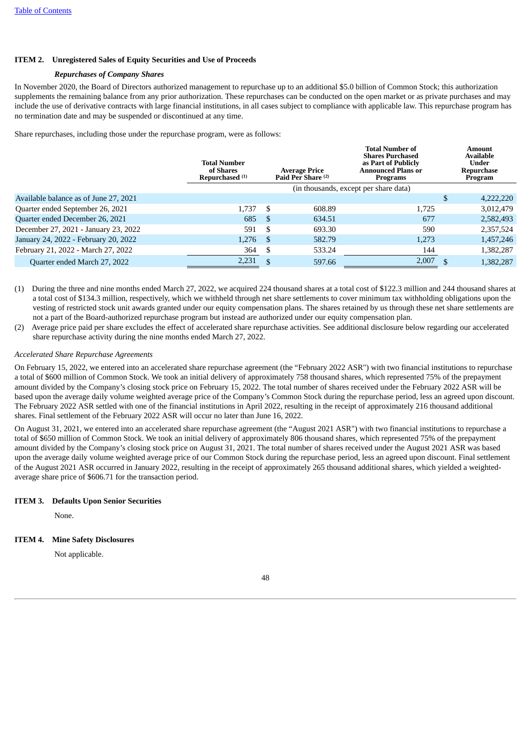## **ITEM 2. Unregistered Sales of Equity Securities and Use of Proceeds**

## *Repurchases of Company Shares*

In November 2020, the Board of Directors authorized management to repurchase up to an additional \$5.0 billion of Common Stock; this authorization supplements the remaining balance from any prior authorization. These repurchases can be conducted on the open market or as private purchases and may include the use of derivative contracts with large financial institutions, in all cases subject to compliance with applicable law. This repurchase program has no termination date and may be suspended or discontinued at any time.

Share repurchases, including those under the repurchase program, were as follows:

|                                       | <b>Total Number</b><br>of Shares<br>Repurchased <sup>(1)</sup> |                                       | <b>Average Price</b><br>Paid Per Share <sup>(2)</sup> | <b>Total Number of</b><br><b>Shares Purchased</b><br>as Part of Publicly<br><b>Announced Plans or</b><br><b>Programs</b> |    | Amount<br><b>Available</b><br>Under<br>Repurchase<br>Program |  |  |
|---------------------------------------|----------------------------------------------------------------|---------------------------------------|-------------------------------------------------------|--------------------------------------------------------------------------------------------------------------------------|----|--------------------------------------------------------------|--|--|
|                                       |                                                                | (in thousands, except per share data) |                                                       |                                                                                                                          |    |                                                              |  |  |
| Available balance as of June 27, 2021 |                                                                |                                       |                                                       |                                                                                                                          | \$ | 4,222,220                                                    |  |  |
| Quarter ended September 26, 2021      | 1.737                                                          | $\mathbb{S}$                          | 608.89                                                | 1.725                                                                                                                    |    | 3,012,479                                                    |  |  |
| Quarter ended December 26, 2021       | 685                                                            | - \$                                  | 634.51                                                | 677                                                                                                                      |    | 2,582,493                                                    |  |  |
| December 27, 2021 - January 23, 2022  | 591                                                            | - \$                                  | 693.30                                                | 590                                                                                                                      |    | 2,357,524                                                    |  |  |
| January 24, 2022 - February 20, 2022  | 1.276                                                          | - \$                                  | 582.79                                                | 1,273                                                                                                                    |    | 1,457,246                                                    |  |  |
| February 21, 2022 - March 27, 2022    | 364                                                            | - \$                                  | 533.24                                                | 144                                                                                                                      |    | 1,382,287                                                    |  |  |
| Quarter ended March 27, 2022          | 2,231                                                          | -S                                    | 597.66                                                | 2,007                                                                                                                    |    | 1,382,287                                                    |  |  |

- (1) During the three and nine months ended March 27, 2022, we acquired 224 thousand shares at a total cost of \$122.3 million and 244 thousand shares at a total cost of \$134.3 million, respectively, which we withheld through net share settlements to cover minimum tax withholding obligations upon the vesting of restricted stock unit awards granted under our equity compensation plans. The shares retained by us through these net share settlements are not a part of the Board-authorized repurchase program but instead are authorized under our equity compensation plan.
- (2) Average price paid per share excludes the effect of accelerated share repurchase activities. See additional disclosure below regarding our accelerated share repurchase activity during the nine months ended March 27, 2022.

#### *Accelerated Share Repurchase Agreements*

On February 15, 2022, we entered into an accelerated share repurchase agreement (the "February 2022 ASR") with two financial institutions to repurchase a total of \$600 million of Common Stock. We took an initial delivery of approximately 758 thousand shares, which represented 75% of the prepayment amount divided by the Company's closing stock price on February 15, 2022. The total number of shares received under the February 2022 ASR will be based upon the average daily volume weighted average price of the Company's Common Stock during the repurchase period, less an agreed upon discount. The February 2022 ASR settled with one of the financial institutions in April 2022, resulting in the receipt of approximately 216 thousand additional shares. Final settlement of the February 2022 ASR will occur no later than June 16, 2022.

On August 31, 2021, we entered into an accelerated share repurchase agreement (the "August 2021 ASR") with two financial institutions to repurchase a total of \$650 million of Common Stock. We took an initial delivery of approximately 806 thousand shares, which represented 75% of the prepayment amount divided by the Company's closing stock price on August 31, 2021. The total number of shares received under the August 2021 ASR was based upon the average daily volume weighted average price of our Common Stock during the repurchase period, less an agreed upon discount. Final settlement of the August 2021 ASR occurred in January 2022, resulting in the receipt of approximately 265 thousand additional shares, which yielded a weightedaverage share price of \$606.71 for the transaction period.

#### <span id="page-47-0"></span>**ITEM 3. Defaults Upon Senior Securities**

None.

#### <span id="page-47-2"></span><span id="page-47-1"></span>**ITEM 4. Mine Safety Disclosures**

Not applicable.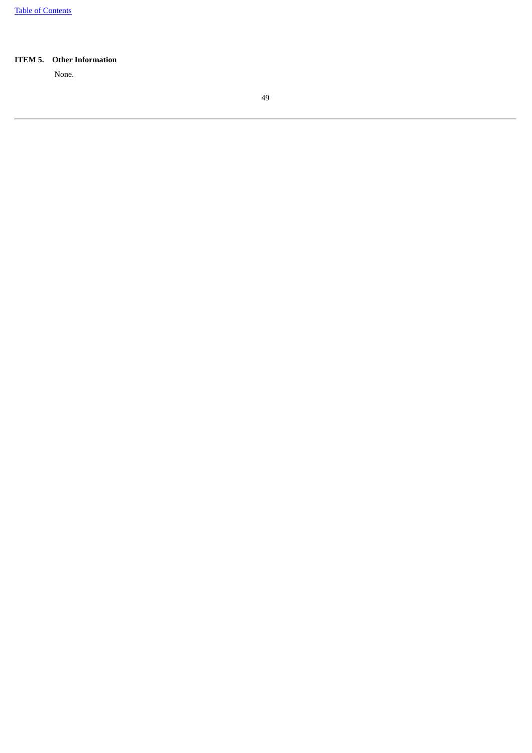## <span id="page-48-0"></span>**ITEM 5. Other Information**

None.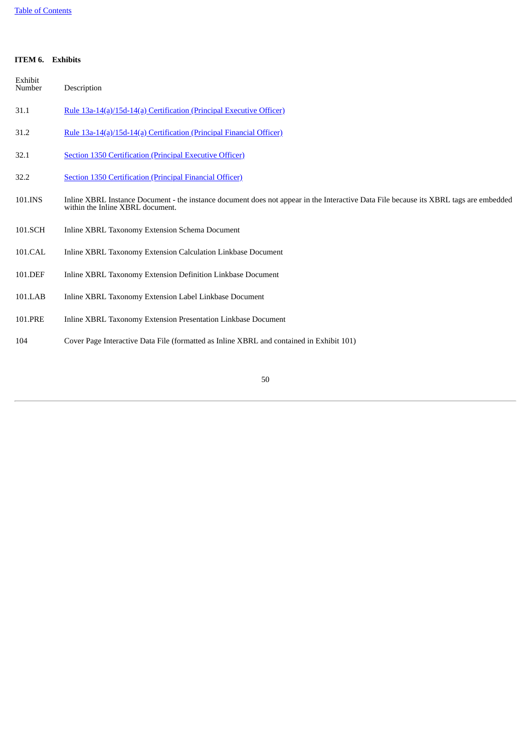## **ITEM 6. Exhibits**

<span id="page-49-0"></span>

| Exhibit<br>Number | Description                                                                                                                                                               |
|-------------------|---------------------------------------------------------------------------------------------------------------------------------------------------------------------------|
| 31.1              | Rule 13a-14(a)/15d-14(a) Certification (Principal Executive Officer)                                                                                                      |
| 31.2              | Rule 13a-14(a)/15d-14(a) Certification (Principal Financial Officer)                                                                                                      |
| 32.1              | <b>Section 1350 Certification (Principal Executive Officer)</b>                                                                                                           |
| 32.2              | <b>Section 1350 Certification (Principal Financial Officer)</b>                                                                                                           |
| 101.INS           | Inline XBRL Instance Document - the instance document does not appear in the Interactive Data File because its XBRL tags are embedded<br>within the Inline XBRL document. |
| 101.SCH           | Inline XBRL Taxonomy Extension Schema Document                                                                                                                            |
| 101.CAL           | Inline XBRL Taxonomy Extension Calculation Linkbase Document                                                                                                              |
| 101.DEF           | Inline XBRL Taxonomy Extension Definition Linkbase Document                                                                                                               |
| 101.LAB           | Inline XBRL Taxonomy Extension Label Linkbase Document                                                                                                                    |
| 101.PRE           | Inline XBRL Taxonomy Extension Presentation Linkbase Document                                                                                                             |
| 104               | Cover Page Interactive Data File (formatted as Inline XBRL and contained in Exhibit 101)                                                                                  |
|                   |                                                                                                                                                                           |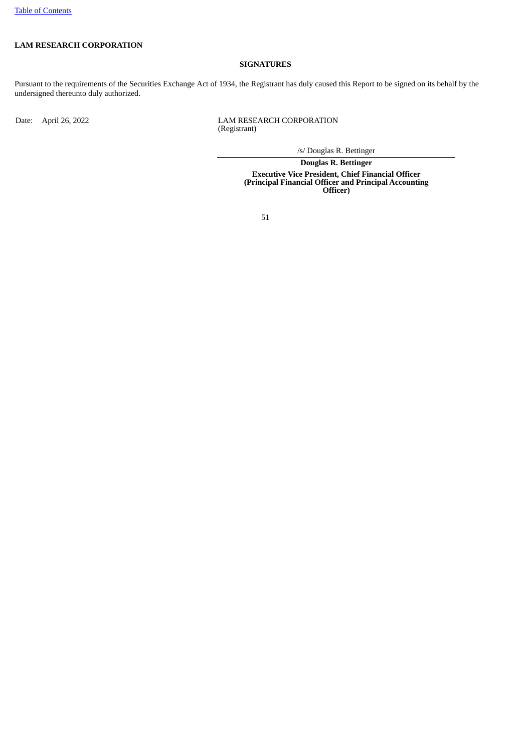## **LAM RESEARCH CORPORATION**

## **SIGNATURES**

Pursuant to the requirements of the Securities Exchange Act of 1934, the Registrant has duly caused this Report to be signed on its behalf by the undersigned thereunto duly authorized.

Date: April 26, 2022 LAM RESEARCH CORPORATION (Registrant)

/s/ Douglas R. Bettinger

**Douglas R. Bettinger Executive Vice President, Chief Financial Officer (Principal Financial Officer and Principal Accounting Officer)**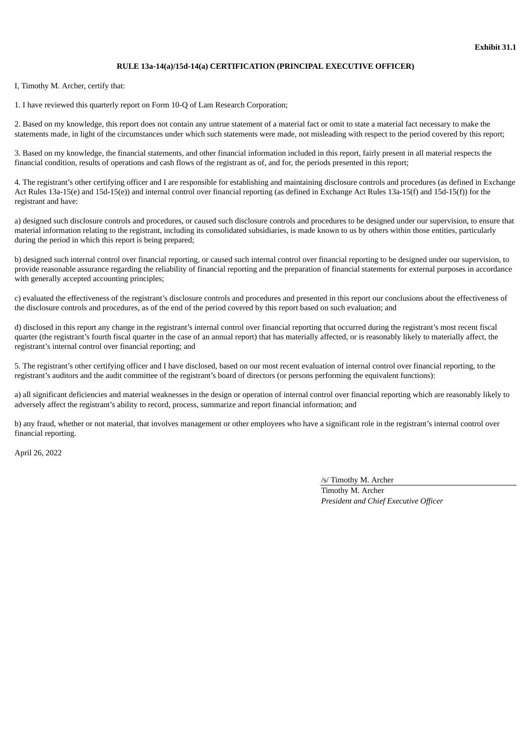## **RULE 13a-14(a)/15d-14(a) CERTIFICATION (PRINCIPAL EXECUTIVE OFFICER)**

<span id="page-51-0"></span>I, Timothy M. Archer, certify that:

1. I have reviewed this quarterly report on Form 10-Q of Lam Research Corporation;

2. Based on my knowledge, this report does not contain any untrue statement of a material fact or omit to state a material fact necessary to make the statements made, in light of the circumstances under which such statements were made, not misleading with respect to the period covered by this report;

3. Based on my knowledge, the financial statements, and other financial information included in this report, fairly present in all material respects the financial condition, results of operations and cash flows of the registrant as of, and for, the periods presented in this report;

4. The registrant's other certifying officer and I are responsible for establishing and maintaining disclosure controls and procedures (as defined in Exchange Act Rules 13a-15(e) and 15d-15(e)) and internal control over financial reporting (as defined in Exchange Act Rules 13a-15(f) and 15d-15(f)) for the registrant and have:

a) designed such disclosure controls and procedures, or caused such disclosure controls and procedures to be designed under our supervision, to ensure that material information relating to the registrant, including its consolidated subsidiaries, is made known to us by others within those entities, particularly during the period in which this report is being prepared;

b) designed such internal control over financial reporting, or caused such internal control over financial reporting to be designed under our supervision, to provide reasonable assurance regarding the reliability of financial reporting and the preparation of financial statements for external purposes in accordance with generally accepted accounting principles;

c) evaluated the effectiveness of the registrant's disclosure controls and procedures and presented in this report our conclusions about the effectiveness of the disclosure controls and procedures, as of the end of the period covered by this report based on such evaluation; and

d) disclosed in this report any change in the registrant's internal control over financial reporting that occurred during the registrant's most recent fiscal quarter (the registrant's fourth fiscal quarter in the case of an annual report) that has materially affected, or is reasonably likely to materially affect, the registrant's internal control over financial reporting; and

5. The registrant's other certifying officer and I have disclosed, based on our most recent evaluation of internal control over financial reporting, to the registrant's auditors and the audit committee of the registrant's board of directors (or persons performing the equivalent functions):

a) all significant deficiencies and material weaknesses in the design or operation of internal control over financial reporting which are reasonably likely to adversely affect the registrant's ability to record, process, summarize and report financial information; and

b) any fraud, whether or not material, that involves management or other employees who have a significant role in the registrant's internal control over financial reporting.

April 26, 2022

/s/ Timothy M. Archer

Timothy M. Archer *President and Chief Executive Officer*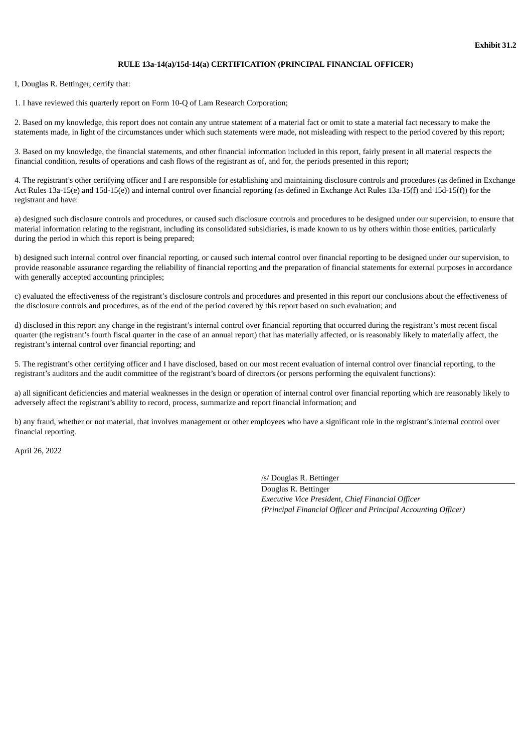#### **RULE 13a-14(a)/15d-14(a) CERTIFICATION (PRINCIPAL FINANCIAL OFFICER)**

<span id="page-52-0"></span>I, Douglas R. Bettinger, certify that:

1. I have reviewed this quarterly report on Form 10-Q of Lam Research Corporation;

2. Based on my knowledge, this report does not contain any untrue statement of a material fact or omit to state a material fact necessary to make the statements made, in light of the circumstances under which such statements were made, not misleading with respect to the period covered by this report;

3. Based on my knowledge, the financial statements, and other financial information included in this report, fairly present in all material respects the financial condition, results of operations and cash flows of the registrant as of, and for, the periods presented in this report;

4. The registrant's other certifying officer and I are responsible for establishing and maintaining disclosure controls and procedures (as defined in Exchange Act Rules 13a-15(e) and 15d-15(e)) and internal control over financial reporting (as defined in Exchange Act Rules 13a-15(f) and 15d-15(f)) for the registrant and have:

a) designed such disclosure controls and procedures, or caused such disclosure controls and procedures to be designed under our supervision, to ensure that material information relating to the registrant, including its consolidated subsidiaries, is made known to us by others within those entities, particularly during the period in which this report is being prepared;

b) designed such internal control over financial reporting, or caused such internal control over financial reporting to be designed under our supervision, to provide reasonable assurance regarding the reliability of financial reporting and the preparation of financial statements for external purposes in accordance with generally accepted accounting principles;

c) evaluated the effectiveness of the registrant's disclosure controls and procedures and presented in this report our conclusions about the effectiveness of the disclosure controls and procedures, as of the end of the period covered by this report based on such evaluation; and

d) disclosed in this report any change in the registrant's internal control over financial reporting that occurred during the registrant's most recent fiscal quarter (the registrant's fourth fiscal quarter in the case of an annual report) that has materially affected, or is reasonably likely to materially affect, the registrant's internal control over financial reporting; and

5. The registrant's other certifying officer and I have disclosed, based on our most recent evaluation of internal control over financial reporting, to the registrant's auditors and the audit committee of the registrant's board of directors (or persons performing the equivalent functions):

a) all significant deficiencies and material weaknesses in the design or operation of internal control over financial reporting which are reasonably likely to adversely affect the registrant's ability to record, process, summarize and report financial information; and

b) any fraud, whether or not material, that involves management or other employees who have a significant role in the registrant's internal control over financial reporting.

April 26, 2022

/s/ Douglas R. Bettinger

Douglas R. Bettinger *Executive Vice President, Chief Financial Officer (Principal Financial Officer and Principal Accounting Officer)*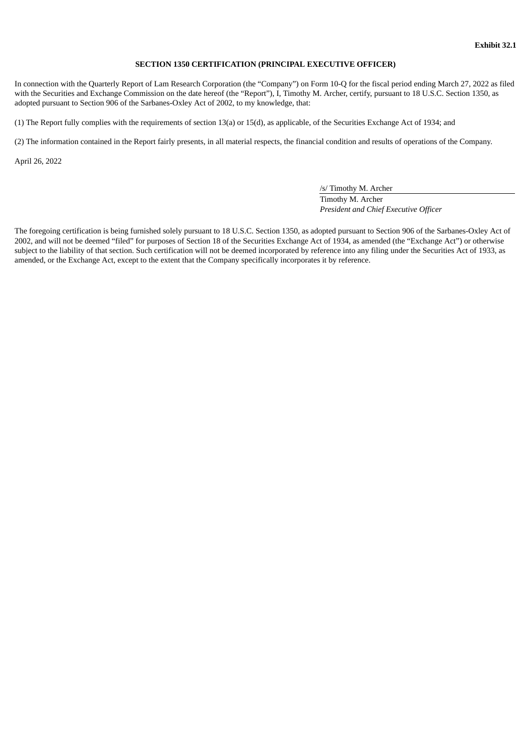#### **SECTION 1350 CERTIFICATION (PRINCIPAL EXECUTIVE OFFICER)**

<span id="page-53-0"></span>In connection with the Quarterly Report of Lam Research Corporation (the "Company") on Form 10-Q for the fiscal period ending March 27, 2022 as filed with the Securities and Exchange Commission on the date hereof (the "Report"), I, Timothy M. Archer, certify, pursuant to 18 U.S.C. Section 1350, as adopted pursuant to Section 906 of the Sarbanes-Oxley Act of 2002, to my knowledge, that:

(1) The Report fully complies with the requirements of section 13(a) or 15(d), as applicable, of the Securities Exchange Act of 1934; and

(2) The information contained in the Report fairly presents, in all material respects, the financial condition and results of operations of the Company.

April 26, 2022

/s/ Timothy M. Archer Timothy M. Archer *President and Chief Executive Officer*

The foregoing certification is being furnished solely pursuant to 18 U.S.C. Section 1350, as adopted pursuant to Section 906 of the Sarbanes-Oxley Act of 2002, and will not be deemed "filed" for purposes of Section 18 of the Securities Exchange Act of 1934, as amended (the "Exchange Act") or otherwise subject to the liability of that section. Such certification will not be deemed incorporated by reference into any filing under the Securities Act of 1933, as amended, or the Exchange Act, except to the extent that the Company specifically incorporates it by reference.